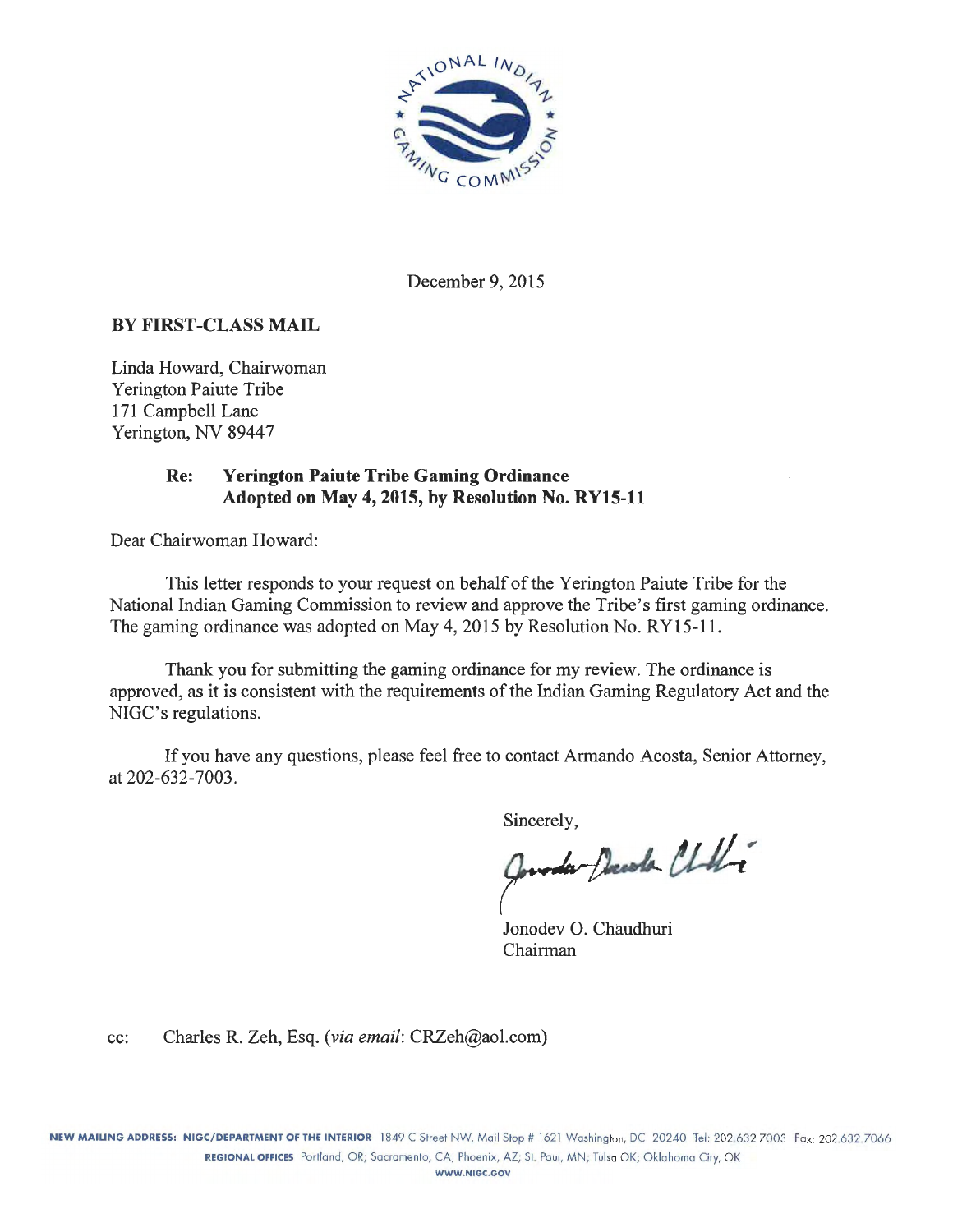

December 9, 2015

#### BY FIRST-CLASS MAIL

Linda Howard, Chairwoman Yerington Paiute Tribe 171 Campbell Lane Yerington, NV 89447

#### Re: Yerington Paiute Tribe Gaming Ordinance Adopted on May 4, 2015, by Resolution No. RY15-11

Dear Chairwoman Howard:

This letter responds to your request on behalf of the Yerington Paiute Tribe for the National Indian Gaming Commission to review and approve the Tribe's first gaming ordinance. The gaming ordinance was adopted on May 4, 2015 by Resolution No. RY15-11.

Thank you for submitting the gaming ordinance for my review. The ordinance is approved, as it is consistent with the requirements of the Indian Gaming Regulatory Act and the NIGC's regulations.

If you have any questions, please feel free to contact Armando Acosta, Senior Attorney, at 202-632-7003.

Sincerely,

Queda Decola Chili

Jonodev 0. Chaudhuri Chairman

cc: Charles R. Zeh, Esq. *(via email:* CRZeh@aol.com)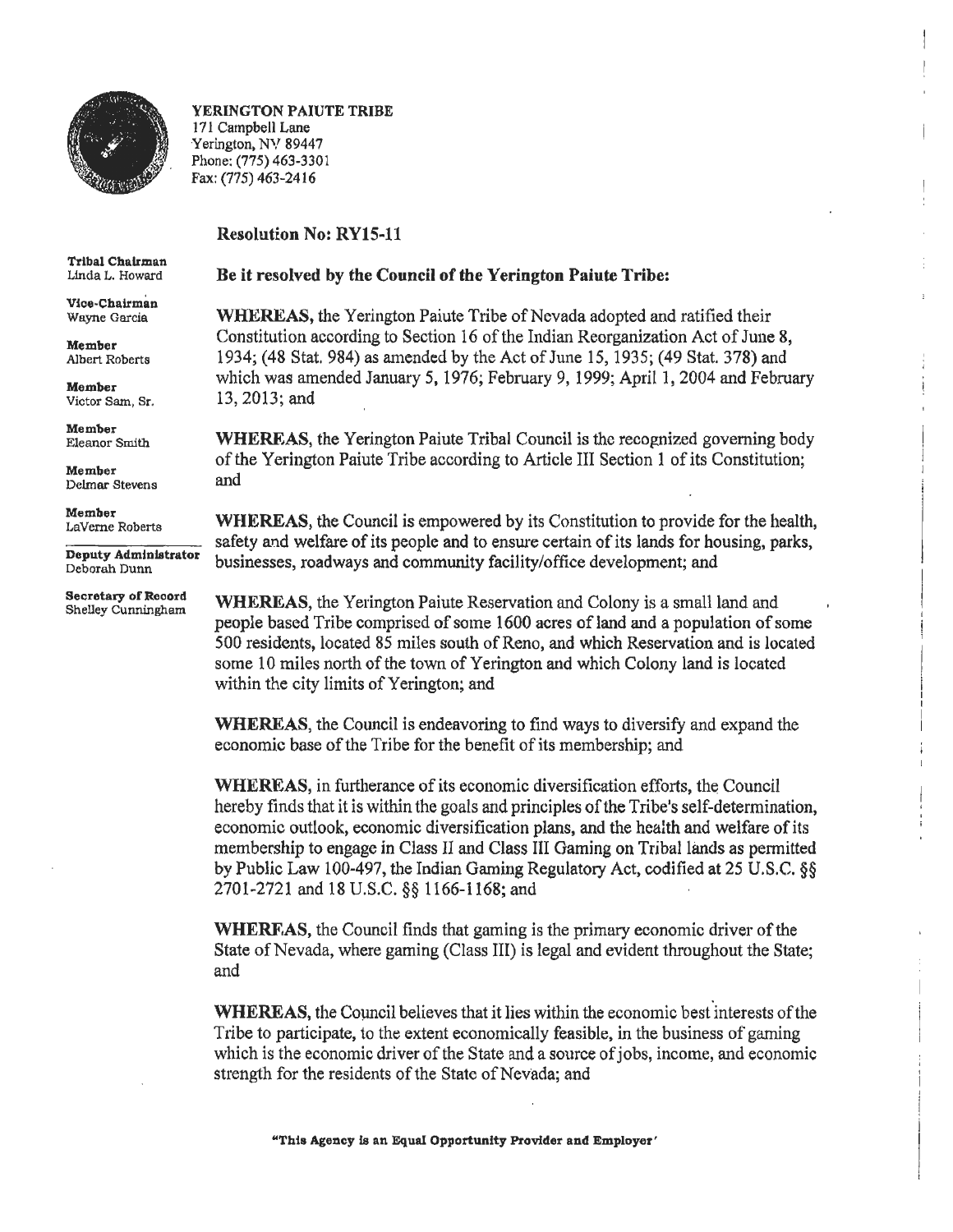

YERINGTON PAIUTE TRIBE 171 Campbell Lane Yerington, NV 89447 Phone: (775) 463-3301 Fax: (775) 463-2416

#### Resolution No: RYlS-11

Tribal Chairman Linda L. Howard

Vice-Chairman Wayne Garcia

Member Albert Roberts

Member Victor Sam, Sr.

Member Eleanor Smith

Member Delmar Stevens

Member Laverne Roberts

Deputy Administrator Deborah Dunn

Secretary of Record<br>Shelley Cunningham

#### Be it resolved by the Council of the Yerington Paiute Tribe:

WHEREAS, the Yerington Paiute Tribe of Nevada adopted and ratified their Constitution according to Section 16 of the Indian Reorganization Act of June 8, 1934; (48 Stat. 984) as amended by the Act of June 15, 1935; (49 Stat. 378) and which was amended January 5, 1976; February 9, 1999; April 1, 2004 and February 13, 2013; and

WHEREAS, the Yerington Paiute Tribal Council is the recognized governing body of the Yerington Paiute Tribe according to Article III Section 1 of its Constitution; and

WHEREAS, the Council is empowered by its Constitution to provide for the health, safety and welfare of its people and to ensure certain of its lands for housing, parks, businesses, roadways and community facility/office development; and

WHEREAS, the Yerington Paiute Reservation and Colony is a small land and people based Tribe comprised of some 1600 acres of land and a population of some 500 residents, located 85 miles south of Reno, and which Reservation and is located some 10 miles north of the town of Yerington and which Colony land is located within the city limits of Yerington; and

WHEREAS, the Council is endeavoring to find ways to diversify and expand the economic base of the Tribe for the benefit of its membership; and

WHEREAS, in furtherance of its economic diversification efforts, the Council hereby finds that it is within the goals and principles of the Tribe's self-determination, economic outlook, economic diversification plans, and the health and welfare of its membership to engage in Class II and Class 1II Gaming on Tribal lands as permitted by Public Law 100-497, the Indian Gaming Regulatory Act, codified at 25 U.S.C. §§ 2701-2721 and 18 U.S.C. §§ 1166-1168; and

WHERF.AS, the Council finds that gaming is the primary economic driver of the State of Nevada, where gaming (Class III) is legal and evident throughout the State; and

WHEREAS, the Council believes that it lies within the economic best interests of the Tribe to participate, to the extent economically feasible, in the business of gaming which is the economic driver of the State and a source of jobs, income, and economic strength for the residents of the State of Nevada; and

"This Agency ls an Equal Opportunity Provider and Employer'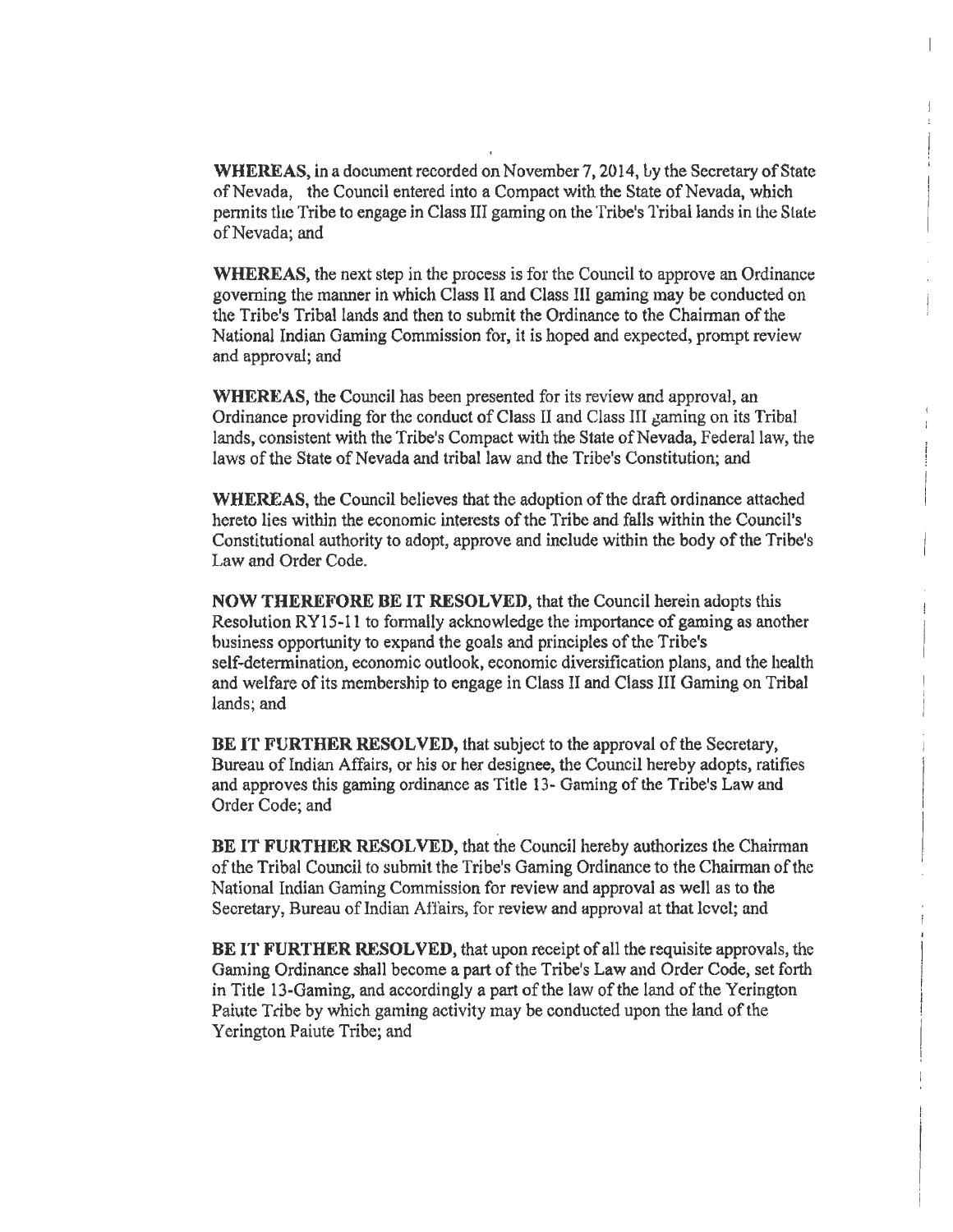**WHEREAS,** in a document recorded on November 7, 2014, Ly the Secretary of State of Nevada, the Council entered into a Compact with the State of Nevada, which permits the Tribe to engage in Class III gaming on the Tribe's Tribal lands in the State of Nevada; and

**WHEREAS,** the next step in the process is for the Council to approve an Ordinance governing the manner in which Class II and Class III gaming may be conducted on the Tribe's Tribal lands and then to submit the Ordinance to the Chairman of the National Indian Gaming Commission for, it is hoped and expected, prompt review and approval; and

**WHEREAS,** the Council has been presented for its review and approval, an Ordinance providing for the conduct of Class II and Class III gaming on its Tribal lands, consistent with the Tribe's Compact with the State of Nevada, Federal law, the laws of the State of Nevada and tribal law and the Tribe's Constitution; and

**WHEREAS,** the Council believes that the adoption of the draft ordinance attached hereto lies withln the economic interests of the Tribe and falls within the Council's Constitutional authority to adopt, approve and include within the body of the Tribe's Law and Order Code.

**NOW THEREFORE BE IT RESOLVED,** that the Council herein adopts this Resolution RY15-11 to formally acknowledge the importance of gaming as another business opportunity to expand the goals and principles of the Tribe's self-determination, economic outlook, economic diversification plans, and the health and welfare of its membership to engage in Class 11 and Class III Gaming on Tribal lands; and

**BE IT FURTHER RESOLVED,** that subject to the approval of the Secretary, Bureau of Indian Affairs, or his or her designee, the Council hereby adopts, ratifies and approves this gaming ordinance as Title 13- Gaming of the Tribe's Law and Order Code; and

**BE IT FURTHER RESOLVED,** that the Council hereby authorizes the Chairman of the Tribal Council to submit the Tribe's Gaming Ordinance to the Chairman of the National Indian Gaming Commission for review and approval as well as to the Secretary, Bureau of Indian Affairs, for review and approval at that level; and

**BE IT FURTHER RESOLVED,** that upon receipt of all the requisite approvals, the Gaming Ordinance shall become a part of the Tribe's Law and Order Code, set forth in Title 13-Gaming, and accordingly a part of the law of the land of the Yerington Paiute Tribe by which gaming activity may be conducted upon the land of the Yerington Paiute Tribe; and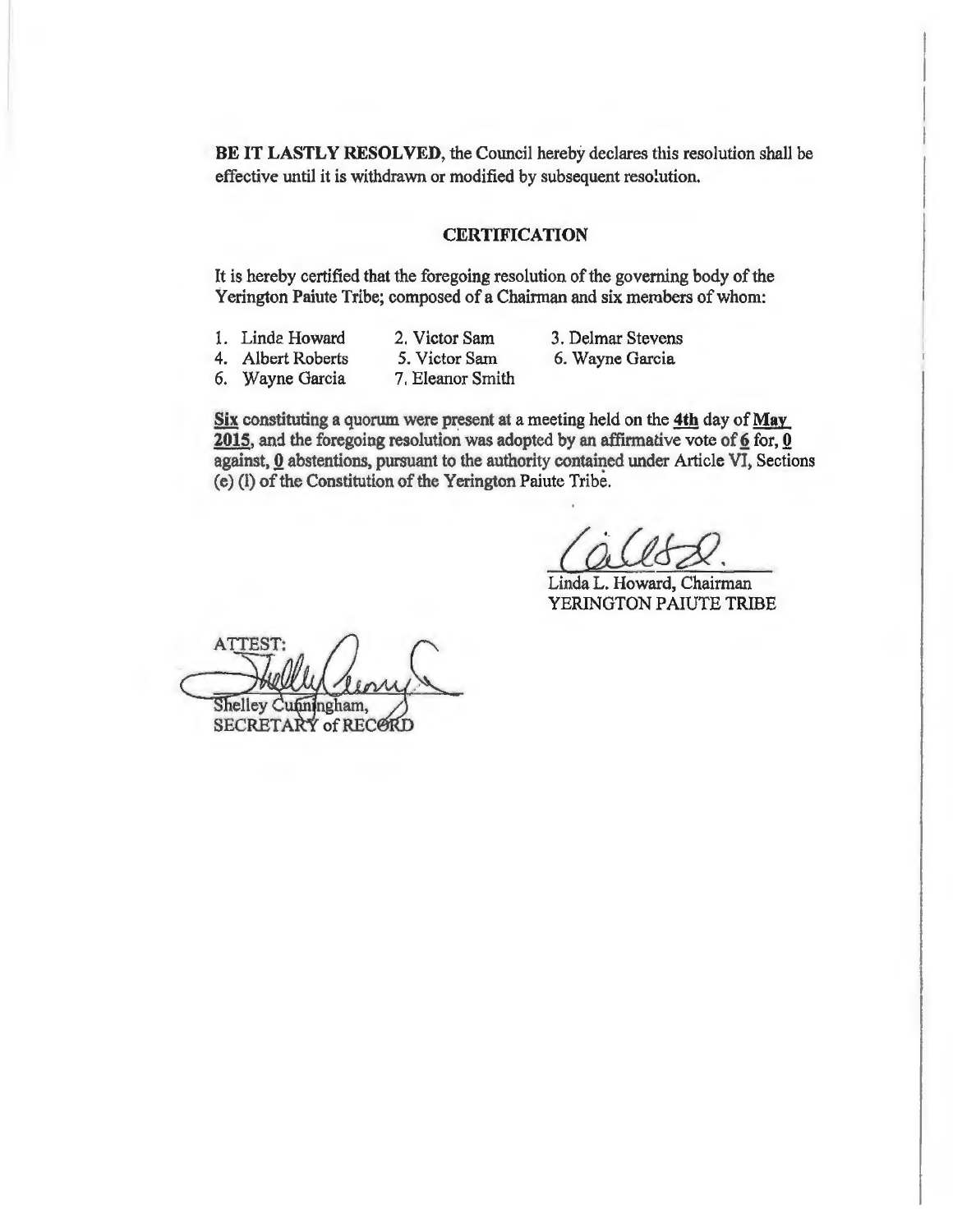**BE IT LASTLY RESOLVED,** the Council hereby declares this resolution shall be effective until it is withdrawn or modified by subsequent resolution.

#### **CERTIFICATION**

It is hereby certified that the foregoing resolution of the governing body of the Yerington Paiute Tribe; composed of a Chairman and six merobers of whom:

- 1. Linde Howard
- 2. Victor Sam
- 3. Delmar Stevens 6. Wayne Garcia
- 4. Albert Roberts 6. Wayne Garcia
- 5. Victor Sam 7. Eleanor Smith
- Six constituting a quorum were present at a meeting held on the 4th day of May  $2015$ , and the foregoing resolution was adopted by an affirmative vote of  $6$  for,  $0$ against,  $0$  abstentions, pursuant to the authority contained under Article VI, Sections (e) (1) of the Constitution of the Yerington Paiute Tribe.

Linda L. Howard, Chairman YERINGTON PAIUTE TRIBE

**ATTEST** Shelley Cunn ngham. SECRETARY of RECORD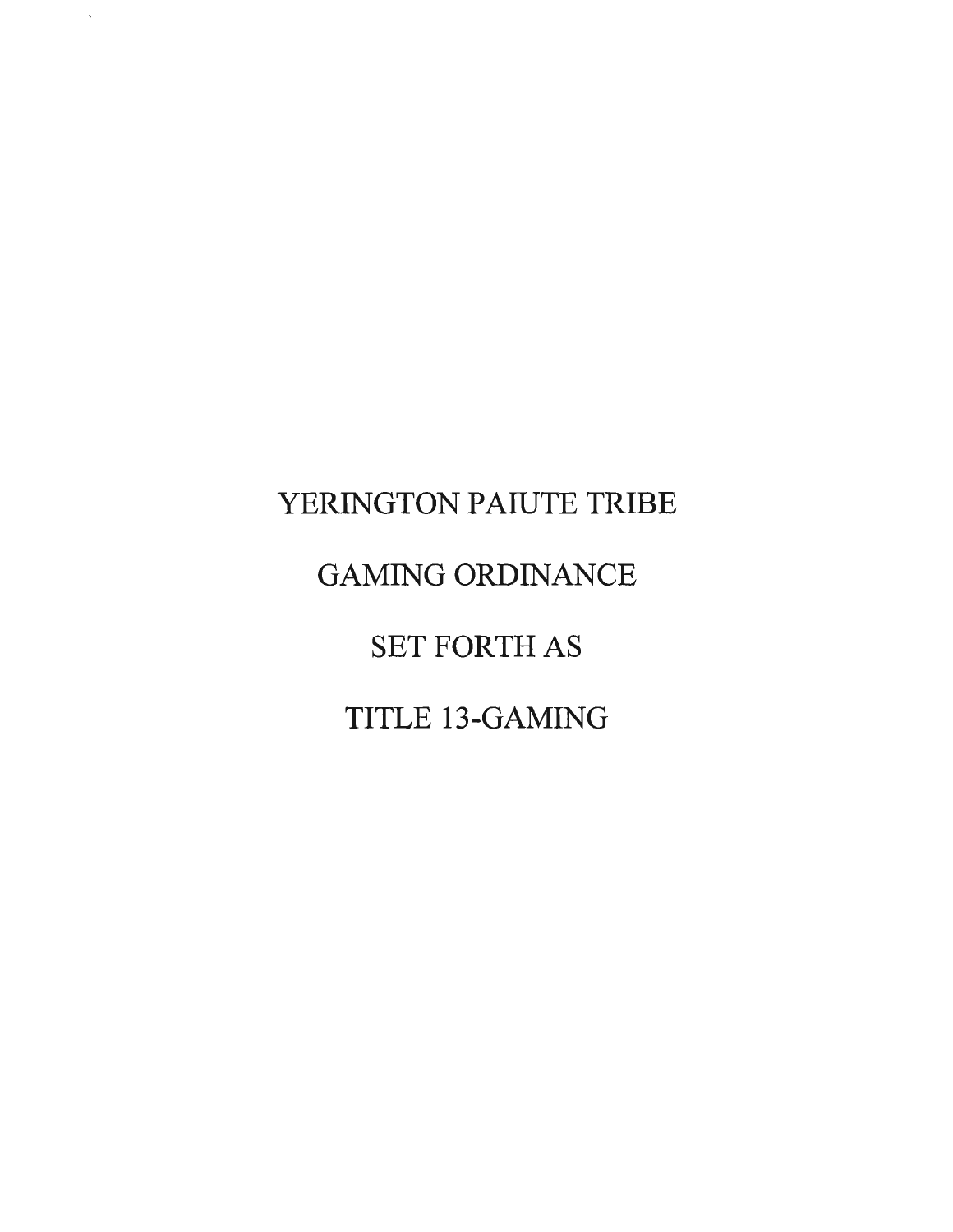# YERINGTON PAIUTE TRIBE GAMING ORDINANCE SET FORTH AS TITLE 13-GAMING

 $\hat{\mathbf{v}}$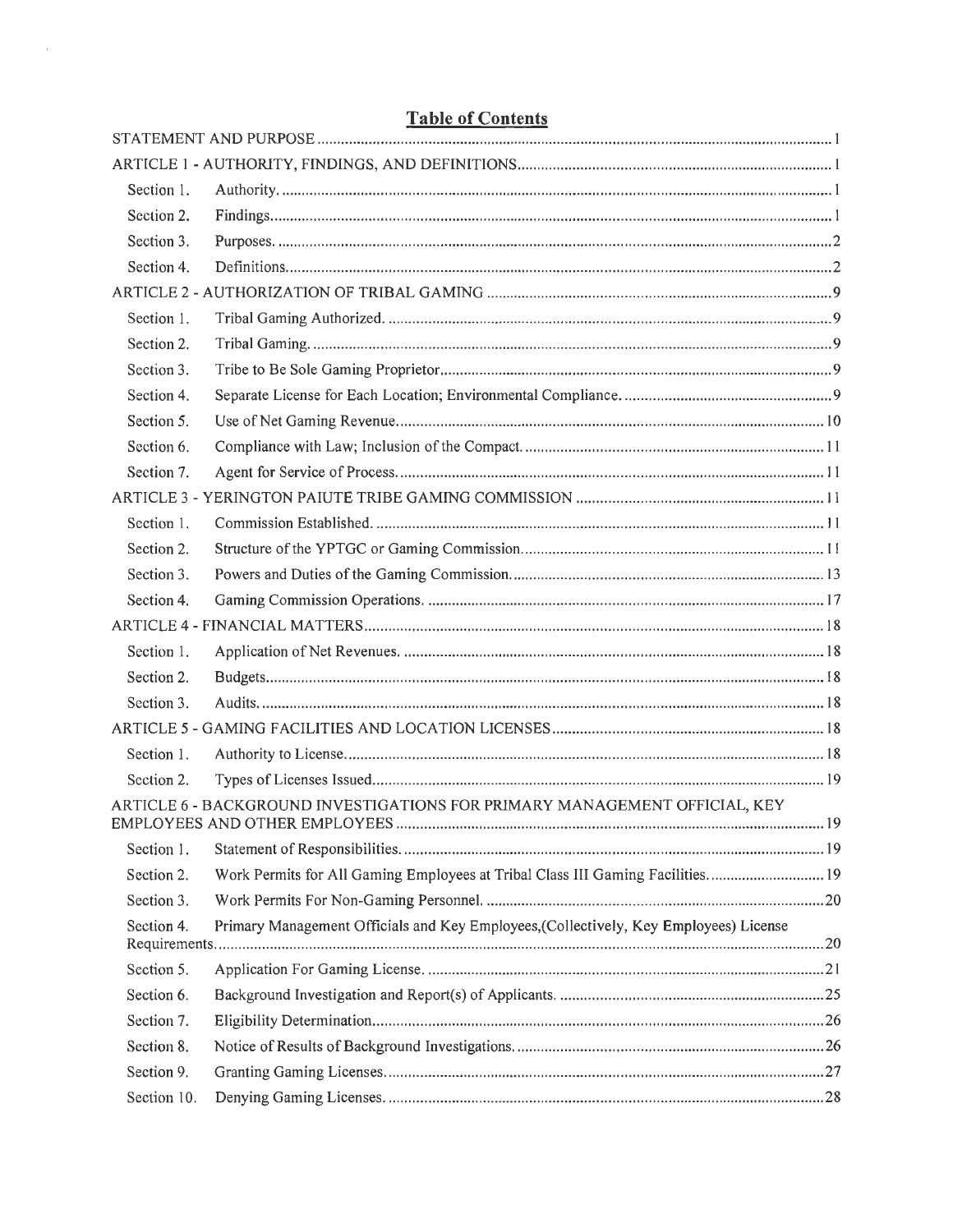| Section 1.  |                                                                                       |     |
|-------------|---------------------------------------------------------------------------------------|-----|
| Section 2.  |                                                                                       |     |
| Section 3.  |                                                                                       |     |
| Section 4.  |                                                                                       |     |
|             |                                                                                       |     |
| Section 1.  |                                                                                       |     |
| Section 2.  |                                                                                       |     |
| Section 3.  |                                                                                       |     |
| Section 4.  |                                                                                       |     |
| Section 5.  |                                                                                       |     |
| Section 6.  |                                                                                       |     |
| Section 7.  |                                                                                       |     |
|             |                                                                                       |     |
| Section 1.  |                                                                                       |     |
| Section 2.  |                                                                                       |     |
| Section 3.  |                                                                                       |     |
| Section 4.  |                                                                                       |     |
|             |                                                                                       |     |
| Section 1.  |                                                                                       |     |
| Section 2.  |                                                                                       |     |
| Section 3.  |                                                                                       |     |
|             |                                                                                       |     |
| Section 1.  |                                                                                       |     |
| Section 2.  |                                                                                       |     |
|             | ARTICLE 6 - BACKGROUND INVESTIGATIONS FOR PRIMARY MANAGEMENT OFFICIAL, KEY            | .19 |
| Section 1.  |                                                                                       |     |
| Section 2.  | Work Permits for All Gaming Employees at Tribal Class III Gaming Facilities 19        |     |
| Section 3.  |                                                                                       |     |
| Section 4.  | Primary Management Officials and Key Employees, (Collectively, Key Employees) License |     |
| Section 5.  |                                                                                       |     |
| Section 6.  |                                                                                       |     |
| Section 7.  |                                                                                       |     |
| Section 8.  |                                                                                       |     |
| Section 9.  |                                                                                       |     |
| Section 10. |                                                                                       |     |

## **Table of Contents**

 $\sim 10$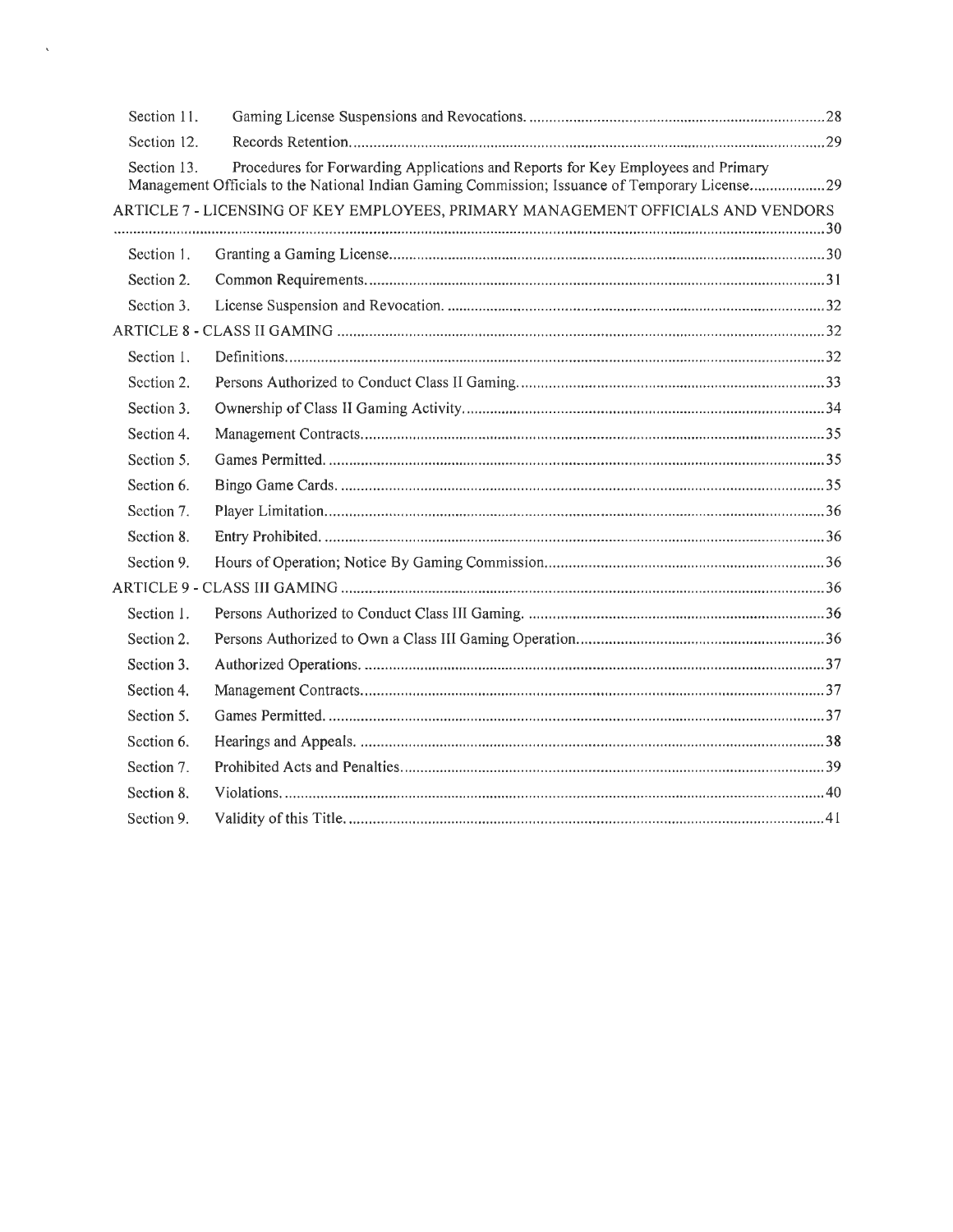| Section 11. |                                                                                                                                                                                    |  |
|-------------|------------------------------------------------------------------------------------------------------------------------------------------------------------------------------------|--|
| Section 12. |                                                                                                                                                                                    |  |
| Section 13. | Procedures for Forwarding Applications and Reports for Key Employees and Primary<br>Management Officials to the National Indian Gaming Commission; Issuance of Temporary License29 |  |
|             | ARTICLE 7 - LICENSING OF KEY EMPLOYEES, PRIMARY MANAGEMENT OFFICIALS AND VENDORS                                                                                                   |  |
|             |                                                                                                                                                                                    |  |
| Section 1.  |                                                                                                                                                                                    |  |
| Section 2.  |                                                                                                                                                                                    |  |
| Section 3.  |                                                                                                                                                                                    |  |
|             |                                                                                                                                                                                    |  |
| Section 1.  |                                                                                                                                                                                    |  |
| Section 2.  |                                                                                                                                                                                    |  |
| Section 3.  |                                                                                                                                                                                    |  |
| Section 4.  |                                                                                                                                                                                    |  |
| Section 5.  |                                                                                                                                                                                    |  |
| Section 6.  |                                                                                                                                                                                    |  |
| Section 7.  |                                                                                                                                                                                    |  |
| Section 8.  |                                                                                                                                                                                    |  |
| Section 9.  |                                                                                                                                                                                    |  |
|             |                                                                                                                                                                                    |  |
| Section 1.  |                                                                                                                                                                                    |  |
| Section 2.  |                                                                                                                                                                                    |  |
| Section 3.  |                                                                                                                                                                                    |  |
| Section 4.  |                                                                                                                                                                                    |  |
| Section 5.  |                                                                                                                                                                                    |  |
| Section 6.  |                                                                                                                                                                                    |  |
| Section 7.  |                                                                                                                                                                                    |  |
| Section 8.  |                                                                                                                                                                                    |  |
| Section 9.  |                                                                                                                                                                                    |  |

 $\hat{\mathbf{v}}$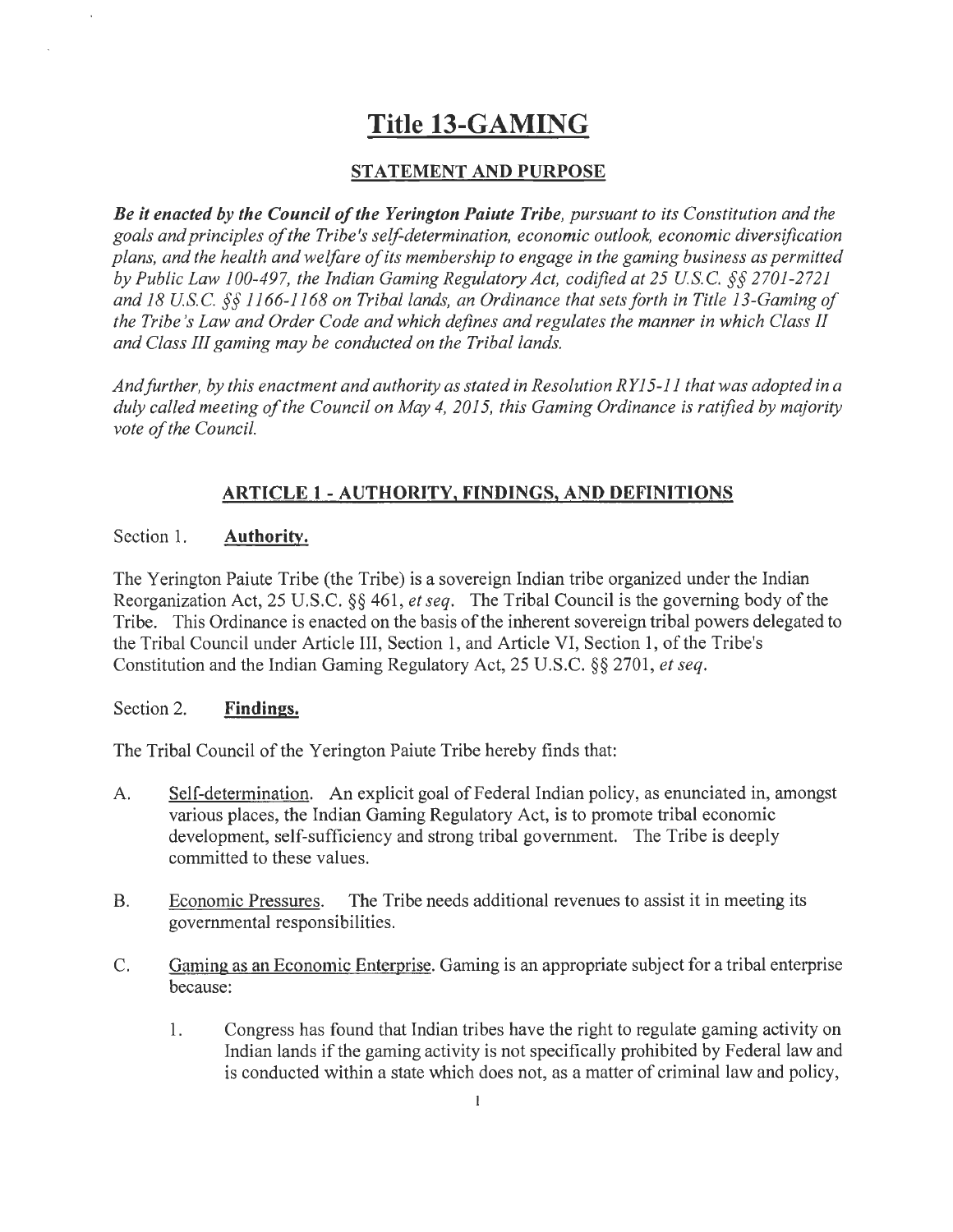## **Title 13-GAMING**

## **STATEMENT AND PURPOSE**

*Be it enacted by the Council of the Yerington Paiute Tribe, pursuant to its Constitution and the goals and principles of the Tribe's self-determination, economic outlook, economic diversification plans, and the health and welfare of its membership to engage in the gaming business as permitted by Public Law 100-497, the Indian Gaming Regulatory Act, codified at 25 USC.§§ 2701-2721 and 18 USC.§§ 1166-1168 on Tribal lands, an Ordinance that sets forth in Title 13-Gaming of the Tribe's Law and Order Code and which defines and regulates the manner in which Class II and Class III gaming may be conducted on the Tribal lands.* 

*And further, by this enactment and authority as stated in Resolution RY 15-11 that was adopted in a duly called meeting of the Council on May 4, 2015, this Gaming Ordinance is ratified by majority vote of the Council.* 

## **ARTICLE 1 - AUTHORITY, FINDINGS, AND DEFINITIONS**

#### Section 1. **Authority.**

The Yerington Paiute Tribe (the Tribe) is a sovereign Indian tribe organized under the Indian Reorganization Act, 25 U.S.C. §§ 461, *et seq.* The Tribal Council is the governing body of the Tribe. This Ordinance is enacted on the basis of the inherent sovereign tribal powers delegated to the Tribal Council under Article III, Section 1, and Article VI, Section **1,** of the Tribe's Constitution and the Indian Gaming Regulatory Act, 25 U.S.C. §§ 2701, *et seq.* 

#### Section 2. **Findings.**

The Tribal Council of the Yerington Paiute Tribe hereby finds that:

- A. Self-determination. An explicit goal of Federal Indian policy, as enunciated in, amongst various places, the Indian Gaming Regulatory Act, is to promote tribal economic development, self-sufficiency and strong tribal government. The Tribe is deeply committed to these values.
- B. Economic Pressures. The Tribe needs additional revenues to assist it in meeting its governmental responsibilities.
- C. Gaming as an Economic Enterprise. Gaming is an appropriate subject for a tribal enterprise because:
	- **1.** Congress has found that Indian tribes have the right to regulate gaming activity on Indian lands if the gaming activity is not specifically prohibited by Federal law and is conducted within a state which does not, as a matter of criminal law and policy,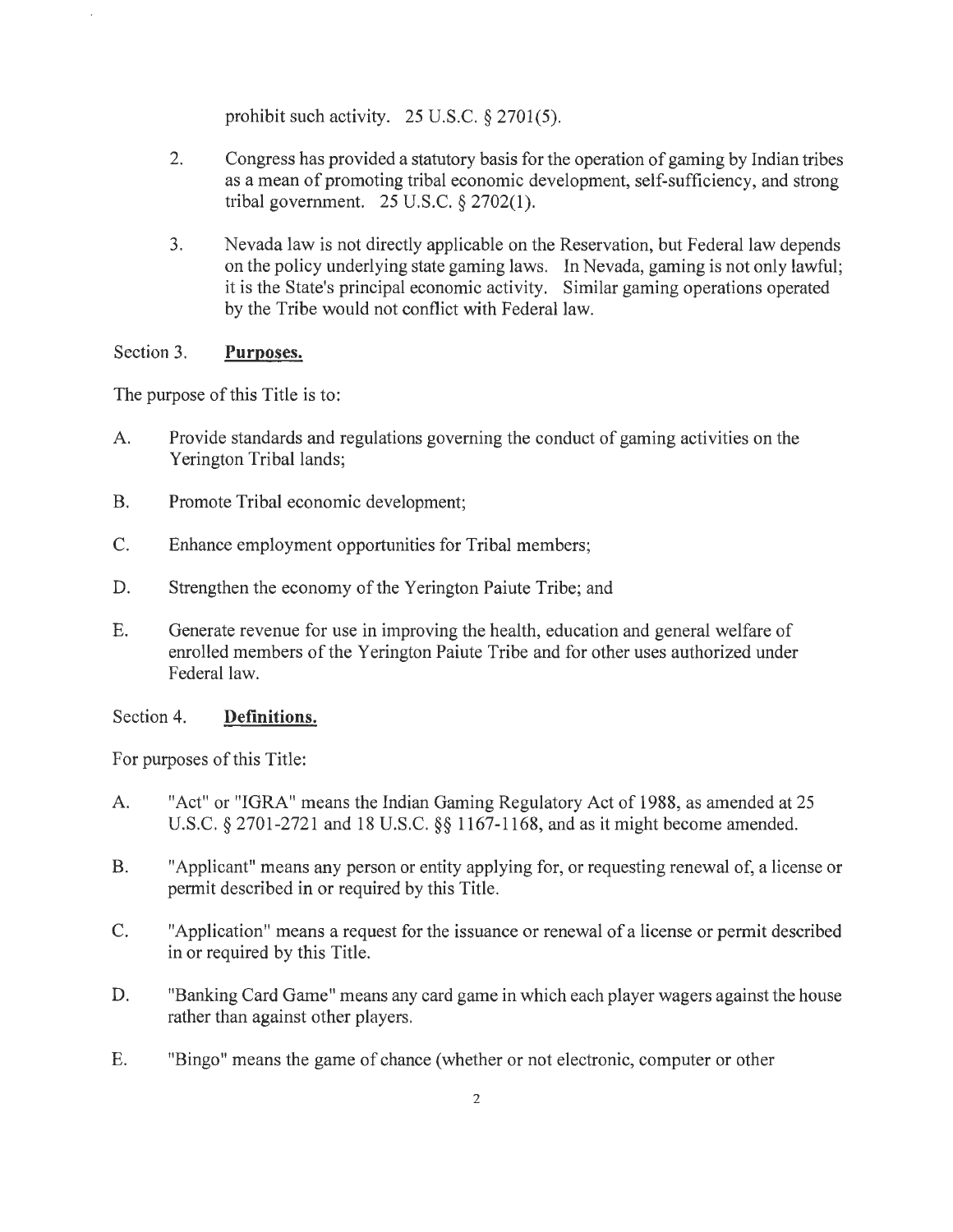prohibit such activity. 25 U.S.C. *§* 2701(5).

- 2. Congress has provided a statutory basis for the operation of gaming by Indian tribes as a mean of promoting tribal economic development, self-sufficiency, and strong tribal government. 25 U.S.C. *§* 2702(1).
- 3. Nevada law is not directly applicable on the Reservation, but Federal law depends on the policy underlying state gaming laws. In Nevada, gaming is not only lawful; it is the State's principal economic activity. Similar gaming operations operated by the Tribe would not conflict with Federal law.

#### Section 3. **Purposes.**

The purpose of this Title is to:

- A. Provide standards and regulations governing the conduct of gaming activities on the Yerington Tribal lands;
- B. Promote Tribal economic development;
- C. Enhance employment opportunities for Tribal members;
- D. Strengthen the economy of the Yerington Paiute Tribe; and
- E. Generate revenue for use in improving the health, education and general welfare of enrolled members of the Yerington Paiute Tribe and for other uses authorized under Federal law.

#### Section 4. **Definitions.**

For purposes of this Title:

- A. "Act" or "IGRA" means the Indian Gaming Regulatory Act of 1988, as amended at 25 U.S.C. *§* 2701-2721 and 18 U.S.C. *§§* 1167-1168, and as it might become amended.
- B. "Applicant" means any person or entity applying for, or requesting renewal of, a license or permit described in or required by this Title.
- C. "Application" means a request for the issuance or renewal of a license or permit described in or required by this Title.
- D. "Banking Card Game" means any card game in which each player wagers against the house rather than against other players.
- E. "Bingo" means the game of chance (whether or not electronic, computer or other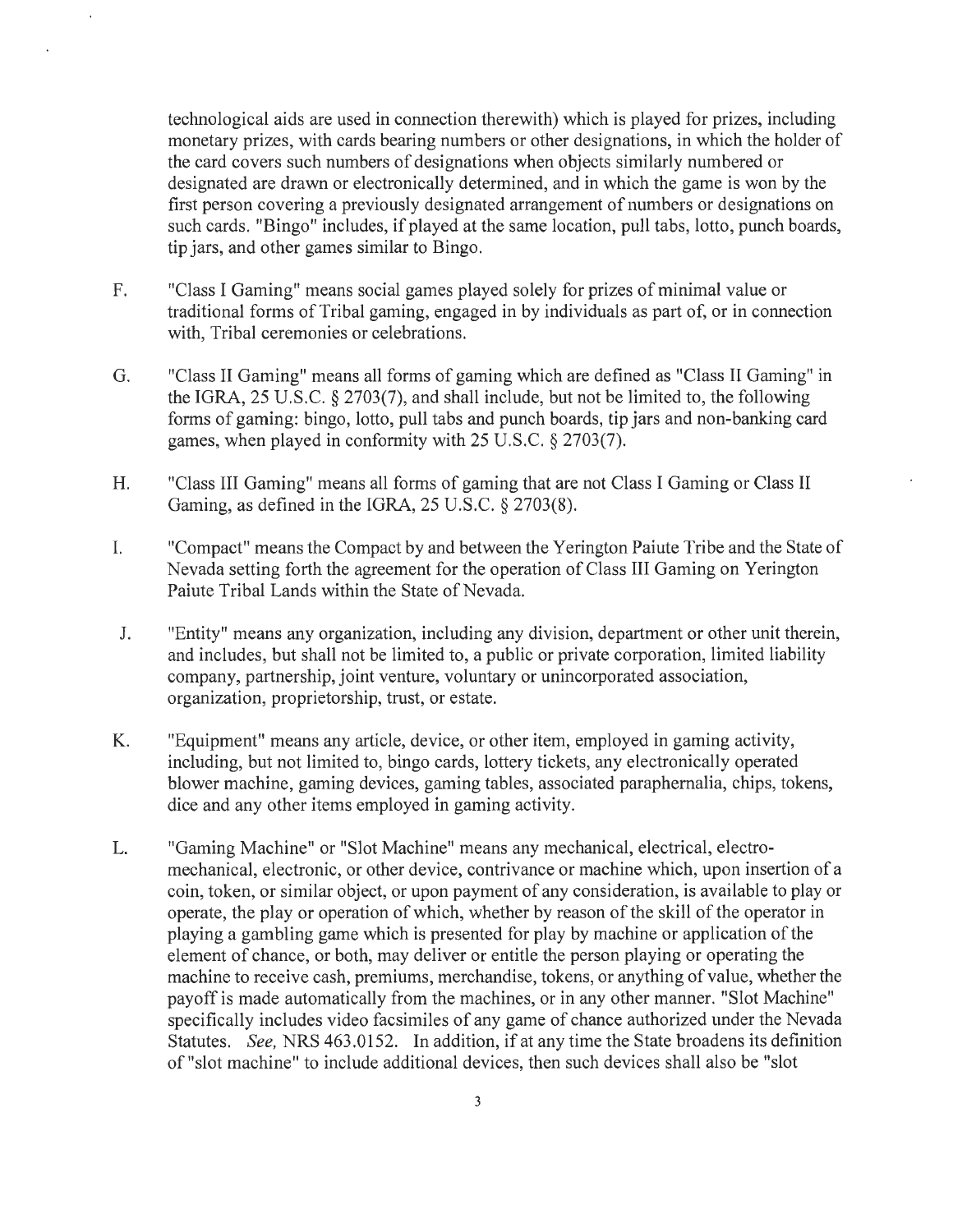technological aids are used in connection therewith) which is played for prizes, including monetary prizes, with cards bearing numbers or other designations, in which the holder of the card covers such numbers of designations when objects similarly numbered or designated are drawn or electronically determined, and in which the game is won by the first person covering a previously designated arrangement of numbers or designations on such cards. "Bingo" includes, if played at the same location, pull tabs, lotto, punch boards, tip jars, and other games similar to Bingo.

- F. "Class I Gaming" means social games played solely for prizes of minimal value or traditional forms of Tribal gaming, engaged in by individuals as part of, or in connection with, Tribal ceremonies or celebrations.
- G. "Class II Gaming" means all forms of gaming which are defined as "Class II Gaming" in the IGRA, 25 U.S.C. § 2703(7), and shall include, but not be limited to, the following forms of gaming: bingo, lotto, pull tabs and punch boards, tip jars and non-banking card games, when played in conformity with 25 U.S.C. § 2703(7).
- H. "Class III Gaming" means all forms of gaming that are not Class I Gaming or Class II Gaming, as defined in the IGRA, 25 U.S.C. § 2703(8).
- I. "Compact" means the Compact by and between the Yerington Paiute Tribe and the State of Nevada setting forth the agreement for the operation of Class III Gaming on Yerington Paiute Tribal Lands within the State of Nevada.
- J. "Entity" means any organization, including any division, department or other unit therein, and includes, but shall not be limited to, a public or private corporation, limited liability company, partnership, joint venture, voluntary or unincorporated association, organization, proprietorship, trust, or estate.
- K. "Equipment" means any article, device, or other item, employed in gaming activity, including, but not limited to, bingo cards, lottery tickets, any electronically operated blower machine, gaming devices, gaming tables, associated paraphernalia, chips, tokens, dice and any other items employed in gaming activity.
- L. "Gaming Machine" or "Slot Machine" means any mechanical, electrical, electromechanical, electronic, or other device, contrivance or machine which, upon insertion of a coin, token, or similar object, or upon payment of any consideration, is available to play or operate, the play or operation of which, whether by reason of the skill of the operator in playing a gambling game which is presented for play by machine or application of the element of chance, or both, may deliver or entitle the person playing or operating the machine to receive cash, premiums, merchandise, tokens, or anything of value, whether the payoff is made automatically from the machines, or in any other manner. "Slot Machine" specifically includes video facsimiles of any game of chance authorized under the Nevada Statutes. *See,* NRS 463.0152. In addition, if at any time the State broadens its definition of "slot machine" to include additional devices, then such devices shall also be "slot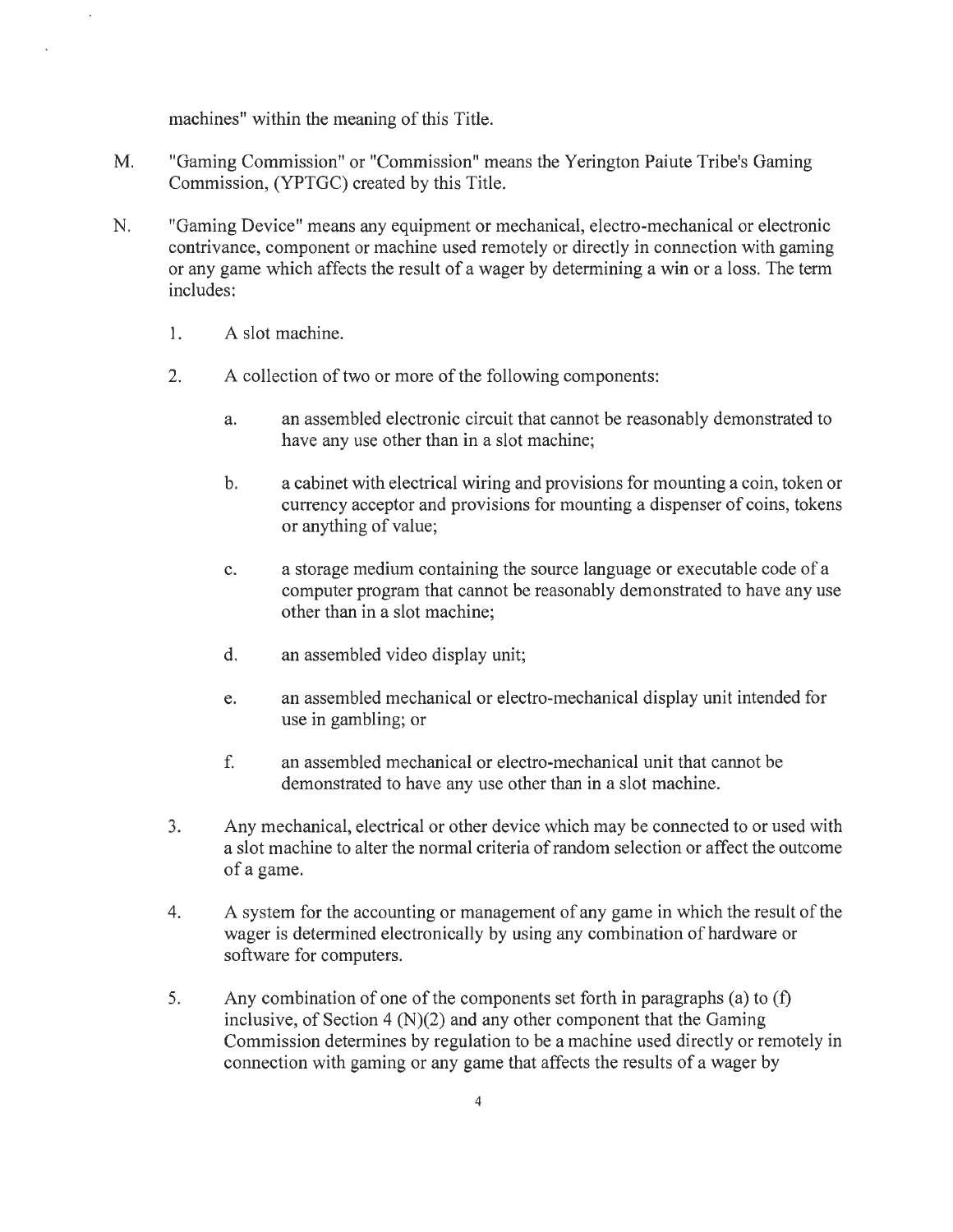machines" within the meaning of this Title.

- M. "Gaming Commission" or "Commission" means the Yerington Paiute Tribe's Gaming Commission, (YPTGC) created by this Title.
- N. "Gaming Device" means any equipment or mechanical, electro-mechanical or electronic contrivance, component or machine used remotely or directly in connection with gaming or any game which affects the result of a wager by determining a win or a loss. The term includes:
	- 1. A slot machine.
	- 2. A collection of two or more of the following components:
		- a. an assembled electronic circuit that cannot be reasonably demonstrated to have any use other than in a slot machine;
		- b. a cabinet with electrical wiring and provisions for mounting a coin, token or currency acceptor and provisions for mounting a dispenser of coins, tokens or anything of value;
		- c. a storage medium containing the source language or executable code of a computer program that cannot be reasonably demonstrated to have any use other than in a slot machine;
		- d. an assembled video display unit;
		- e. an assembled mechanical or electro-mechanical display unit intended for use in gambling; or
		- f. an assembled mechanical or electro-mechanical unit that cannot be demonstrated to have any use other than in a slot machine.
	- 3. Any mechanical, electrical or other device which may be connected to or used with a slot machine to alter the normal criteria of random selection or affect the outcome ofa game.
	- 4. A system for the accounting or management of any game in which the result of the wager is determined electronically by using any combination of hardware or software for computers.
	- 5. Any combination of one of the components set forth in paragraphs (a) to (f) inclusive, of Section  $4(N)(2)$  and any other component that the Gaming Commission determines by regulation to be a machine used directly or remotely in connection with gaming or any game that affects the results of a wager by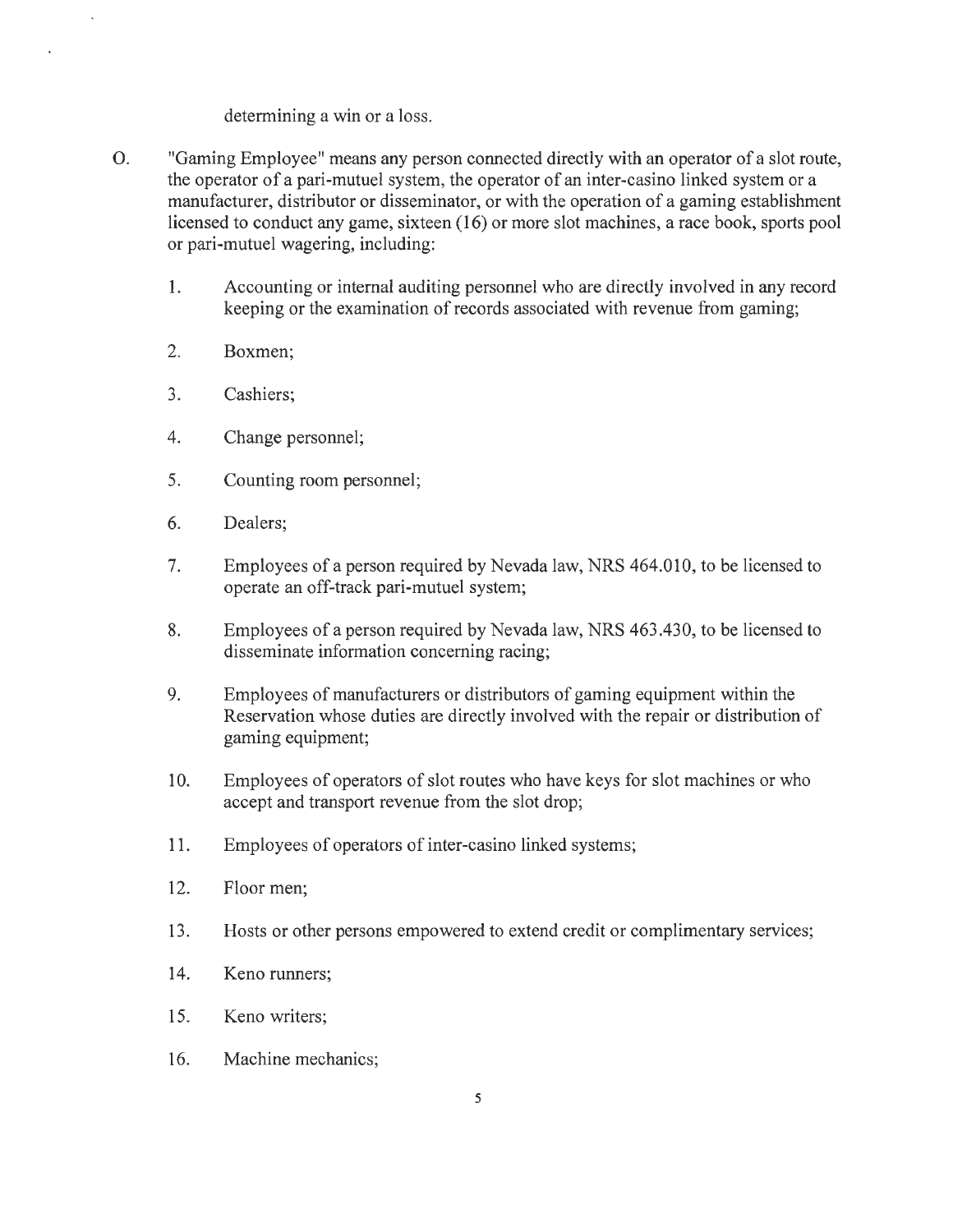#### determining a win or a loss.

- 0. "Gaming Employee" means any person connected directly with an operator of a slot route, the operator of a pari-mutuel system, the operator of an inter-casino linked system or a manufacturer, distributor or disseminator, or with the operation of a gaming establishment licensed to conduct any game, sixteen (16) or more slot machines, a race book, sports pool or pari-mutuel wagering, including:
	- 1. Accounting or internal auditing personnel who are directly involved in any record keeping or the examination of records associated with revenue from gaming;
	- 2. Boxmen;

ï

- 3. Cashiers;
- 4. Change personnel;
- 5. Counting room personnel;
- 6. Dealers;
- 7. Employees of a person required by Nevada law, NRS 464.010, to be licensed to operate an off-track pari-mutuel system;
- 8. Employees of a person required by Nevada law, NRS 463.430, to be licensed to disseminate information concerning racing;
- 9. Employees of manufacturers or distributors of gaming equipment within the Reservation whose duties are directly involved with the repair or distribution of gaming equipment;
- 10. Employees of operators of slot routes who have keys for slot machines or who accept and transport revenue from the slot drop;
- 11. Employees of operators of inter-casino linked systems;
- 12. Floor men;
- 13. Hosts or other persons empowered to extend credit or complimentary services;
- 14. Keno runners;
- 15. Keno writers;
- 16. Machine mechanics;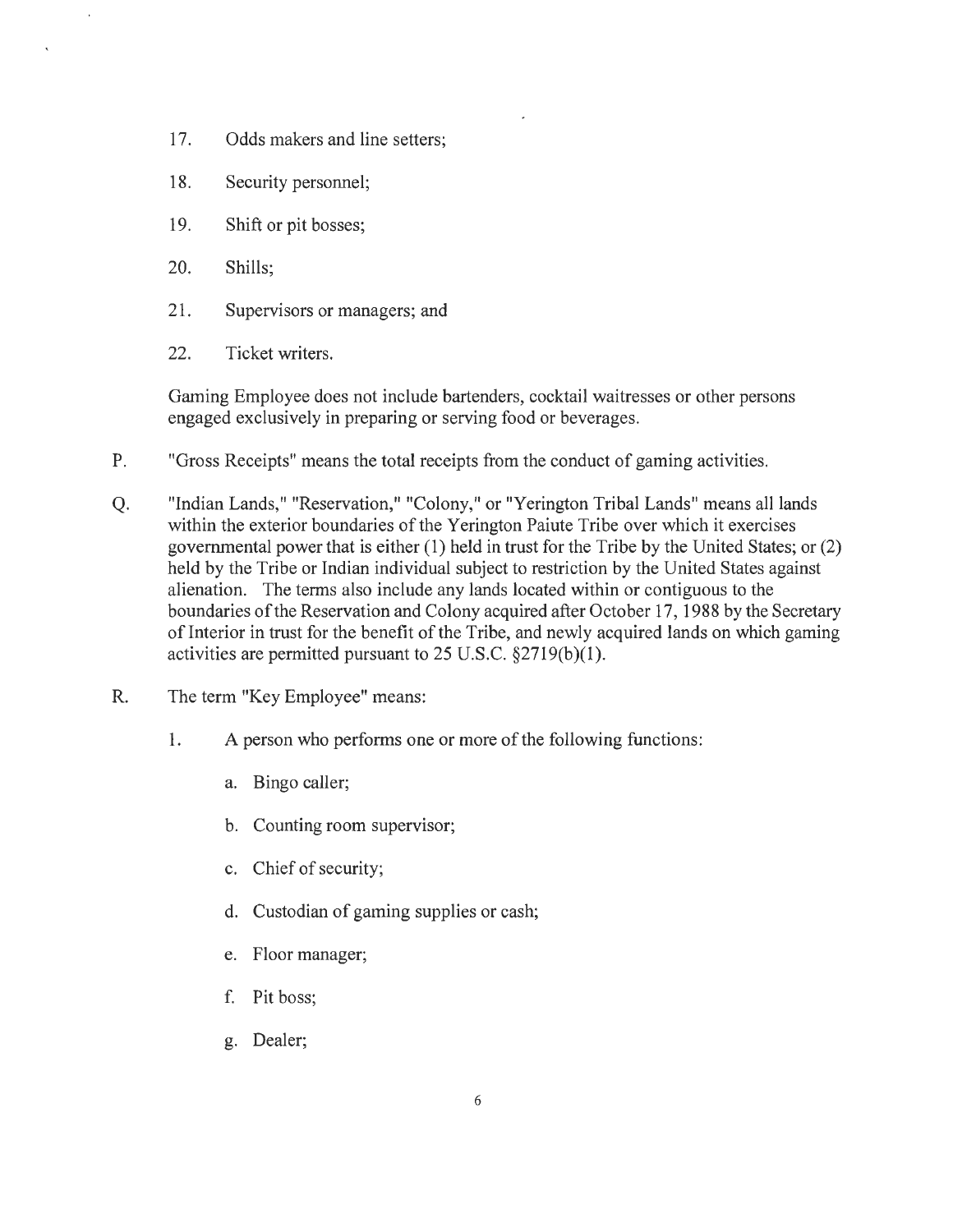- 17. Odds makers and line setters;
- 18. Security personnel;
- 19. Shift or pit bosses;
- 20. Shills;
- 21. Supervisors or managers; and
- 22. Ticket writers.

Gaming Employee does not include bartenders, cocktail waitresses or other persons engaged exclusively in preparing or serving food or beverages.

- P. "Gross Receipts" means the total receipts from the conduct of gaming activities.
- Q. "Indian Lands," "Reservation," "Colony," or "Yerington Tribal Lands" means all lands within the exterior boundaries of the Yerington Paiute Tribe over which it exercises governmental power that is either (1) held in trust for the Tribe by the United States; or (2) held by the Tribe or Indian individual subject to restriction by the United States against alienation. The terms also include any lands located within or contiguous to the boundaries of the Reservation and Colony acquired after October 17, 1988 by the Secretary of Interior in trust for the benefit of the Tribe, and newly acquired lands on which gaming activities are permitted pursuant to 25 U.S.C. §2719(b)(l).
- R. The term "Key Employee" means:
	- 1. A person who performs one or more of the following functions:
		- a. Bingo caller;
		- b. Counting room supervisor;
		- c. Chief of security;
		- d. Custodian of gaming supplies or cash;
		- e. Floor manager;
		- f. Pit boss;
		- g. Dealer;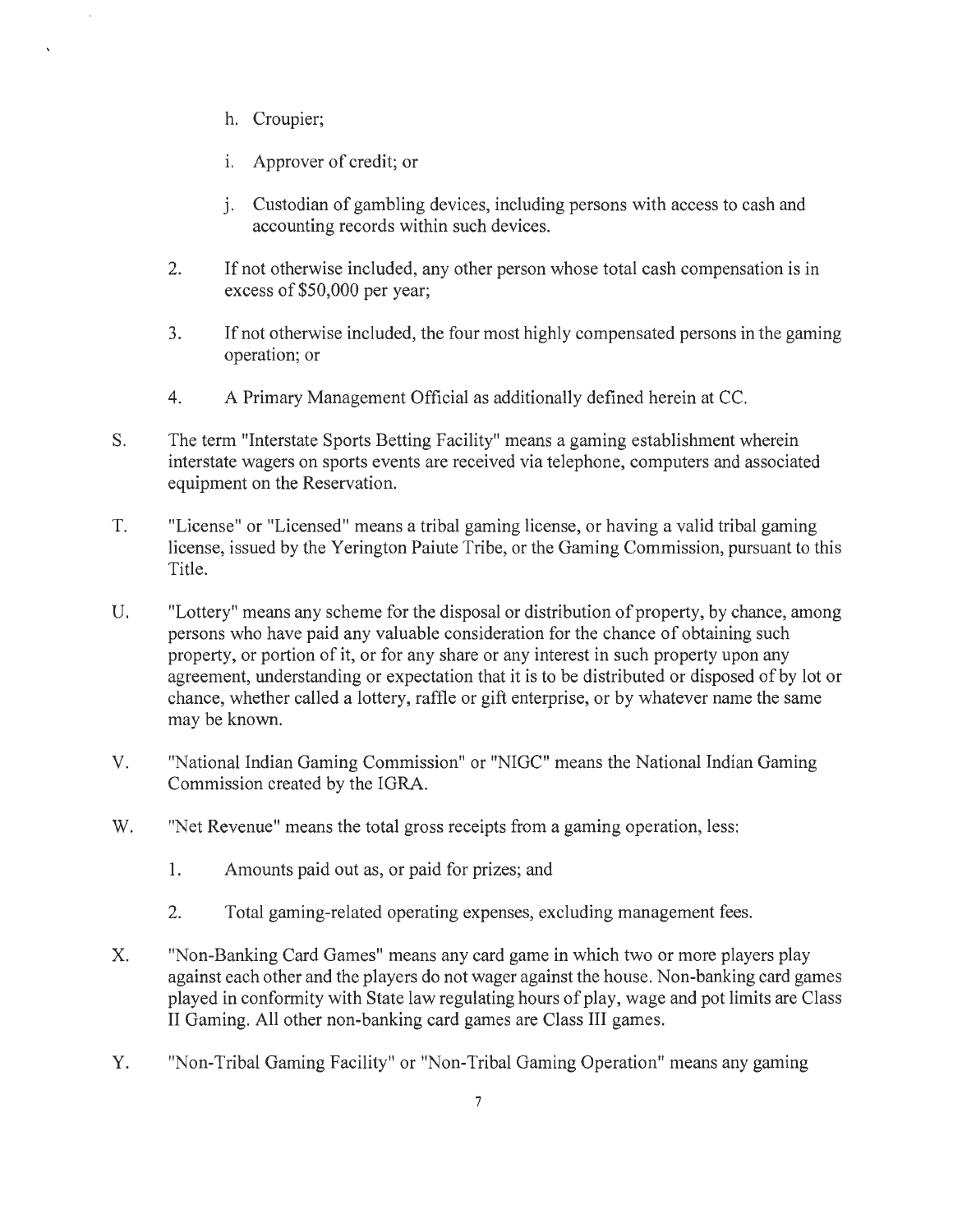- h. Croupier;
- i. Approver of credit; or
- j. Custodian of gambling devices, including persons with access to cash and accounting records within such devices.
- 2. If not otherwise included, any other person whose total cash compensation is in excess of \$50,000 per year;
- 3. If not otherwise included, the four most highly compensated persons in the gaming operation; or
- 4. A Primary Management Official as additionally defined herein at CC.
- S. The term "Interstate Sports Betting Facility" means a gaming establishment wherein interstate wagers on sports events are received via telephone, computers and associated equipment on the Reservation.
- T. "License" or "Licensed" means a tribal gaming license, or having a valid tribal gaming license, issued by the Yerington Paiute Tribe, or the Gaming Commission, pursuant to this Title.
- U. "Lottery" means any scheme for the disposal or distribution of property, by chance, among persons who have paid any valuable consideration for the chance of obtaining such property, or portion of it, or for any share or any interest in such property upon any agreement, understanding or expectation that it is to be distributed or disposed of by lot or chance, whether called a lottery, raffle or gift enterprise, or by whatever name the same may be known.
- V. "National Indian Gaming Commission" or "NIGC" means the National Indian Gaming Commission created by the IGRA.
- W. "Net Revenue" means the total gross receipts from a gaming operation, less:
	- 1. Amounts paid out as, or paid for prizes; and
	- 2. Total gaming-related operating expenses, excluding management fees.
- X. "Non-Banking Card Games" means any card game in which two or more players play against each other and the players do not wager against the house. Non-banking card games played in conformity with State law regulating hours of play, wage and pot limits are Class II Gaming. All other non-banking card games are Class III games.
- Y. "Non-Tribal Gaming Facility" or "Non-Tribal Gaming Operation" means any gaming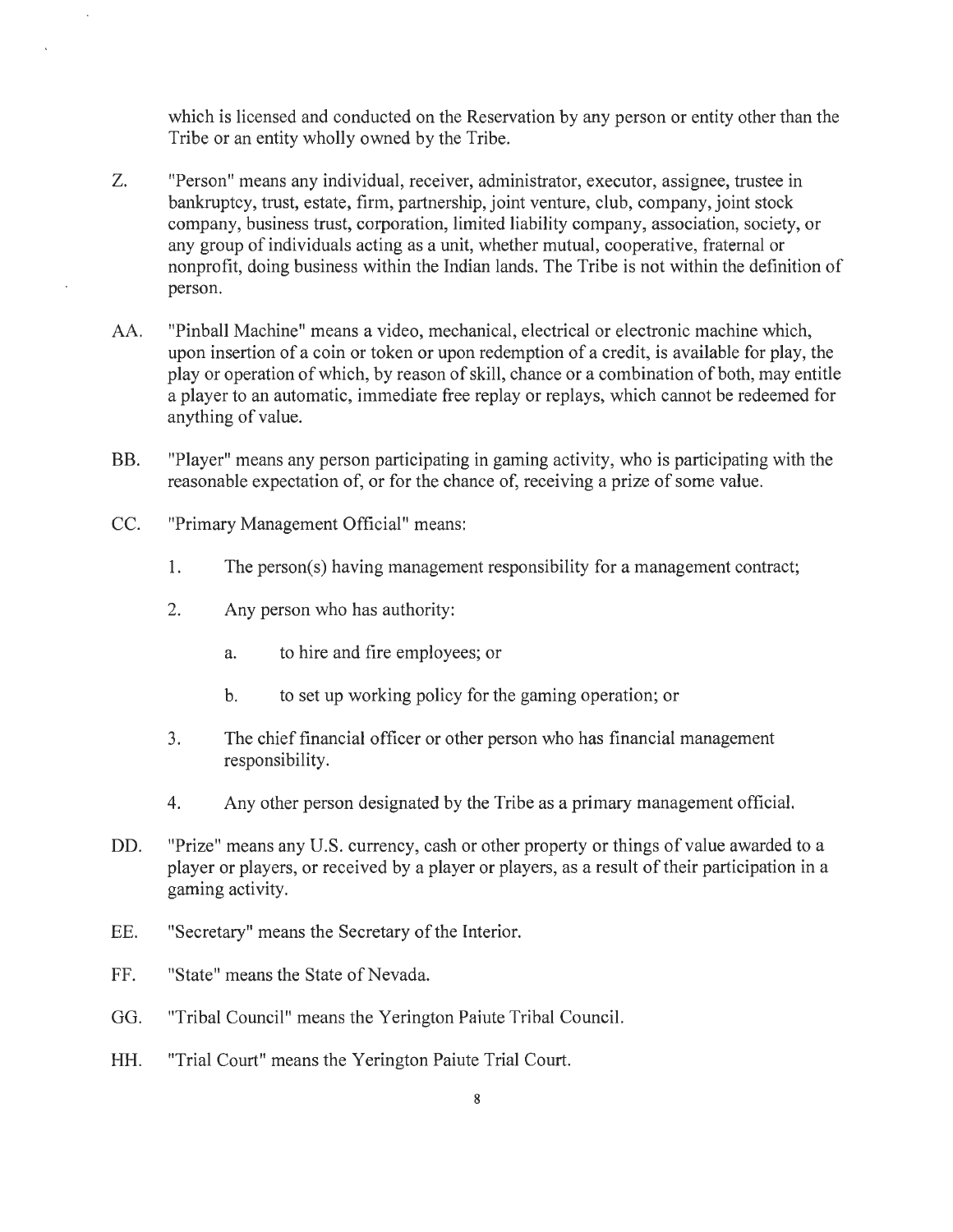which is licensed and conducted on the Reservation by any person or entity other than the Tribe or an entity wholly owned by the Tribe.

- Z. "Person" means any individual, receiver, administrator, executor, assignee, trustee in bankruptcy, trust, estate, firm, partnership, joint venture, club, company, joint stock company, business trust, corporation, limited liability company, association, society, or any group of individuals acting as a unit, whether mutual, cooperative, fraternal or nonprofit, doing business within the Indian lands. The Tribe is not within the definition of person.
- AA. "Pinball Machine" means a video, mechanical, electrical or electronic machine which, upon insertion of a coin or token or upon redemption of a credit, is available for play, the play or operation of which, by reason of skill, chance or a combination of both, may entitle a player to an automatic, immediate free replay or replays, which cannot be redeemed for anything of value.
- BB. "Player" means any person participating in gaming activity, who is participating with the reasonable expectation of, or for the chance of, receiving a prize of some value.
- CC. "Primary Management Official" means:
	- 1. The person(s) having management responsibility for a management contract;
	- 2. Any person who has authority:
		- a. to hire and fire employees; or
		- b. to set up working policy for the gaming operation; or
	- 3. The chief financial officer or other person who has financial management responsibility.
	- 4. Any other person designated by the Tribe as a primary management official.
- DD. "Prize" means any U.S. currency, cash or other property or things of value awarded to a player or players, or received by a player or players, as a result of their participation in a gaming activity.
- EE. "Secretary" means the Secretary of the Interior.
- FF. "State" means the State of Nevada.
- GG. "Tribal Council" means the Yerington Paiute Tribal Council.
- HH. "Trial Court" means the Yerington Paiute Trial Court.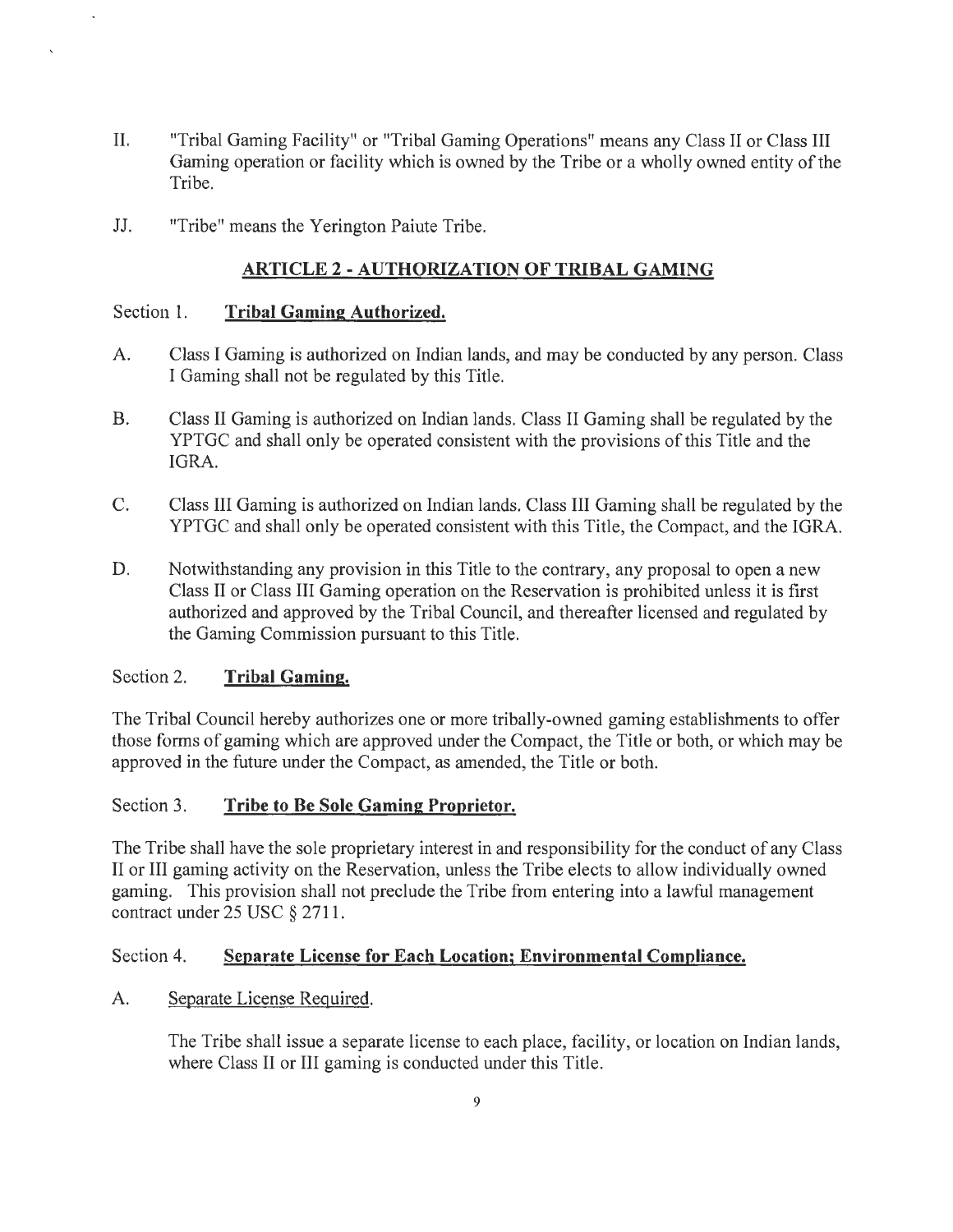- II. "Tribal Gaming Facility" or "Tribal Gaming Operations" means any Class II or Class III Gaming operation or facility which is owned by the Tribe or a wholly owned entity of the Tribe.
- JJ. "Tribe" means the Yerington Paiute Tribe.

#### **ARTICLE 2 - AUTHORIZATION OF TRIBAL GAMING**

#### Section 1. **Tribal Gaming Authorized.**

- A. Class I Gaming is authorized on Indian lands, and may be conducted by any person. Class I Gaming shall not be regulated by this Title.
- B. Class II Gaming is authorized on Indian lands. Class II Gaming shall be regulated by the YPTGC and shall only be operated consistent with the provisions of this Title and the IGRA.
- C. Class III Gaming is authorized on Indian lands. Class III Gaming shall be regulated by the YPTGC and shall only be operated consistent with this Title, the Compact, and the IGRA.
- D. Notwithstanding any provision in this Title to the contrary, any proposal to open a new Class II or Class III Gaming operation on the Reservation is prohibited unless it is first authorized and approved by the Tribal Council, and thereafter licensed and regulated by the Gaming Commission pursuant to this Title.

#### Section 2. **Tribal Gaming.**

The Tribal Council hereby authorizes one or more tribally-owned gaming establishments to offer those forms of gaming which are approved under the Compact, the Title or both, or which may be approved in the future under the Compact, as amended, the Title or both.

#### Section 3. **Tribe to Be Sole Gaming Proprietor.**

The Tribe shall have the sole proprietary interest in and responsibility for the conduct of any Class II or III gaming activity on the Reservation, unless the Tribe elects to allow individually owned gaming. This provision shall not preclude the Tribe from entering into a lawful management contract under 25 USC§ 2711.

#### Section 4. **Separate License for Each Location; Environmental Compliance.**

#### A. Separate License Required.

The Tribe shall issue a separate license to each place, facility, or location on Indian lands, where Class II or III gaming is conducted under this Title.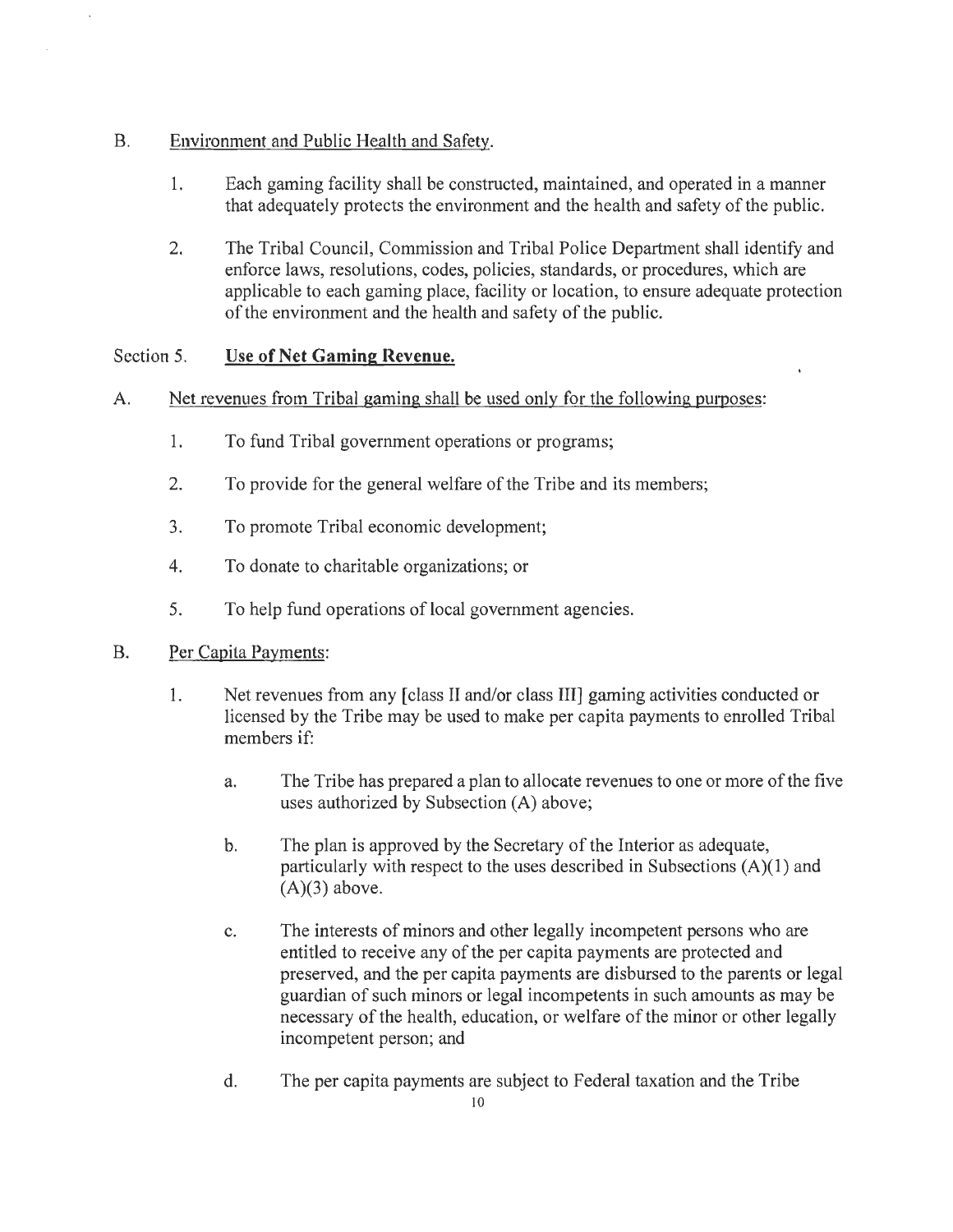## B. Environment and Public Health and Safety.

- 1. Each gaming facility shall be constructed, maintained, and operated in a manner that adequately protects the environment and the health and safety of the public.
- 2. The Tribal Council, Commission and Tribal Police Department shall identify and enforce laws, resolutions, codes, policies, standards, or procedures, which are applicable to each gaming place, facility or location, to ensure adequate protection of the environment and the health and safety of the public.

#### Section 5. Use of Net Gaming Revenue.

#### A. Net revenues from Tribal gaming shall be used only for the following purposes:

- 1. To fund Tribal government operations or programs;
- 2. To provide for the general welfare of the Tribe and its members;
- 3. To promote Tribal economic development;
- 4. To donate to charitable organizations; or
- 5. To help fund operations of local government agencies.

#### B. Per Capita Payments:

- 1. Net revenues from any [class II and/or class III] gaming activities conducted or licensed by the Tribe may be used to make per capita payments to enrolled Tribal members if:
	- a. The Tribe has prepared a plan to allocate revenues to one or more of the five uses authorized by Subsection (A) above;
	- b. The plan is approved by the Secretary of the Interior as adequate, particularly with respect to the uses described in Subsections  $(A)(1)$  and  $(A)(3)$  above.
	- c. The interests of minors and other legally incompetent persons who are entitled to receive any of the per capita payments are protected and preserved, and the per capita payments are disbursed to the parents or legal guardian of such minors or legal incompetents in such amounts as may be necessary of the health, education, or welfare of the minor or other legally incompetent person; and
	- d. The per capita payments are subject to Federal taxation and the Tribe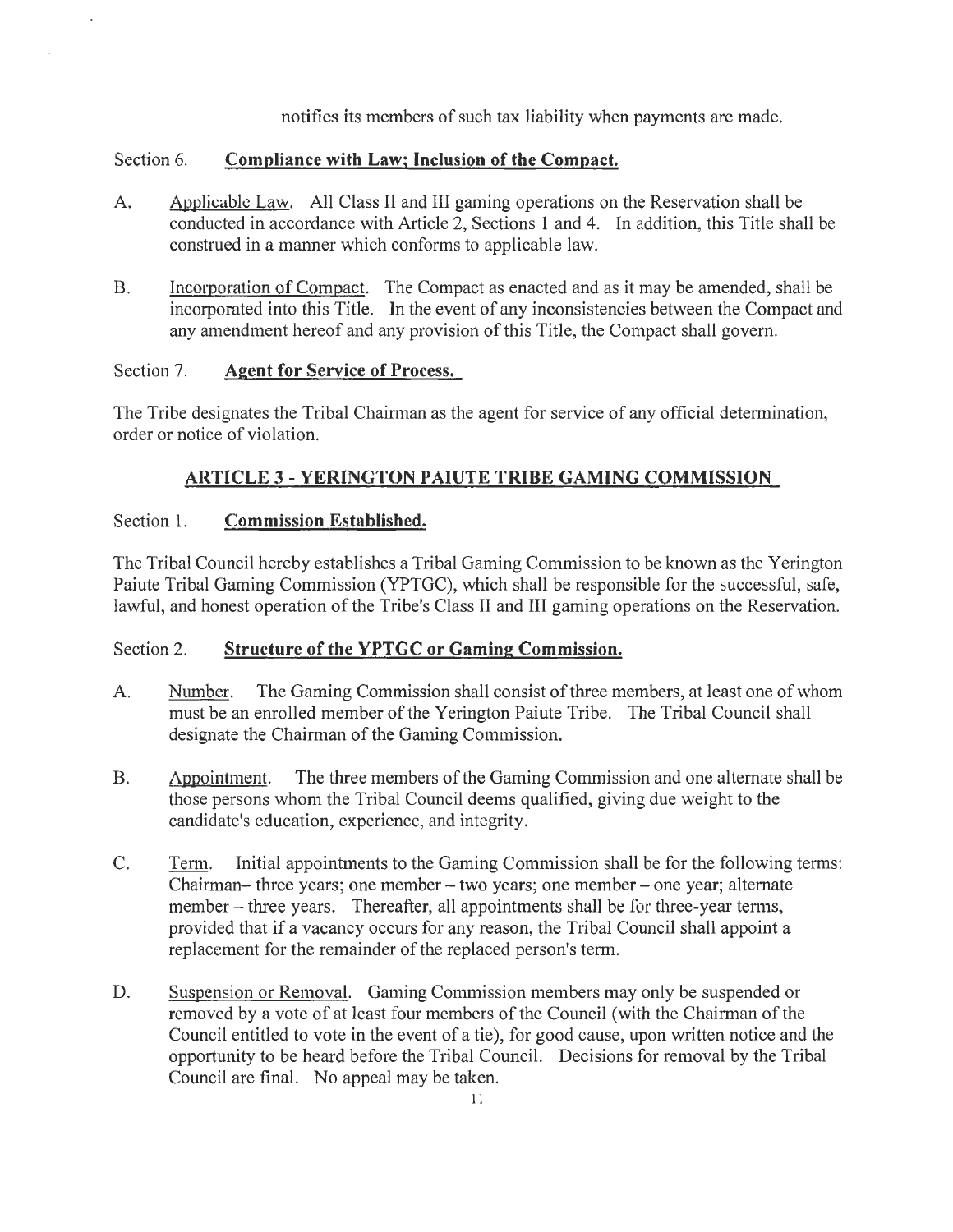notifies its members of such tax liability when payments are made.

#### Section 6. **Compliance with Law; Inclusion of the Compact.**

- A. Applicable Law. All Class II and III gaming operations on the Reservation shall be conducted in accordance with Article 2, Sections 1 and 4. In addition, this Title shall be construed in a manner which conforms to applicable law.
- B. Incorporation of Compact. The Compact as enacted and as it may be amended, shall be incorporated into this Title. In the event of any inconsistencies between the Compact and any amendment hereof and any provision of this Title, the Compact shall govern.

#### Section 7. **Agent for Service of Process.**

The Tribe designates the Tribal Chairman as the agent for service of any official determination, order or notice of violation.

## **ARTICLE 3 - YERINGTON PAIUTE TRIBE GAMING COMMIS ION**

#### Section 1. **Commission Established.**

The Tribal Council hereby establishes a Tribal Gaming Commission to be known as the Yerington Paiute Tribal Gaming Commission (YPTGC), which shall be responsible for the successful, safe, lawful, and honest operation of the Tribe's Class II and III gaming operations on the Reservation.

#### Section 2. **Structure of the YPTGC or Gaming Commission.**

- A. Number. The Gaming Commission shall consist of three members, at least one of whom must be an enrolled member of the Yerington Paiute Tribe. The Tribal Council shall designate the Chairman of the Gaming Commission.
- B.  $\Delta$ ppointment. The three members of the Gaming Commission and one alternate shall be those persons whom the Tribal Council deems qualified, giving due weight to the candidate's education, experience, and integrity.
- C. Term. Initial appointments to the Gaming Commission shall be for the following terms: Chairman- three years; one member  $-$  two years; one member  $-$  one year; alternate member – three years. Thereafter, all appointments shall be for three-year terms, provided that if a vacancy occurs for any reason, the Tribal Council shall appoint a replacement for the remainder of the replaced person's term.
- D. Suspension or Removal. Gaming Commission members may only be suspended or removed by a vote of at least four members of the Council (with the Chairman of the Council entitled to vote in the event of a tie), for good cause, upon written notice and the opportunity to be heard before the Tribal Council. Decisions for removal by the Tribal Council are final. No appeal may be taken.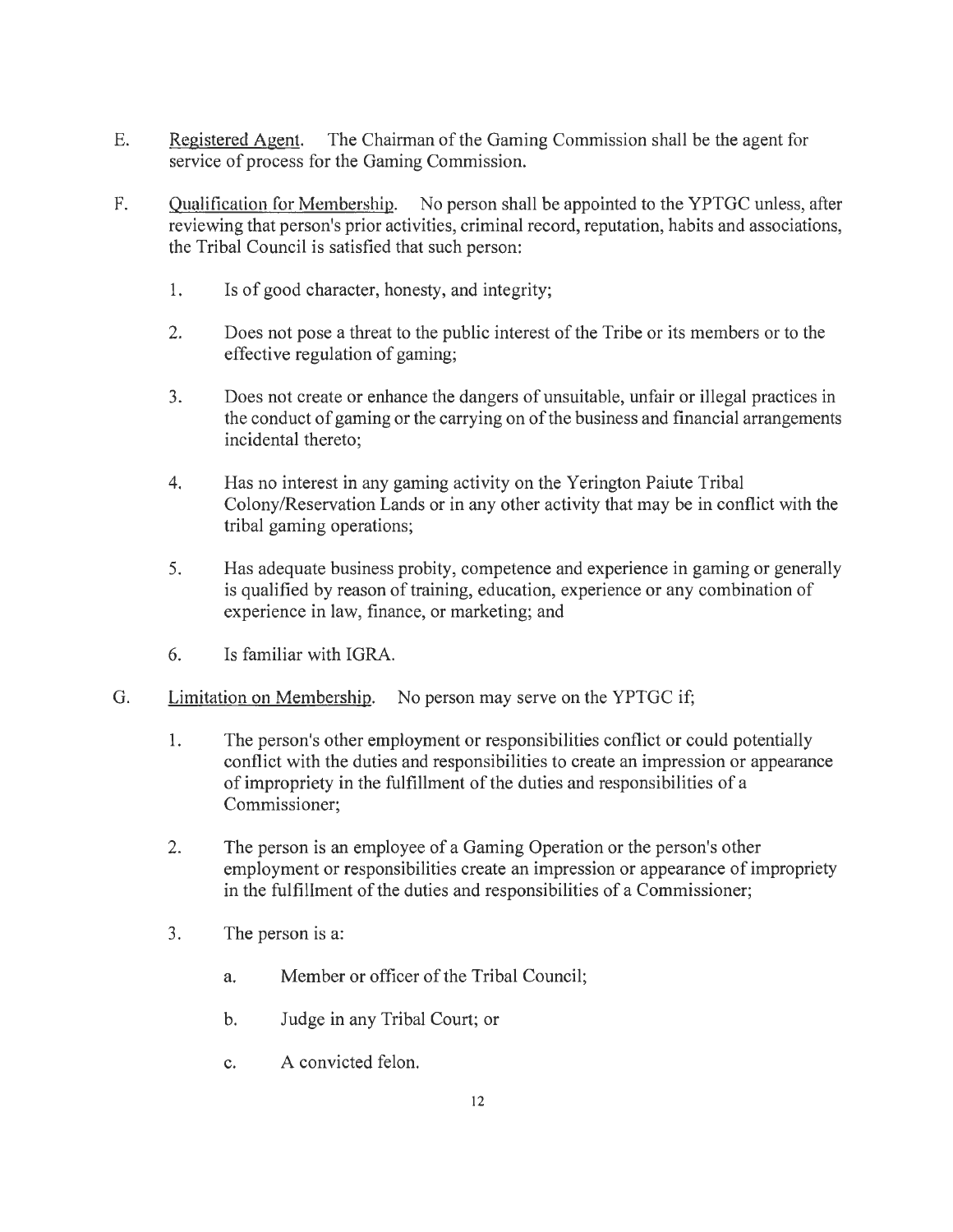- E. Registered Agent. The Chairman of the Gaming Commission shall be the agent for service of process for the Gaming Commission.
- F. Qualification for Membership. No person shall be appointed to the YPTGC unless, after reviewing that person's prior activities, criminal record, reputation, habits and associations, the Tribal Council is satisfied that such person:
	- 1. Is of good character, honesty, and integrity;
	- 2. Does not pose a threat to the public interest of the Tribe or its members or to the effective regulation of gaming;
	- 3. Does not create or enhance the dangers of unsuitable, unfair or illegal practices in the conduct of gaming or the carrying on of the business and financial arrangements incidental thereto;
	- 4. Has no interest in any gaming activity on the Yerington Paiute Tribal Colony/Reservation Lands or in any other activity that may be in conflict with the tribal gaming operations;
	- 5. Has adequate business probity, competence and experience in gaming or generally is qualified by reason of training, education, experience or any combination of experience in law, finance, or marketing; and
	- 6. Is familiar with IGRA.
- G. Limitation on Membership. No person may serve on the YPTGC if;
	- 1. The person's other employment or responsibilities conflict or could potentially conflict with the duties and responsibilities to create an impression or appearance of impropriety in the fulfillment of the duties and responsibilities of a Commissioner;
	- 2. The person is an employee of a Gaming Operation or the person's other employment or responsibilities create an impression or appearance of impropriety in the fulfillment of the duties and responsibilities of a Commissioner;
	- 3. The person is a:
		- a. Member or officer of the Tribal Council;
		- b. Judge in any Tribal Court; or
		- c. A convicted felon.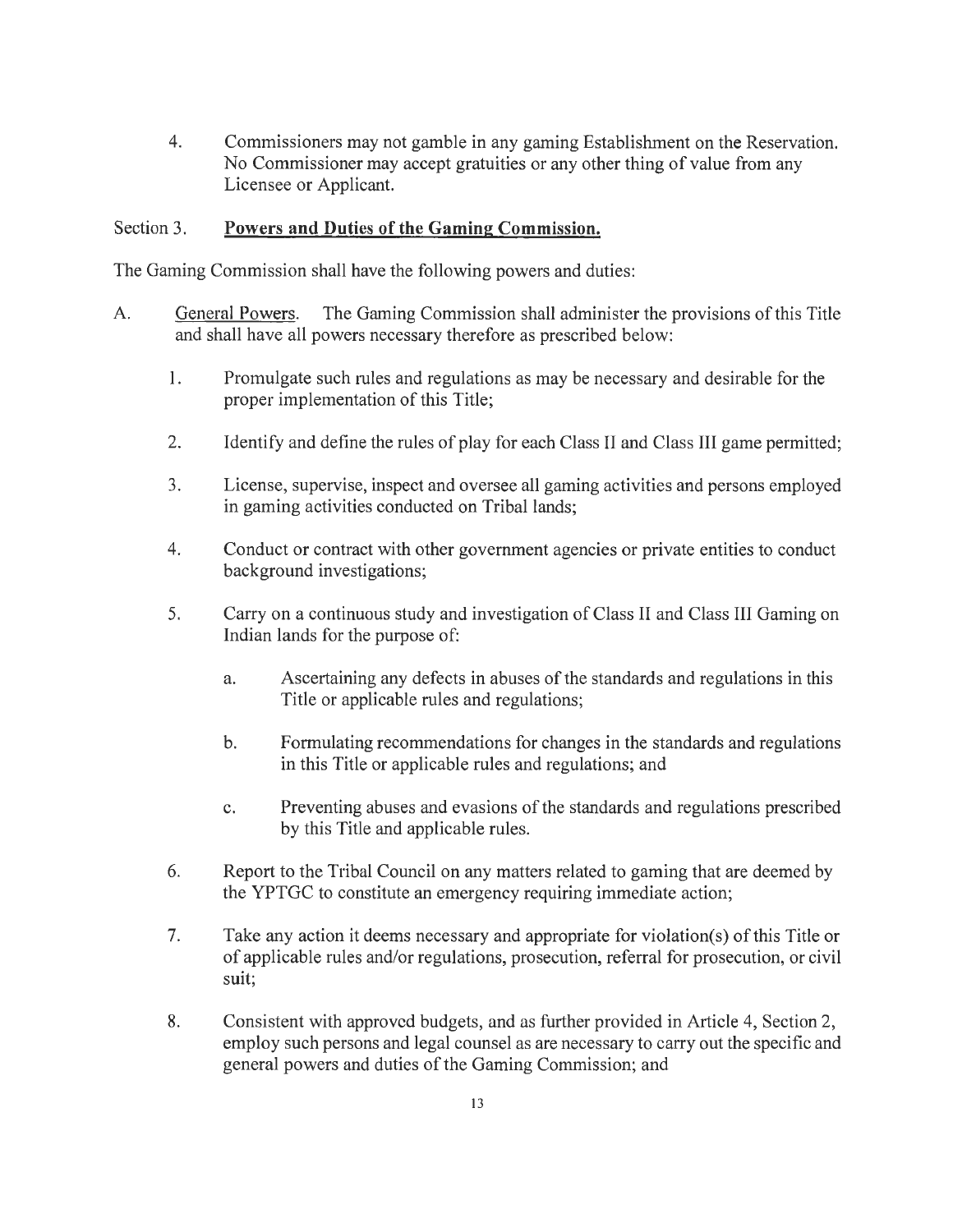4. Commissioners may not gamble in any gaming Establishment on the Reservation. No Commissioner may accept gratuities or any other thing of value from any Licensee or Applicant.

#### Section 3. **Powers and Duties of the Gaming Commission.**

The Gaming Commission shall have the following powers and duties:

- A. General Powers. The Gaming Commission shall administer the provisions of this Title and shall have all powers necessary therefore as prescribed below:
	- 1. Promulgate such rules and regulations as may be necessary and desirable for the proper implementation of this Title;
	- 2. Identify and define the rules of play for each Class II and Class III game permitted;
	- 3. License, supervise, inspect and oversee all gaming activities and persons employed in gaming activities conducted on Tribal lands;
	- 4. Conduct or contract with other government agencies or private entities to conduct background investigations;
	- 5. Carry on a continuous study and investigation of Class II and Class III Gaming on Indian lands for the purpose of:
		- a. Ascertaining any defects in abuses of the standards and regulations in this Title or applicable rules and regulations;
		- b. Formulating recommendations for changes in the standards and regulations in this Title or applicable rules and regulations; and
		- c. Preventing abuses and evasions of the standards and regulations prescribed by this Title and applicable rules.
	- 6. Report to the Tribal Council on any matters related to gaming that are deemed by the YPTGC to constitute an emergency requiring immediate action;
	- 7. Take any action it deems necessary and appropriate for violation(s) of this Title or of applicable rules and/or regulations, prosecution, referral for prosecution, or civil suit;
	- 8. Consistent with approved budgets, and as further provided in Article 4, Section 2, employ such persons and legal counsel as are necessary to carry out the specific and general powers and duties of the Gaming Commission; and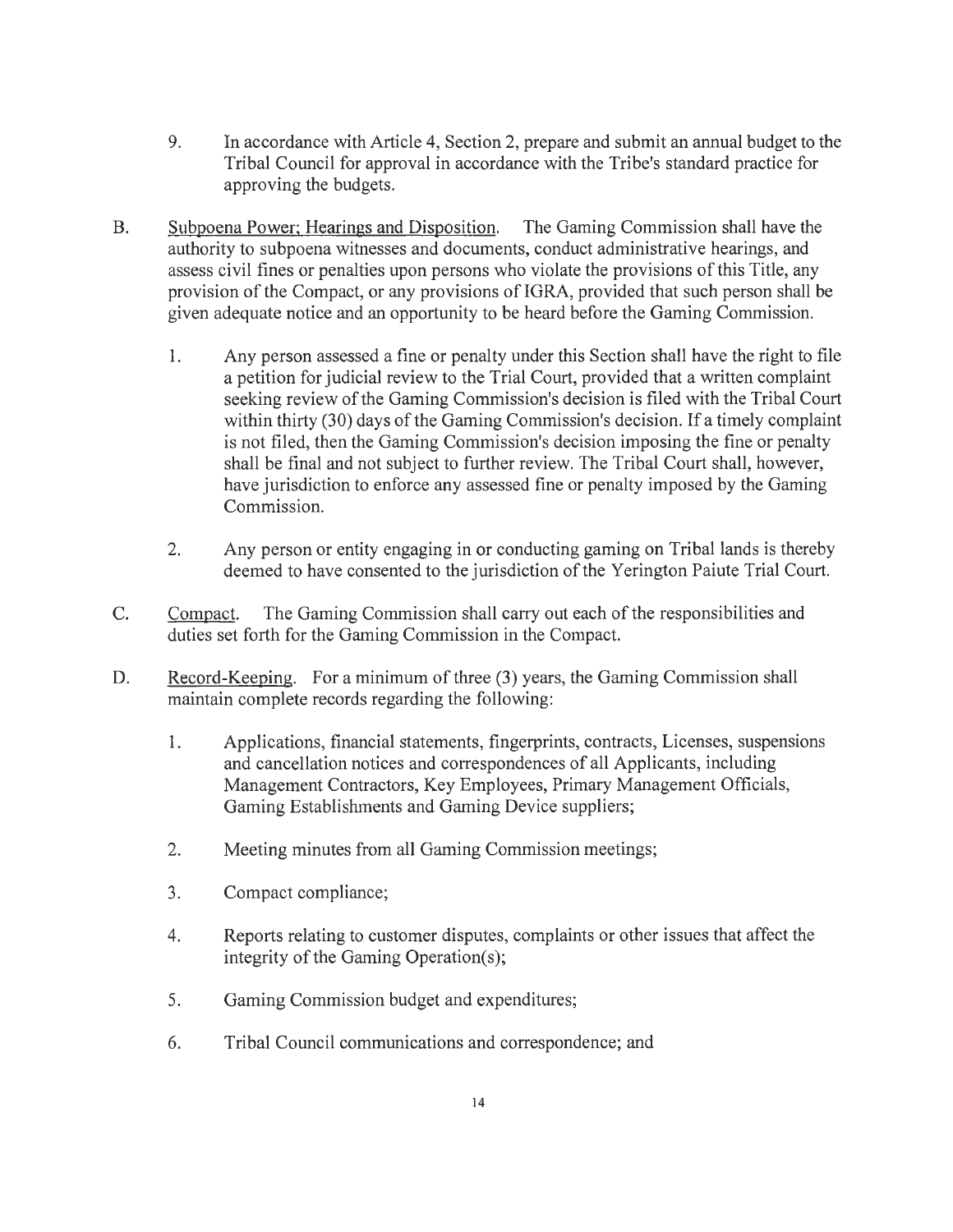- 9. In accordance with Article 4, Section 2, prepare and submit an annual budget to the Tribal Council for approval in accordance with the Tribe's standard practice for approving the budgets.
- B. Subpoena Power; Hearings and Disposition. The Gaming Commission shall have the authority to subpoena witnesses and documents, conduct administrative hearings, and assess civil fines or penalties upon persons who violate the provisions of this Title, any provision of the Compact, or any provisions of IGRA, provided that such person shall be given adequate notice and an opportunity to be heard before the Gaming Commission.
	- 1. Any person assessed a fine or penalty under this Section shall have the right to file a petition for judicial review to the Trial Court, provided that a written complaint seeking review of the Gaming Commission's decision is filed with the Tribal Court within thirty (30) days of the Gaming Commission's decision. If a timely complaint is not filed, then the Gaming Commission's decision imposing the fine or penalty shall be final and not subject to further review. The Tribal Court shall, however, have jurisdiction to enforce any assessed fine or penalty imposed by the Gaming Commission.
	- 2. Any person or entity engaging in or conducting gaming on Tribal lands is thereby deemed to have consented to the jurisdiction of the Yerington Paiute Trial Court.
- C. Compact. The Gaming Commission shall carry out each of the responsibilities and duties set forth for the Gaming Commission in the Compact.
- D. Record-Keeping. For a minimum of three (3) years, the Gaming Commission shall maintain complete records regarding the following:
	- 1. Applications, financial statements, fingerprints, contracts, Licenses, suspensions and cancellation notices and correspondences of all Applicants, including Management Contractors, Key Employees, Primary Management Officials, Gaming Establishments and Gaming Device suppliers;
	- 2. Meeting minutes from all Gaming Commission meetings;
	- 3. Compact compliance;
	- 4. Reports relating to customer disputes, complaints or other issues that affect the integrity of the Gaming Operation(s);
	- 5. Gaming Commission budget and expenditures;
	- 6. Tribal Council communications and correspondence; and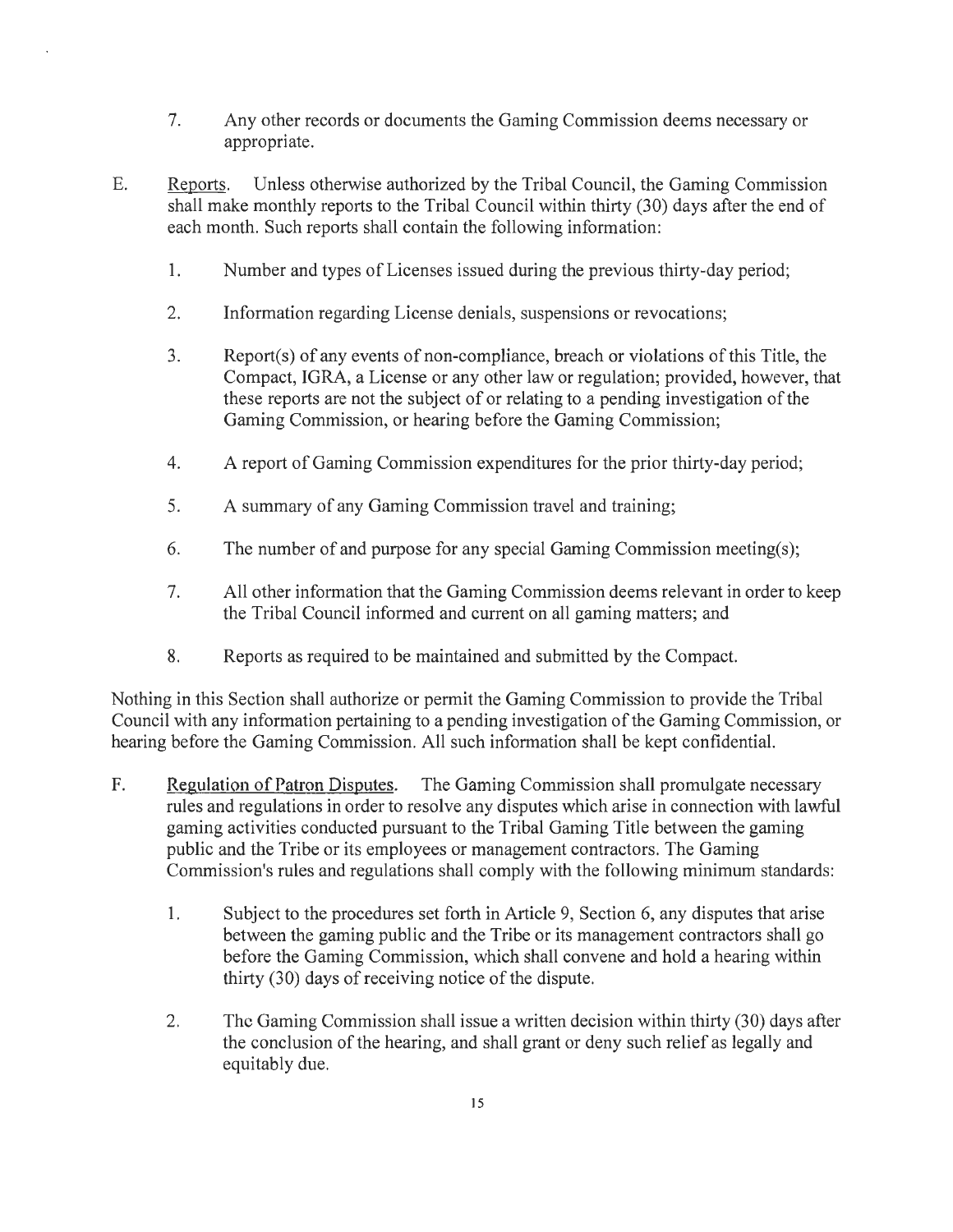- 7. Any other records or documents the Gaming Commission deems necessary or appropriate.
- E. Reports. Unless otherwise authorized by the Tribal Council, the Gaming Commission shall make monthly reports to the Tribal Council within thirty (30) days after the end of each month. Such reports shall contain the following information:
	- 1. Number and types of Licenses issued during the previous thirty-day period;
	- 2. Information regarding License denials, suspensions or revocations;
	- 3. Report(s) of any events of non-compliance, breach or violations of this Title, the Compact, IGRA, a License or any other law or regulation; provided, however, that these reports are not the subject of or relating to a pending investigation of the Gaming Commission, or hearing before the Gaming Commission;
	- 4. A report of Gaming Commission expenditures for the prior thirty-day period;
	- 5. A summary of any Gaming Commission travel and training;
	- 6. The number of and purpose for any special Gaming Commission meeting(s);
	- 7. All other information that the Gaming Commission deems relevant in order to keep the Tribal Council informed and current on all gaming matters; and
	- 8. Reports as required to be maintained and submitted by the Compact.

Nothing in this Section shall authorize or permit the Gaming Commission to provide the Tribal Council with any information pertaining to a pending investigation of the Gaming Commission, or hearing before the Gaming Commission. All such information shall be kept confidential.

- F. Regulation of Patron Disputes. The Gaming Commission shall promulgate necessary rules and regulations in order to resolve any disputes which arise in connection with lawful gaming activities conducted pursuant to the Tribal Gaming Title between the gaming public and the Tribe or its employees or management contractors. The Gaming Commission's rules and regulations shall comply with the following minimum standards:
	- 1. Subject to the procedures set forth in Article 9, Section 6, any disputes that arise between the gaming public and the Tribe or its management contractors shall go before the Gaming Commission, which shall convene and hold a hearing within thirty (30) days of receiving notice of the dispute.
	- 2. The Gaming Commission shall issue a written decision within thirty (30) days after the conclusion of the hearing, and shall grant or deny such relief as legally and equitably due.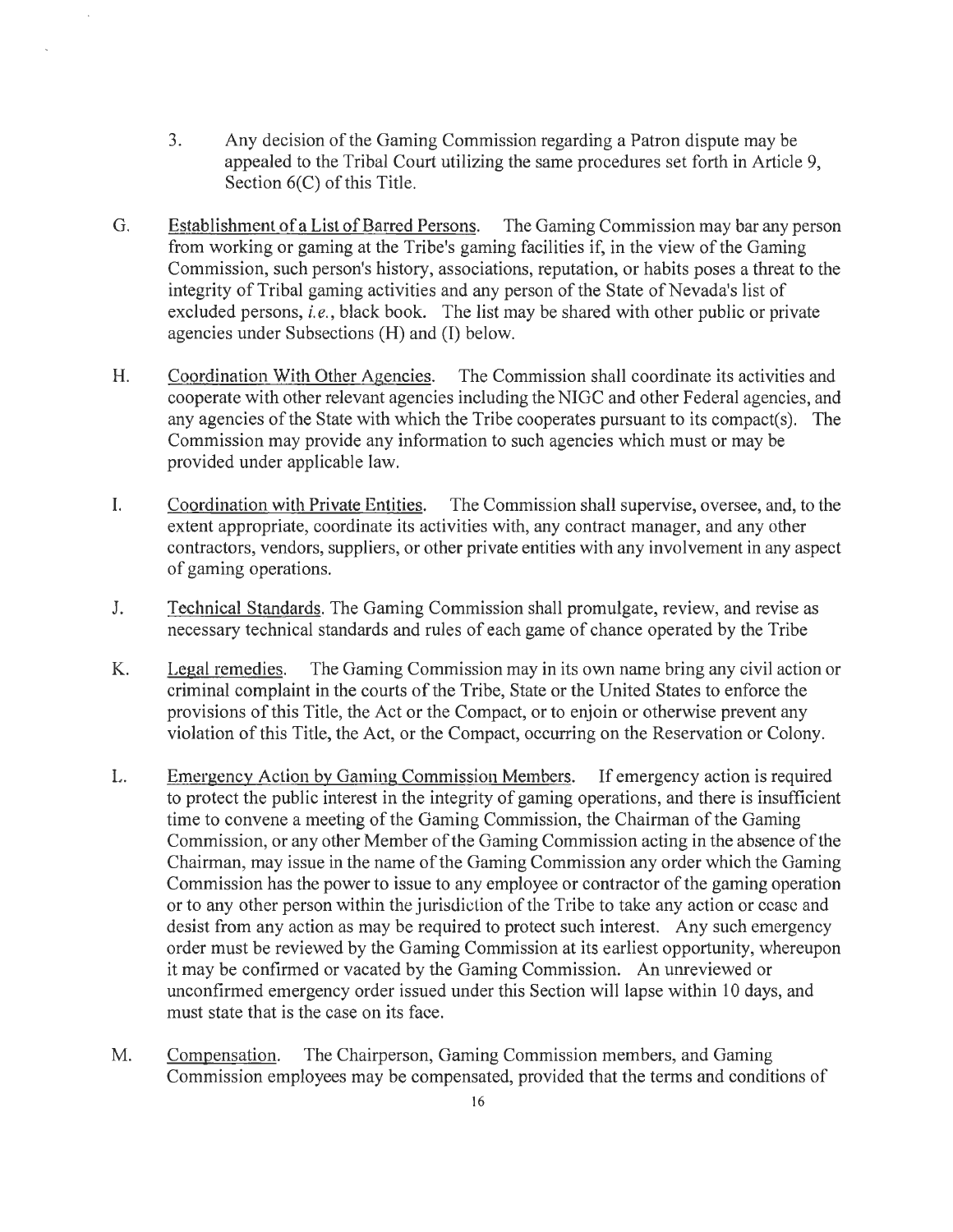- 3. Any decision of the Gaming Commission regarding a Patron dispute may be appealed to the Tribal Court utilizing the same procedures set forth in Article 9, Section 6(C) of this Title.
- G. Establishment of a List of Barred Persons. The Gaming Commission may bar any person from working or gaming at the Tribe's gaming facilities if, in the view of the Gaming Commission, such person's history, associations, reputation, or habits poses a threat to the integrity of Tribal gaming activities and any person of the State of Nevada's list of excluded persons, *i.e.,* black book. The list may be shared with other public or private agencies under Subsections (H) and (I) below.
- H. Coordination With Other Agencies. The Commission shall coordinate its activities and cooperate with other relevant agencies including the NIGC and other Federal agencies, and any agencies of the State with which the Tribe cooperates pursuant to its compact(s). The Commission may provide any information to such agencies which must or may be provided under applicable law.
- I. Coordination with Private Entities. The Commission shall supervise, oversee, and, to the extent appropriate, coordinate its activities with, any contract manager, and any other contractors, vendors, suppliers, or other private entities with any involvement in any aspect of gaming operations.
- J. Technical Standards. The Gaming Commission shall promulgate, review, and revise as necessary technical standards and rules of each game of chance operated by the Tribe
- K. Legal remedies. The Gaming Commission may in its own name bring any civil action or criminal complaint in the courts of the Tribe, State or the United States to enforce the provisions of this Title, the Act or the Compact, or to enjoin or otherwise prevent any violation of this Title, the Act, or the Compact, occurring on the Reservation or Colony.
- L. Emergency Action by Gaming Commission Members. If emergency action is required to protect the public interest in the integrity of gaming operations, and there is insufficient time to convene a meeting of the Gaming Commission, the Chairman of the Gaming Commission, or any other Member of the Gaming Commission acting in the absence of the Chairman, may issue in the name of the Gaming Commission any order which the Gaming Commission has the power to issue to any employee or contractor of the gaming operation or to any other person within the jurisdiction of the Tribe to take any action or cease and desist from any action as may be required to protect such interest. Any such emergency order must be reviewed by the Gaming Commission at its earliest opportunity, whereupon it may be confirmed or vacated by the Gaming Commission. An unreviewed or unconfirmed emergency order issued under this Section will lapse within 10 days, and must state that is the case on its face.
- M. Compensation. The Chairperson, Gaming Commission members, and Gaming Commission employees may be compensated, provided that the terms and conditions of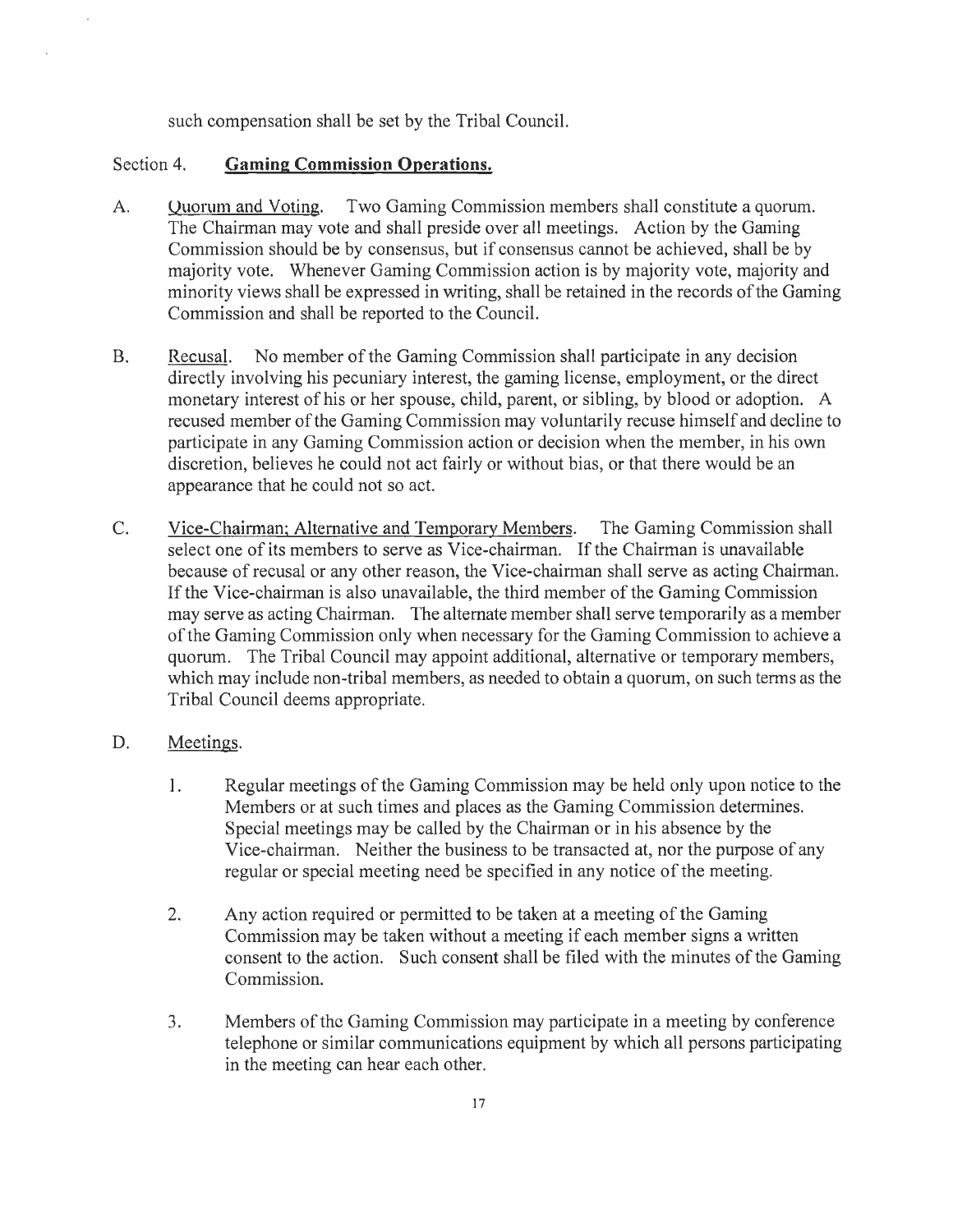such compensation shall be set by the Tribal Council.

#### Section 4. **Gaming Commission Operations.**

- A. Quorum and Voting. Two Gaming Commission members shall constitute a quorum. The Chairman may vote and shall preside over all meetings. Action by the Gaming Commission should be by consensus, but if consensus cannot be achieved, shall be by majority vote. Whenever Gaming Commission action is by majority vote, majority and minority views shall be expressed in writing, shall be retained in the records of the Gaming Commission and shall be reported to the Council.
- B. Recusal. No member of the Gaming Commission shall participate in any decision directly involving his pecuniary interest, the gaming license, employment, or the direct monetary interest of his or her spouse, child, parent, or sibling, by blood or adoption. A recused member of the Gaming Commission may voluntarily recuse himself and decline to participate in any Gaming Commission action or decision when the member, in his own discretion, believes he could not act fairly or without bias, or that there would be an appearance that he could not so act.
- C. Vice-Chairman; Alternative and Temporary Members. The Gaming Commission shall select one of its members to serve as Vice-chairman. If the Chairman is unavailable because of recusal or any other reason, the Vice-chairman shall serve as acting Chairman. If the Vice-chairman is also unavailable, the third member of the Gaming Commission may serve as acting Chairman. The alternate member shall serve temporarily as a member of the Gaming Commission only when necessary for the Gaming Commission to achieve a quorum. The Tribal Council may appoint additional, alternative or temporary members, which may include non-tribal members, as needed to obtain a quorum, on such terms as the Tribal Council deems appropriate.

#### D. Meetings.

- l. Regular meetings of the Gaming Commission may be held only upon notice to the Members or at such times and places as the Gaming Commission determines. Special meetings may be called by the Chairman or in his absence by the Vice-chairman. Neither the business to be transacted at, nor the purpose of any regular or special meeting need be specified in any notice of the meeting.
- 2. Any action required or permitted to be taken at a meeting of the Gaming Commission may be taken without a meeting if each member signs a written consent to the action. Such consent shall be filed with the minutes of the Gaming Commission.
- 3. Members of the Gaming Commission may participate in a meeting by conference telephone or similar communications equipment by which all persons participating in the meeting can hear each other.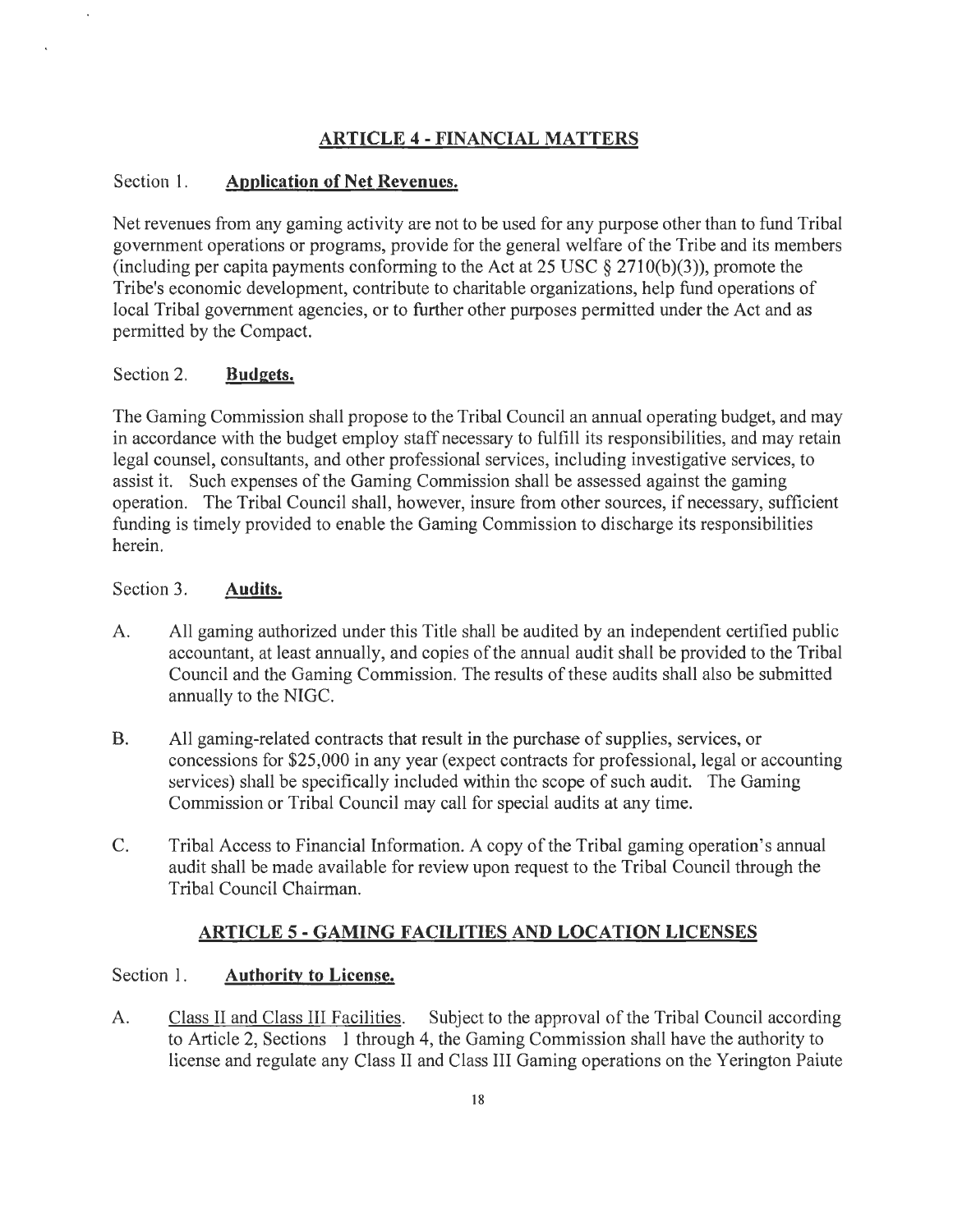## **ARTICLE 4-FINANCIAL MATTERS**

#### Section l. **Application of Net Revenues.**

Net revenues from any gaming activity are not to be used for any purpose other than to fund Tribal government operations or programs, provide for the general welfare of the Tribe and its members (including per capita payments conforming to the Act at 25 USC  $\S$  2710(b)(3)), promote the Tribe's economic development, contribute to charitable organizations, help fund operations of local Tribal government agencies, or to further other purposes permitted under the Act and as permitted by the Compact.

#### Section 2. **Budgets.**

The Gaming Commission shall propose to the Tribal Council an annual operating budget, and may in accordance with the budget employ staff necessary to fulfill its responsibilities, and may retain legal counsel, consultants, and other professional services, including investigative services, to assist it. Such expenses of the Gaming Commission shall be assessed against the gaming operation. The Tribal Council shall, however, insure from other sources, if necessary, sufficient funding is timely provided to enable the Gaming Commission to discharge its responsibilities herein.

#### Section 3. **Audits.**

- A. All gaming authorized under this Title shall be audited by an independent certified public accountant, at least annually, and copies of the annual audit shall be provided to the Tribal Council and the Gaming Commission. The results of these audits shall also be submitted annually to the NIGC.
- B. All gaming-related contracts that result in the purchase of supplies, services, or concessions for \$25,000 in any year (expect contracts for professional, legal or accounting services) shall be specifically included within the scope of such audit. The Gaming Commission or Tribal Council may call for special audits at any time.
- C. Tribal Access to Financial Information. A copy of the Tribal gaming operation's annual audit shall be made available for review upon request to the Tribal Council through the Tribal Council Chairman.

#### **ARTICLE 5- GAMING FACILITIES AND LOCATION LICENSES**

#### Section 1. **Authority to License.**

A. Class II and Class Ill Facilities. Subject to the approval of the Tribal Council according to Article 2, Sections 1 through 4, the Gaming Commission shall have the authority to license and regulate any Class II and Class III Gaming operations on the Yerington Paiute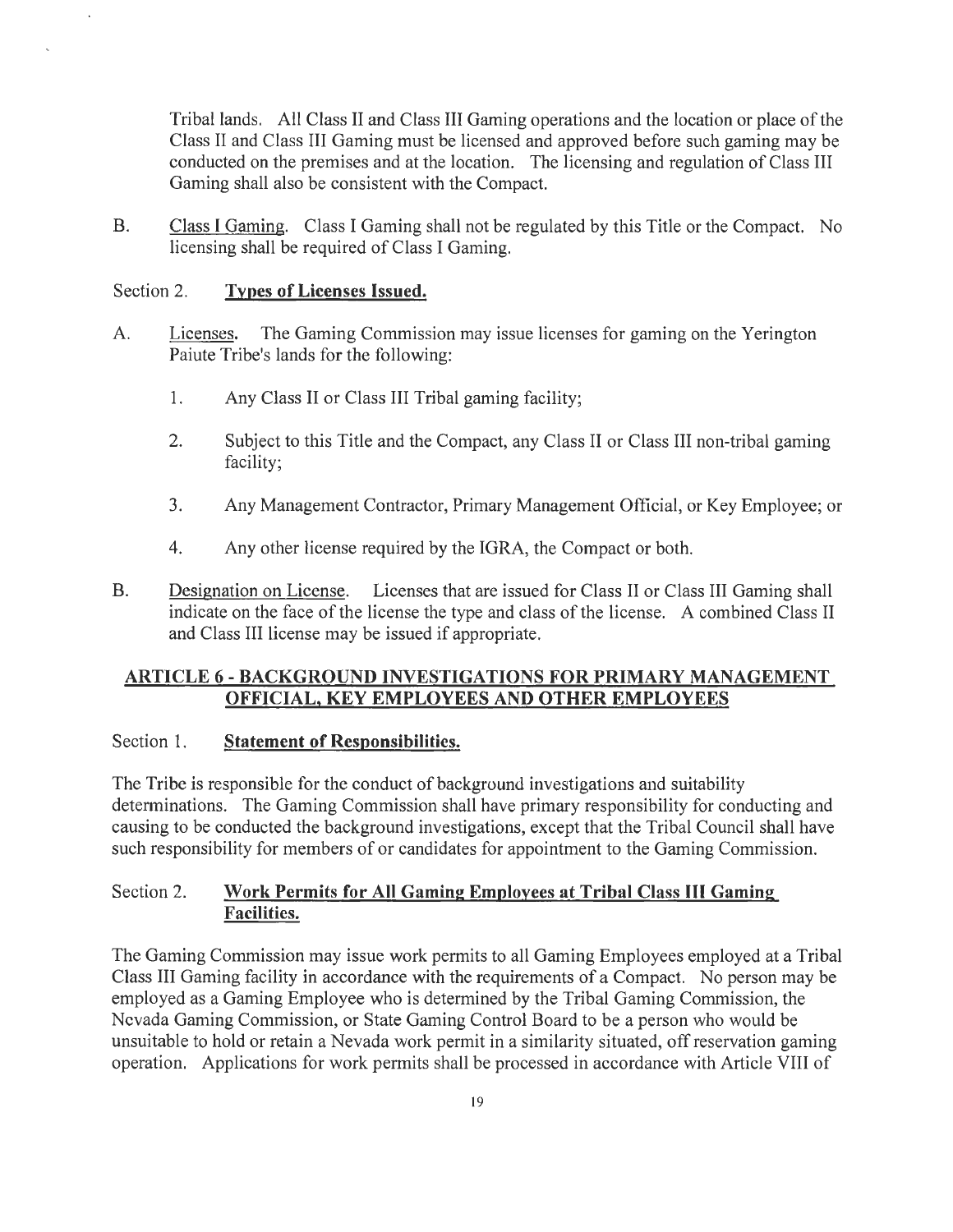Tribal lands. All Class II and Class III Gaming operations and the location or place of the Class II and Class III Gaming must be licensed and approved before such gaming may be conducted on the premises and at the location. The licensing and regulation of Class III Gaming shall also be consistent with the Compact.

B. Class I Gaming. Class I Gaming shall not be regulated by this Title or the Compact. No licensing shall be required of Class I Gaming.

#### Section 2. **Types of Licenses Issued.**

- A. Licenses. The Gaming Commission may issue licenses for gaming on the Yerington Paiute Tribe's lands for the following:
	- 1. Any Class II or Class III Tribal gaming facility;
	- 2. Subject to this Title and the Compact, any Class II or Class III non-tribal gaming facility;
	- 3. Any Management Contractor, Primary Management Official, or Key Employee; or
	- 4. Any other license required by the IGRA, the Compact or both.
- B. Designation on License. Licenses that are issued for Class II or Class III Gaming shall indicate on the face of the license the type and class of the license. A combined Class II and Class III license may be issued if appropriate.

#### **ARTICLE 6 - BACKGROUND INVESTIGATIONS FOR PRIMARY MANAGEMENT OFFICIAL, KEY EMPLOYEES AND OTHER EMPLOYEES**

#### Section 1. **Statement of Responsibilities.**

The Tribe is responsible for the conduct of background investigations and suitability determinations. The Gaming Commission shall have primary responsibility for conducting and causing to be conducted the background investigations, except that the Tribal Council shall have such responsibility for members of or candidates for appointment to the Gaming Commission.

#### Section 2. **Work Permits for All Gaming Employees at Tribal Class Ill Gaming Facilities.**

The Gaming Commission may issue work permits to all Gaming Employees employed at a Tribal Class III Gaming facility in accordance with the requirements of a Compact. No person may be employed as a Gaming Employee who is determined by the Tribal Gaming Commission, the Nevada Gaming Commission, or State Gaming Control Board to be a person who would be unsuitable to hold or retain a Nevada work permit in a similarity situated, off reservation gaming operation. Applications for work permits shall be processed in accordance with Article VIII of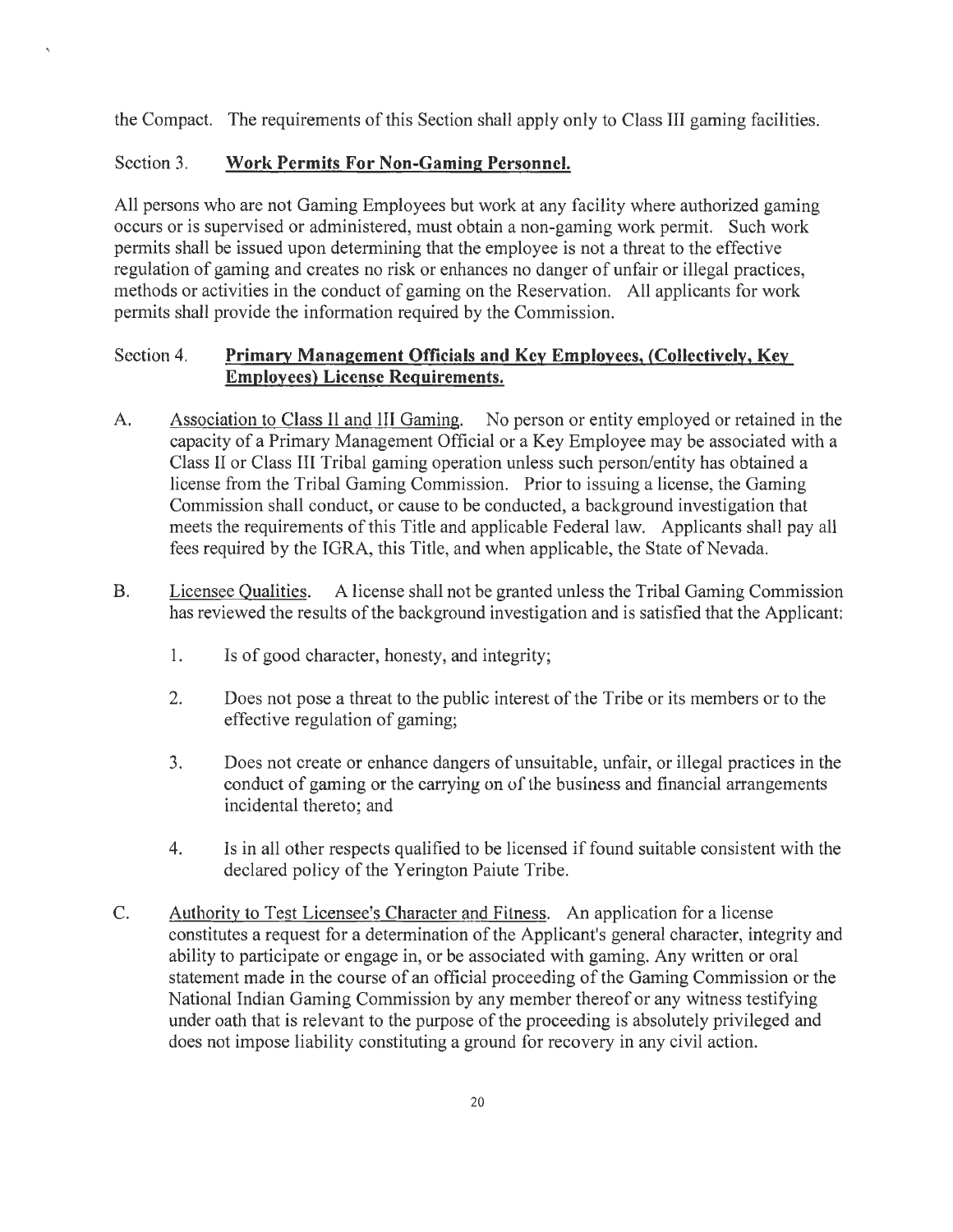the Compact. The requirements of this Section shall apply only to Class III gaming facilities.

#### Section 3. **Work Permits For Non-Gaming Personnel.**

 $\ddot{\phantom{1}}$ 

All persons who are not Gaming Employees but work at any facility where authorized gaming occurs or is supervised or administered, must obtain a non-gaming work permit. Such work permits shall be issued upon determining that the employee is not a threat to the effective regulation of gaming and creates no risk or enhances no danger of unfair or illegal practices, methods or activities in the conduct of gaming on the Reservation. All applicants for work permits shall provide the information required by the Commission.

#### Section 4. **Primary Management Officials and Key Employees, (Collectively, Key Employees) License Requirements.**

- A. Association to Class II and Ill Gaming. No person or entity employed or retained in the capacity of a Primary Management Official or a Key Employee may be associated with a Class II or Class III Tribal gaming operation unless such person/entity has obtained a license from the Tribal Gaming Commission. Prior to issuing a license, the Gaming Commission shall conduct, or cause to be conducted, a background investigation that meets the requirements of this Title and applicable Federal law. Applicants shall pay all fees required by the IGRA, this Title, and when applicable, the State of Nevada.
- B. Licensee Qualities. A license shall not be granted unless the Tribal Gaming Commission has reviewed the results of the background investigation and is satisfied that the Applicant:
	- 1. Is of good character, honesty, and integrity;
	- 2. Does not pose a threat to the public interest of the Tribe or its members or to the effective regulation of gaming;
	- 3. Does not create or enhance dangers of unsuitable, unfair, or illegal practices in the conduct of gaming or the carrying on of the business and financial arrangements incidental thereto; and
	- 4. Is in all other respects qualified to be licensed if found suitable consistent with the declared policy of the Yerington Paiute Tribe.
- C. Authority to Test Licensee's Character and Fitness. An application for a license constitutes a request for a determination of the Applicant's general character, integrity and ability to participate or engage in, or be associated with gaming. Any written or oral statement made in the course of an official proceeding of the Gaming Commission or the National Indian Gaming Commission by any member thereof or any witness testifying under oath that is relevant to the purpose of the proceeding is absolutely privileged and does not impose liability constituting a ground for recovery in any civil action.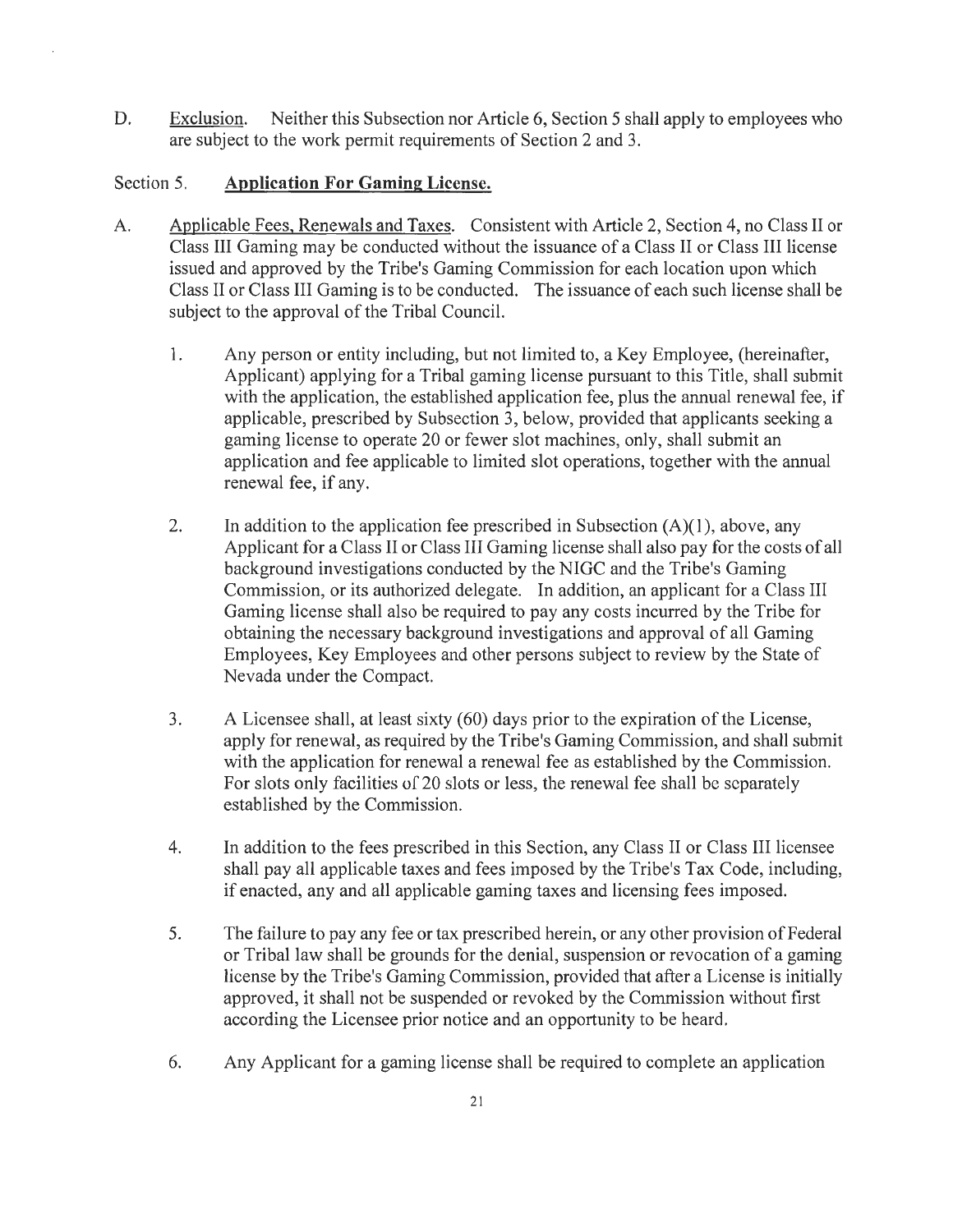D. Exclusion. Neither this Subsection nor Article 6, Section 5 shall apply to employees who are subject to the work permit requirements of Section 2 and 3.

#### Section 5. **Application For Gaming License.**

- A. Applicable Fees. Renewals and Taxes. Consistent with Article 2, Section 4, no Class II or Class III Gaming may be conducted without the issuance of a Class II or Class III license issued and approved by the Tribe's Gaming Commission for each location upon which Class II or Class III Gaming is to be conducted. The issuance of each such license shall be subject to the approval of the Tribal Council.
	- 1. Any person or entity including, but not limited to, a Key Employee, (hereinafter, Applicant) applying for a Tribal gaming license pursuant to this Title, shall submit with the application, the established application fee, plus the annual renewal fee, if applicable, prescribed by Subsection 3, below, provided that applicants seeking a gaming license to operate 20 or fewer slot machines, only, shall submit an application and fee applicable to limited slot operations, together with the annual renewal fee, if any.
	- 2. In addition to the application fee prescribed in Subsection  $(A)(1)$ , above, any Applicant for a Class II or Class III Gaming license shall also pay for the costs of all background investigations conducted by the NIGC and the Tribe's Gaming Commission, or its authorized delegate. In addition, an applicant for a Class III Gaming license shall also be required to pay any costs incurred by the Tribe for obtaining the necessary background investigations and approval of all Gaming Employees, Key Employees and other persons subject to review by the State of Nevada under the Compact.
	- 3. A Licensee shall, at least sixty (60) days prior to the expiration of the License, apply for renewal, as required by the Tribe's Gaming Commission, and shall submit with the application for renewal a renewal fee as established by the Commission. For slots only facilities of 20 slots or less, the renewal fee shall be separately established by the Commission.
	- 4. In addition to the fees prescribed in this Section, any Class II or Class III licensee shall pay all applicable taxes and fees imposed by the Tribe's Tax Code, including, if enacted, any and all applicable gaming taxes and licensing fees imposed.
	- 5. The failure to pay any fee or tax prescribed herein, or any other provision of Federal or Tribal law shall be grounds for the denial, suspension or revocation of a gaming license by the Tribe's Gaming Commission, provided that after a License is initially approved, it shall not be suspended or revoked by the Commission without first according the Licensee prior notice and an opportunity to be heard.
	- 6. Any Applicant for a gaming license shall be required to complete an application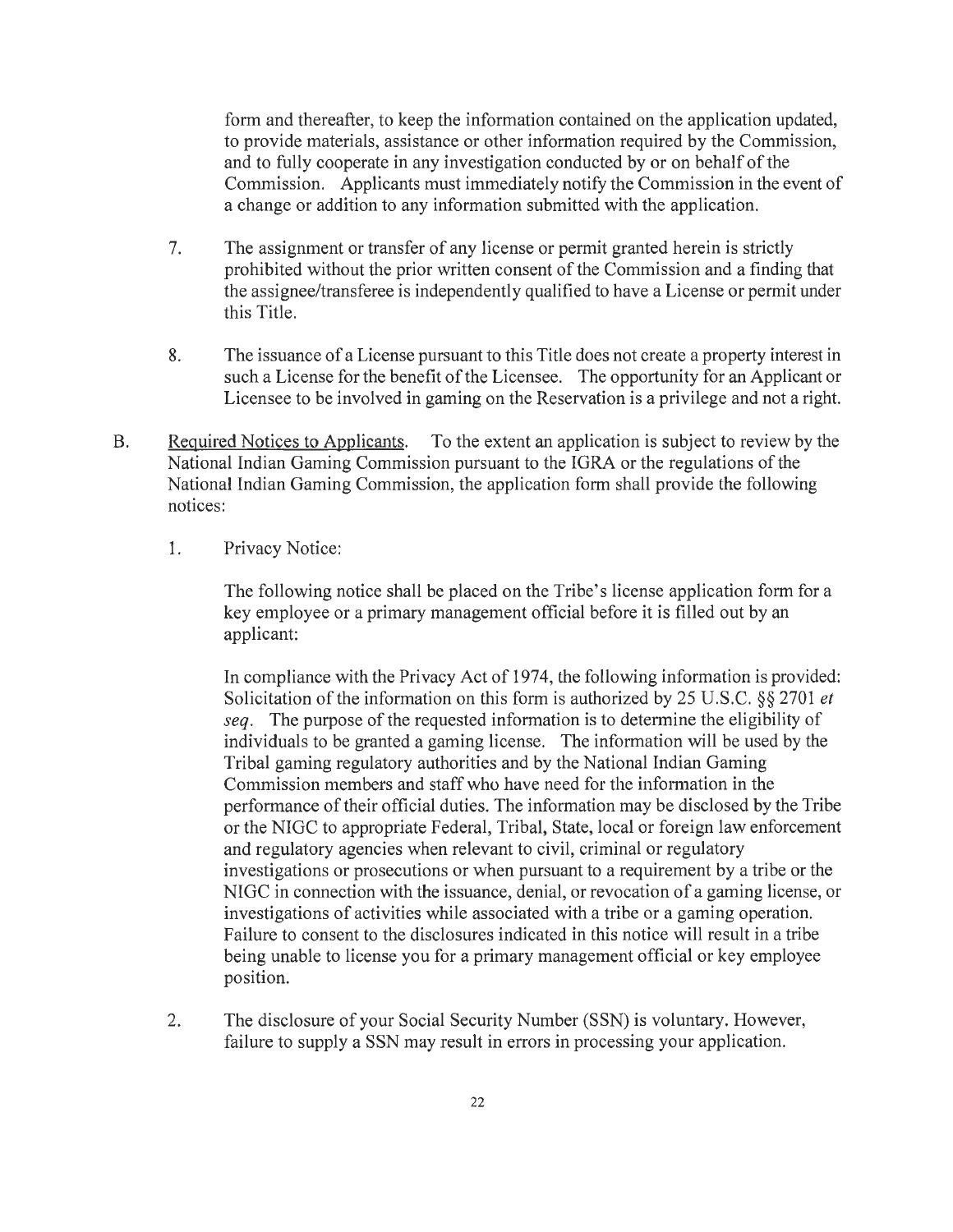form and thereafter, to keep the information contained on the application updated, to provide materials, assistance or other information required by the Commission, and to fully cooperate in any investigation conducted by or on behalf of the Commission. Applicants must immediately notify the Commission in the event of a change or addition to any information submitted with the application.

- 7. The assignment or transfer of any license or permit granted herein is strictly prohibited without the prior written consent of the Commission and a finding that the assignee/transferee is independently qualified to have a License or permit under this Title.
- 8. The issuance of a License pursuant to this Title does not create a property interest in such a License for the benefit of the Licensee. The opportunity for an Applicant or Licensee to be involved in gaming on the Reservation is a privilege and not a right.
- B. Required Notices to Applicants. To the extent an application is subject to review by the National Indian Gaming Commission pursuant to the IGRA or the regulations of the National Indian Gaming Commission, the application form shall provide the following notices:
	- 1. Privacy Notice:

The following notice shall be placed on the Tribe's license application form for a key employee or a primary management official before it is filled out by an applicant:

In compliance with the Privacy Act of 1974, the following information is provided: Solicitation of the information on this form is authorized by 25 U.S.C. §§ 2701 *et seq.* The purpose of the requested information is to determine the eligibility of individuals to be granted a gaming license. The information will be used by the Tribal gaming regulatory authorities and by the National Indian Gaming Commission members and staff who have need for the information in the performance of their official duties. The information may be disclosed by the Tribe or the NIGC to appropriate Federal, Tribal, State, local or foreign law enforcement and regulatory agencies when relevant to civil, criminal or regulatory investigations or prosecutions or when pursuant to a requirement by a tribe or the NIGC in connection with the issuance, denial, or revocation of a gaming license, or investigations of activities while associated with a tribe or a gaming operation. Failure to consent to the disclosures indicated in this notice will result in a tribe being unable to license you for a primary management official or key employee position.

2. The disclosure of your Social Security Number (SSN) is voluntary. However, failure to supply a SSN may result in errors in processing your application.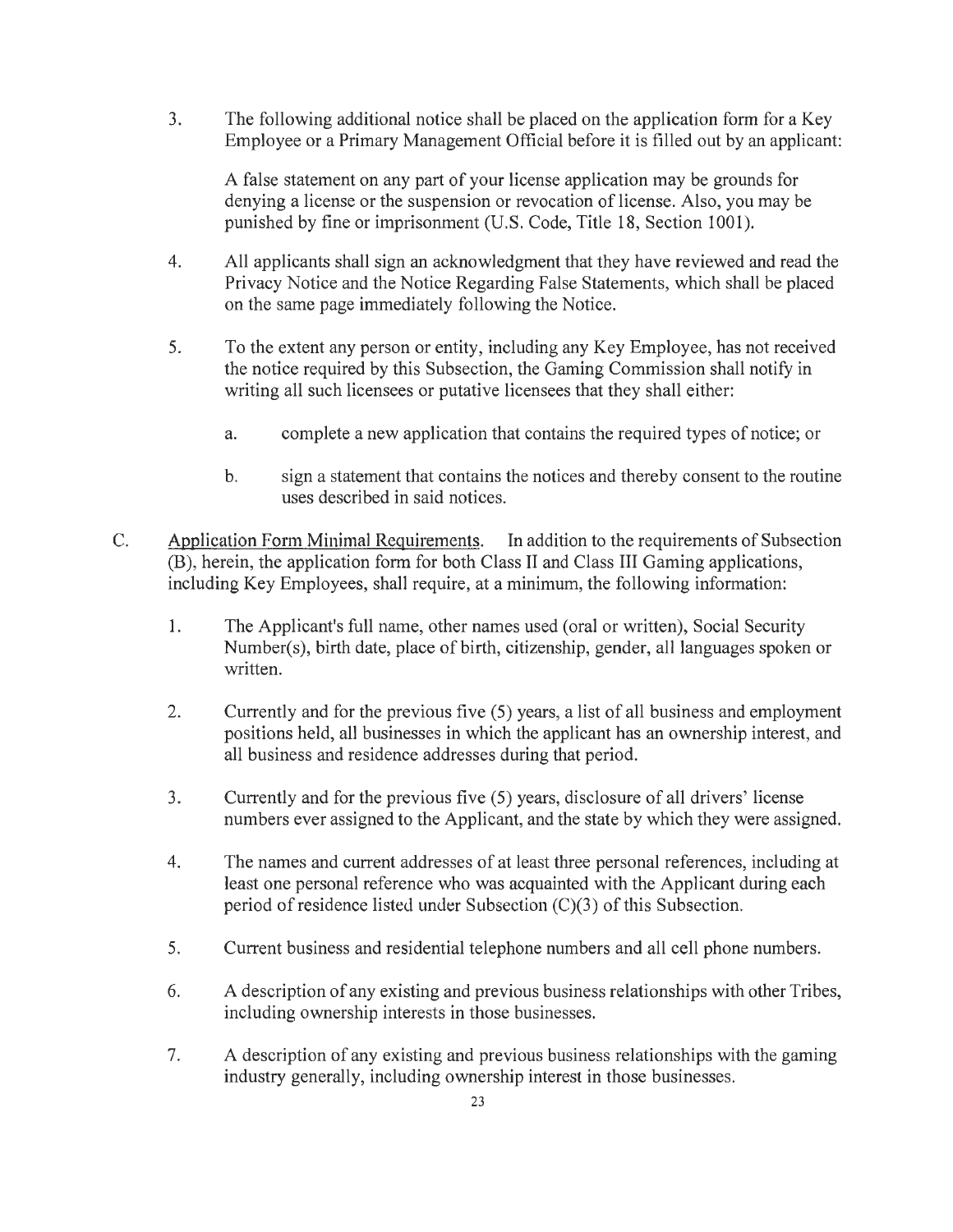3. The following additional notice shall be placed on the application form for a Key Employee or a Primary Management Official before it is filled out by an applicant:

A false statement on any part of your license application may be grounds for denying a license or the suspension or revocation of license. Also, you may be punished by fine or imprisonment (U.S. Code, Title 18, Section 1001).

- 4. All applicants shall sign an acknowledgment that they have reviewed and read the Privacy Notice and the Notice Regarding False Statements, which shall be placed on the same page immediately following the Notice.
- 5. To the extent any person or entity, including any Key Employee, has not received the notice required by this Subsection, the Gaming Commission shall notify in writing all such licensees or putative licensees that they shall either:
	- a. complete a new application that contains the required types of notice; or
	- b. sign a statement that contains the notices and thereby consent to the routine uses described in said notices.
- C. Application Form Minimal Requirements. In addition to the requirements of Subsection (B), herein, the application form for both Class II and Class III Gaming applications, including Key Employees, shall require, at a minimum, the following information:
	- 1. The Applicant's full name, other names used (oral or written), Social Security Number(s), birth date, place of birth, citizenship, gender, all languages spoken or written.
	- 2. Currently and for the previous five (5) years, a list of all business and employment positions held, all businesses in which the applicant has an ownership interest, and all business and residence addresses during that period.
	- 3. Currently and for the previous five (5) years, disclosure of all drivers' license numbers ever assigned to the Applicant, and the state by which they were assigned.
	- 4. The names and current addresses of at least three personal references, including at least one personal reference who was acquainted with the Applicant during each period of residence listed under Subsection  $(C)(3)$  of this Subsection.
	- 5. Current business and residential telephone numbers and all cell phone numbers.
	- 6. A description of any existing and previous business relationships with other Tribes, including ownership interests in those businesses.
	- 7. A description of any existing and previous business relationships with the gaming industry generally, including ownership interest in those businesses.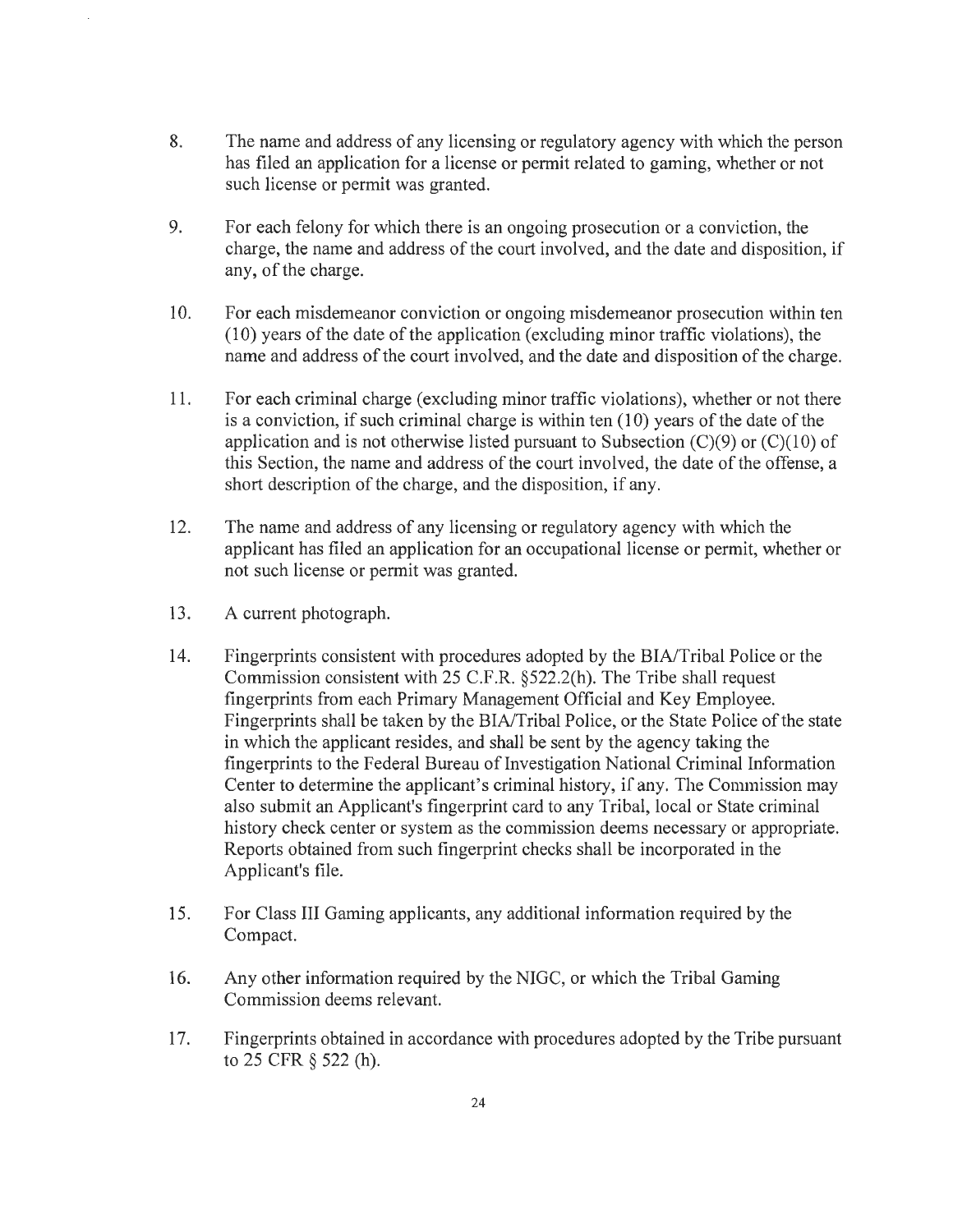- 8. The name and address of any licensing or regulatory agency with which the person has filed an application for a license or permit related to gaming, whether or not such license or permit was granted.
- 9. For each felony for which there is an ongoing prosecution or a conviction, the charge, the name and address of the court involved, and the date and disposition, if any, of the charge.
- 10. For each misdemeanor conviction or ongoing misdemeanor prosecution within ten (10) years of the date of the application (excluding minor traffic violations), the name and address of the court involved, and the date and disposition of the charge.
- 11. For each criminal charge (excluding minor traffic violations), whether or not there is a conviction, if such criminal charge is within ten  $(10)$  years of the date of the application and is not otherwise listed pursuant to Subsection  $(C)(9)$  or  $(C)(10)$  of this Section, the name and address of the court involved, the date of the offense, a short description of the charge, and the disposition, if any.
- 12. The name and address of any licensing or regulatory agency with which the applicant has filed an application for an occupational license or permit, whether or not such license or permit was granted.
- 13. A current photograph.
- 14. Fingerprints consistent with procedures adopted by the BIA/Tribal Police or the Commission consistent with 25 C.F.R. §522.2(h). The Tribe shall request fingerprints from each Primary Management Official and Key Employee. Fingerprints shall be taken by the BIA/Tribal Police, or the State Police of the state in which the applicant resides, and shall be sent by the agency taking the fingerprints to the Federal Bureau of Investigation National Criminal Information Center to determine the applicant's criminal history, if any. The Commission may also submit an Applicant's fingerprint card to any Tribal, local or State criminal history check center or system as the commission deems necessary or appropriate. Reports obtained from such fingerprint checks shall be incorporated in the Applicant's file.
- 15. For Class III Gaming applicants, any additional information required by the Compact.
- 16. Any other information required by the NIGC, or which the Tribal Gaming Commission deems relevant.
- 17. Fingerprints obtained in accordance with procedures adopted by the Tribe pursuant to 25 CFR § 522 (h).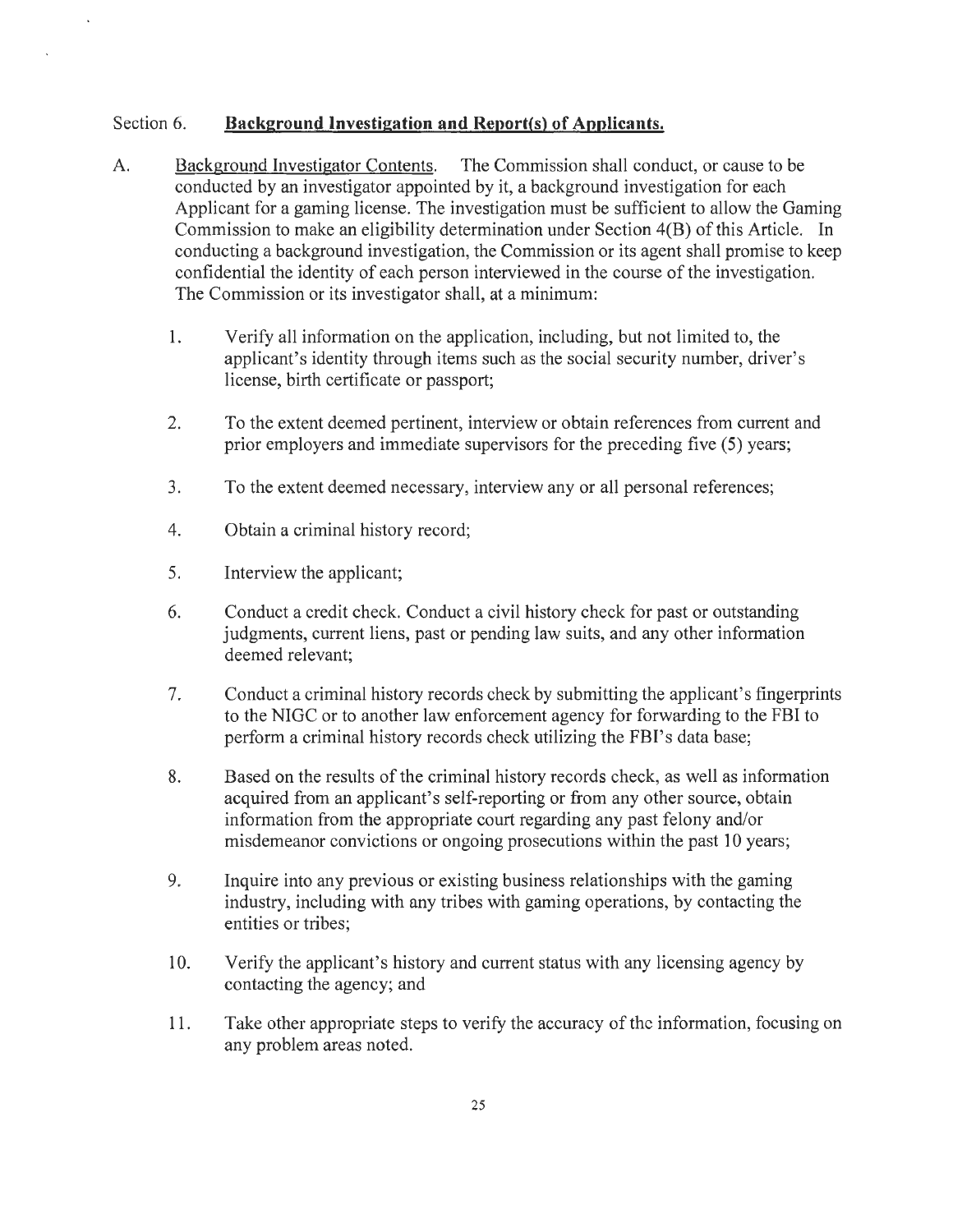#### Section 6. **Background Investigation and Report(s) of Applicants.**

- A. Background Investigator Contents. The Commission shall conduct, or cause to be conducted by an investigator appointed by it, a background investigation for each Applicant for a gaming license. The investigation must be sufficient to allow the Gaming Commission to make an eligibility determination under Section 4(B) of this Article. In conducting a background investigation, the Commission or its agent shall promise to keep confidential the identity of each person interviewed in the course of the investigation. The Commission or its investigator shall, at a minimum:
	- 1. Verify all information on the application, including, but not limited to, the applicant's identity through items such as the social security number, driver's license, birth certificate or passport;
	- 2. To the extent deemed pertinent, interview or obtain references from current and prior employers and immediate supervisors for the preceding five (5) years;
	- 3. To the extent deemed necessary, interview any or all personal references;
	- 4. Obtain a criminal history record;
	- 5. Interview the applicant;
	- 6. Conduct a credit check. Conduct a civil history check for past or outstanding judgments, current liens, past or pending law suits, and any other information deemed relevant;
	- 7. Conduct a criminal history records check by submitting the applicant's fingerprints to the NIGC or to another law enforcement agency for forwarding to the FBI to perform a criminal history records check utilizing the FBl's data base;
	- 8. Based on the results of the criminal history records check, as well as information acquired from an applicant's self-reporting or from any other source, obtain information from the appropriate court regarding any past felony and/or misdemeanor convictions or ongoing prosecutions within the past 10 years;
	- 9. Inquire into any previous or existing business relationships with the gaming industry, including with any tribes with gaming operations, by contacting the entities or tribes;
	- 10. Verify the applicant's history and current status with any licensing agency by contacting the agency; and
	- 11. Take other appropriate steps to verify the accuracy of the information, focusing on any problem areas noted.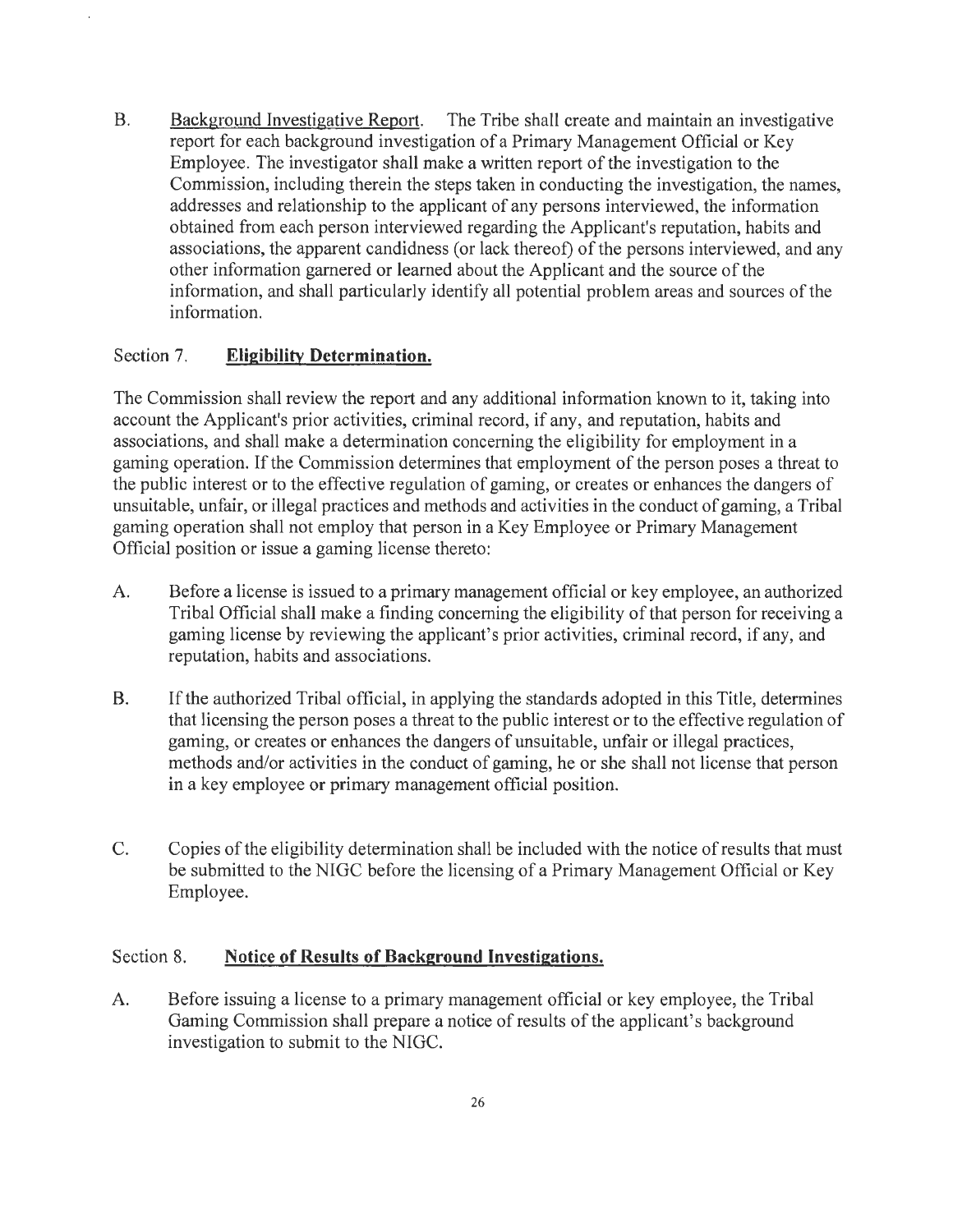B. Background Investigative Report. The Tribe shall create and maintain an investigative report for each background investigation of a Primary Management Official or Key Employee. The investigator shall make a written report of the investigation to the Commission, including therein the steps taken in conducting the investigation, the names, addresses and relationship to the applicant of any persons interviewed, the information obtained from each person interviewed regarding the Applicant's reputation, habits and associations, the apparent candidness (or lack thereof) of the persons interviewed, and any other information garnered or learned about the Applicant and the source of the information, and shall particularly identify all potential problem areas and sources of the information.

#### Section 7. **Eligibility Determination.**

The Commission shall review the report and any additional information known to it, taking into account the Applicant's prior activities, criminal record, if any, and reputation, habits and associations, and shall make a determination concerning the eligibility for employment in a gaming operation. If the Commission determines that employment of the person poses a threat to the public interest or to the effective regulation of gaming, or creates or enhances the dangers of unsuitable, unfair, or illegal practices and methods and activities in the conduct of gaming, a Tribal gaming operation shall not employ that person in a Key Employee or Primary Management Official position or issue a gaming license thereto:

- A. Before a license is issued to a primary management official or key employee, an authorized Tribal Official shall make a finding concerning the eligibility of that person for receiving a gaming license by reviewing the applicant's prior activities, criminal record, if any, and reputation, habits and associations.
- B. If the authorized Tribal official, in applying the standards adopted in this Title, determines that licensing the person poses a threat to the public interest or to the effective regulation of gaming, or creates or enhances the dangers of unsuitable, unfair or illegal practices, methods and/or activities in the conduct of gaming, he or she shall not license that person in a key employee or primary management official position.
- C. Copies of the eligibility determination shall be included with the notice ofresults that must be submitted to the NIGC before the licensing of a Primary Management Official or Key Employee.

#### Section 8. Notice of Results of Background Investigations.

A. Before issuing a license to a primary management official or key employee, the Tribal Gaming Commission shall prepare a notice of results of the applicant's background investigation to submit to the NIGC.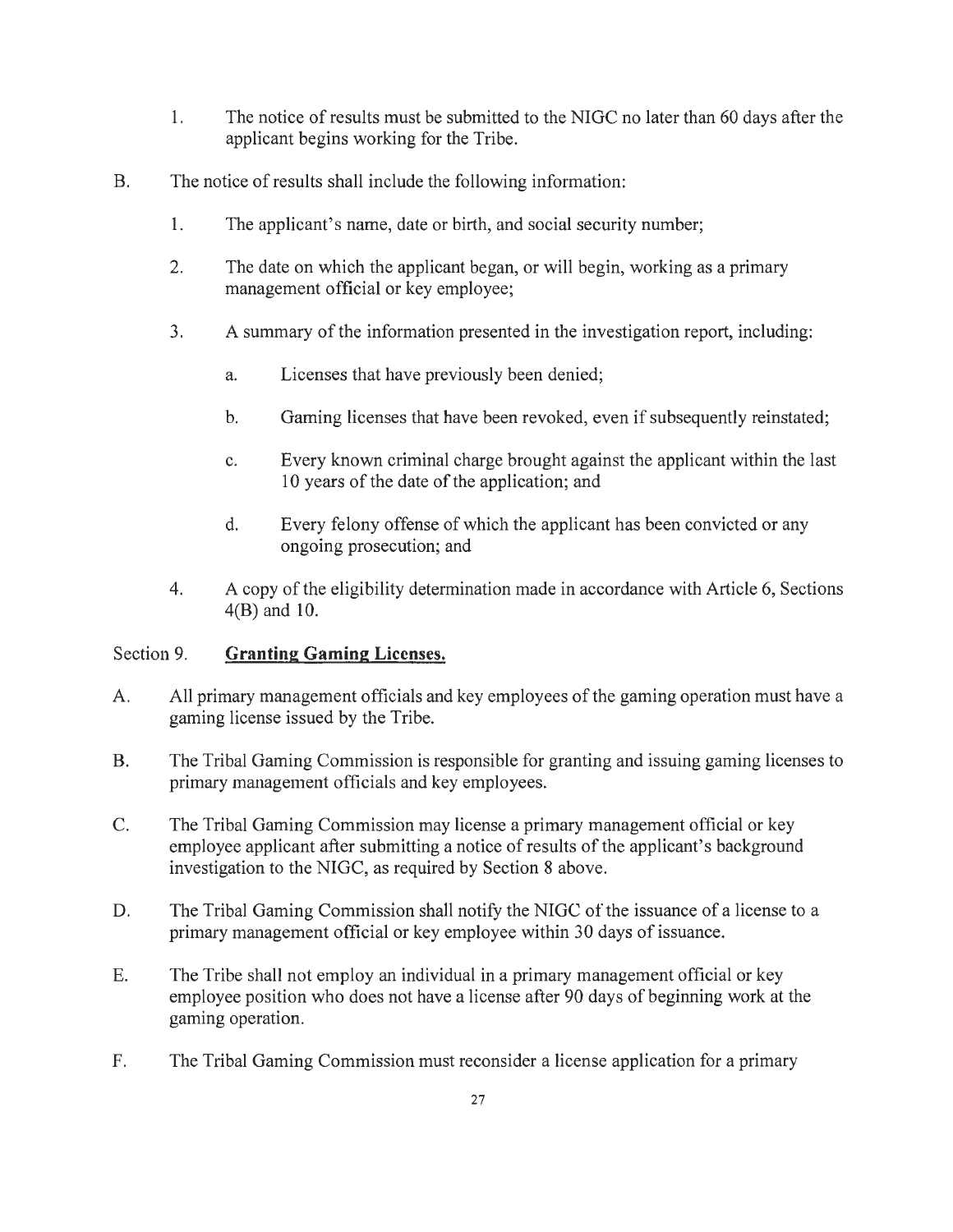- 1. The notice of results must be submitted to the NIGC no later than 60 days after the applicant begins working for the Tribe.
- B. The notice of results shall include the following information:
	- 1. The applicant's name, date or birth, and social security number;
	- 2. The date on which the applicant began, or will begin, working as a primary management official or key employee;
	- 3. A summary of the information presented in the investigation report, including:
		- a. Licenses that have previously been denied;
		- b. Gaming licenses that have been revoked, even if subsequently reinstated;
		- c. Every known criminal charge brought against the applicant within the last 10 years of the date of the application; and
		- d. Every felony offense of which the applicant has been convicted or any ongoing prosecution; and
	- 4. A copy of the eligibility determination made in accordance with Article 6, Sections 4(B) and 10.

#### Section 9. **Granting Gaming Licenses.**

- A. All primary management officials and key employees of the gaming operation must have a gaming license issued by the Tribe.
- B. The Tribal Gaming Commission is responsible for granting and issuing gaming licenses to primary management officials and key employees.
- C. The Tribal Gaming Commission may license a primary management official or key employee applicant after submitting a notice of results of the applicant's background investigation to the NIGC, as required by Section 8 above.
- D. The Tribal Gaming Commission shall notify the NIGC of the issuance of a license to a primary management official or key employee within 30 days of issuance.
- E. The Tribe shall not employ an individual in a primary management official or key employee position who does not have a license after 90 days of beginning work at the gaming operation.
- F. The Tribal Gaming Commission must reconsider a license application for a primary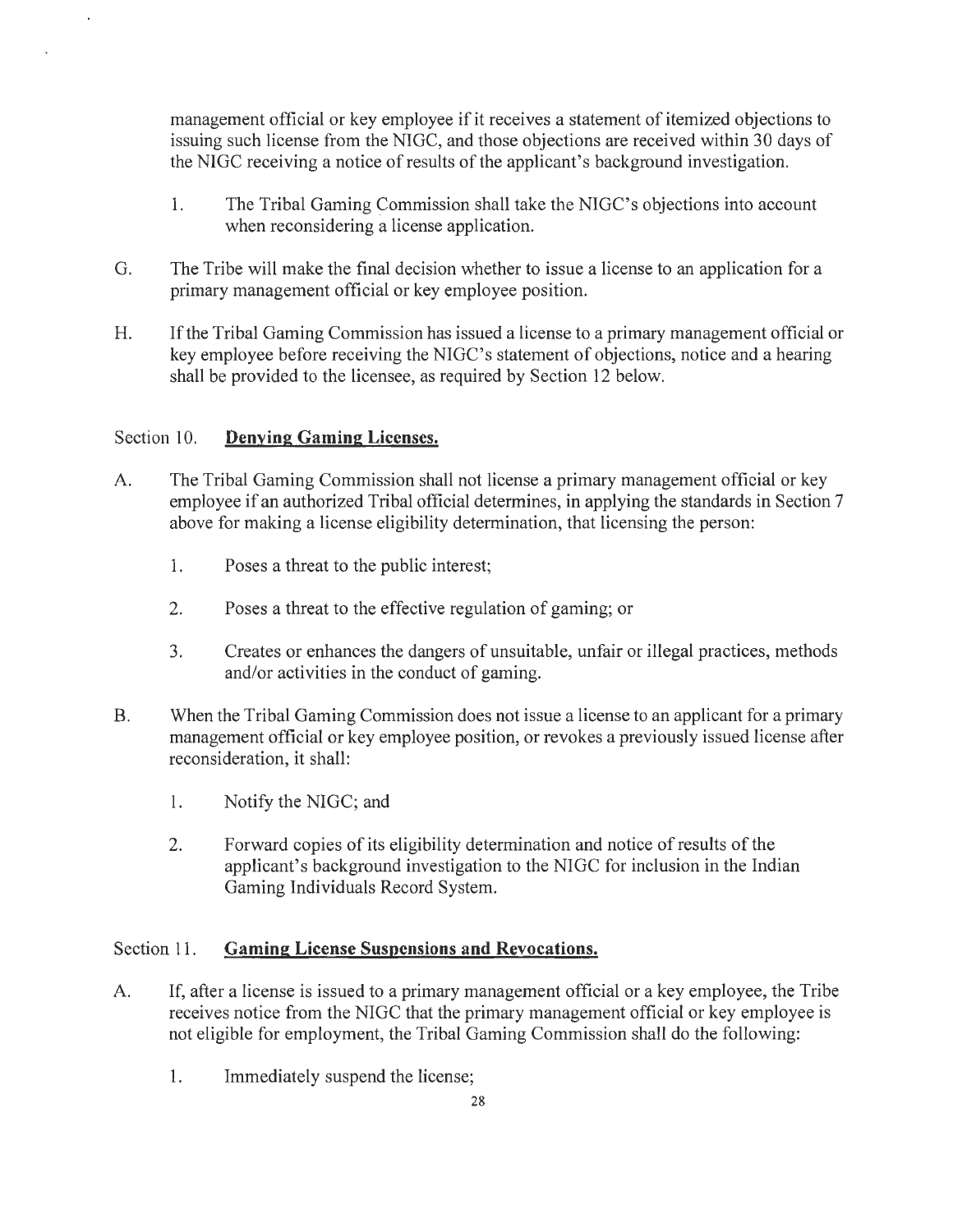management official or key employee if it receives a statement of itemized objections to issuing such license from the NIGC, and those objections are received within 30 days of the NIGC receiving a notice of results of the applicant's background investigation.

- 1. The Tribal Gaming Commission shall take the NIGC's objections into account when reconsidering a license application.
- G. The Tribe will make the final decision whether to issue a license to an application for a primary management official or key employee position.
- H. If the Tribal Gaming Commission has issued a license to a primary management official or key employee before receiving the NIGC's statement of objections, notice and a hearing shall be provided to the licensee, as required by Section 12 below.

#### Section 10. **Denving Gaming Licenses.**

- A. The Tribal Gaming Commission shall not license a primary management official or key employee if an authorized Tribal official determines, in applying the standards in Section 7 above for making a license eligibility determination, that licensing the person:
	- 1. Poses a threat to the public interest;
	- 2. Poses a threat to the effective regulation of gaming; or
	- 3. Creates or enhances the dangers of unsuitable, unfair or illegal practices, methods and/or activities in the conduct of gaming.
- B. When the Tribal Gaming Commission does not issue a license to an applicant for a primary management official or key employee position, or revokes a previously issued license after reconsideration, it shall:
	- 1. Notify the NIGC; and
	- 2. Forward copies of its eligibility determination and notice ofresults of the applicant's background investigation to the NIGC for inclusion in the Indian Gaming Individuals Record System.

#### Section 11. **Gaming License Suspensions and Revocations.**

- A. If, after a license is issued to a primary management official or a key employee, the Tribe receives notice from the NIGC that the primary management official or key employee is not eligible for employment, the Tribal Gaming Commission shall do the following:
	- 1. Immediately suspend the license;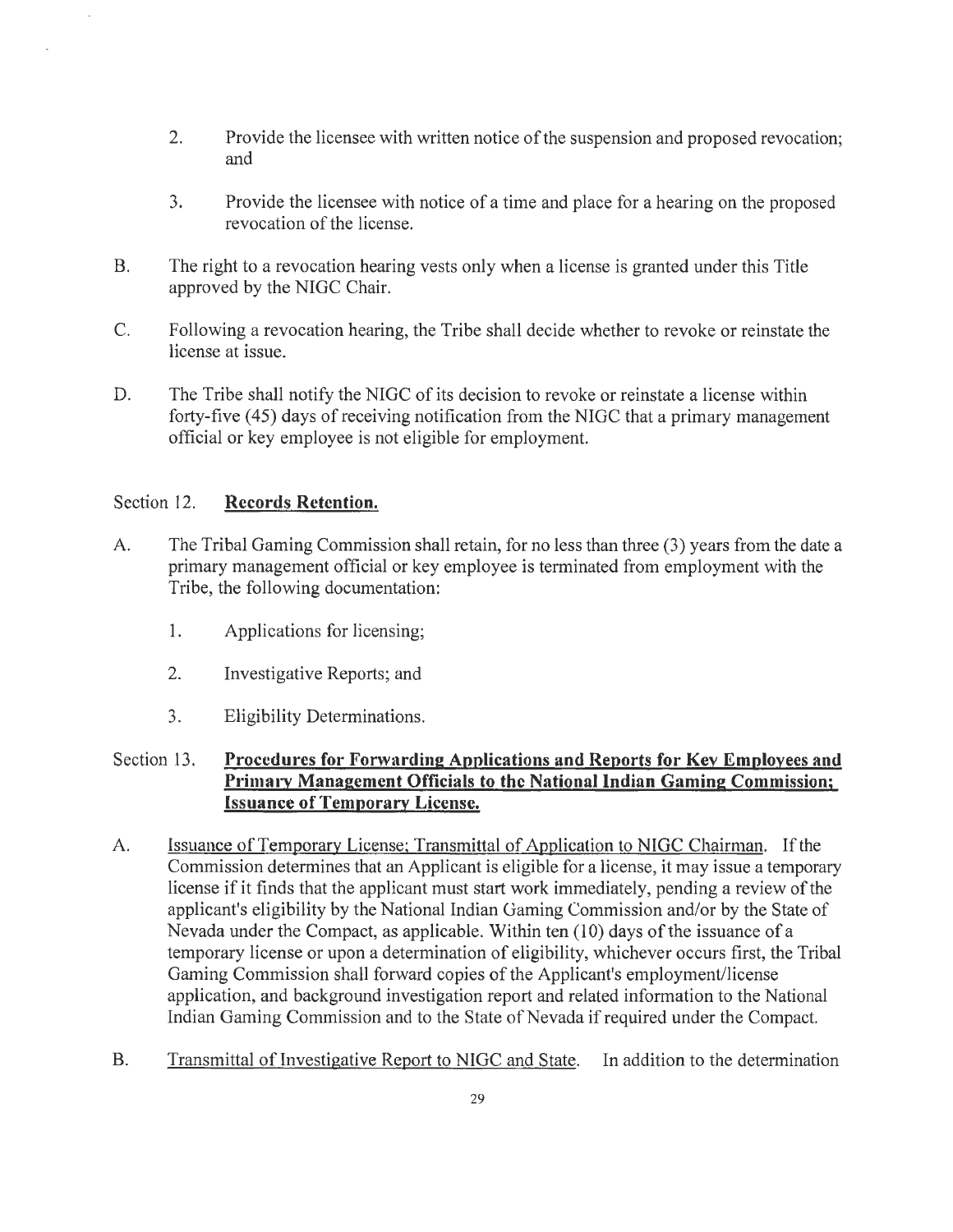- 2. Provide the licensee with written notice of the suspension and proposed revocation; and
- 3. Provide the licensee with notice of a time and place for a hearing on the proposed revocation of the license.
- B. The right to a revocation hearing vests only when a license is granted under this Title approved by the NIGC Chair.
- C. Following a revocation hearing, the Tribe shall decide whether to revoke or reinstate the license at issue.
- D. The Tribe shall notify the NIGC of its decision to revoke or reinstate a license within forty-five (45) days of receiving notification from the NIGC that a primary management official or key employee is not eligible for employment.

#### Section 12. **Records Retention.**

- A. The Tribal Gaming Commission shall retain, for no less than three (3) years from the date a primary management official or key employee is terminated from employment with the Tribe, the following documentation:
	- 1. Applications for licensing;
	- 2. Investigative Reports; and
	- 3. Eligibility Determinations.

#### Section 13. **Procedures for Forwarding Applications and Reports for Key Employees and Primary Management Officials to the National Indian Gaming Commission; Issuance of Temporary License.**

- A. **Issuance of Temporary License: Transmittal of Application to NIGC Chairman.** If the Commission determines that an Applicant is eligible for a license, it may issue a temporary license if it finds that the applicant must start work immediately, pending a review of the applicant's eligibility by the National Indian Gaming Commission and/or by the State of Nevada under the Compact, as applicable. Within ten (10) days of the issuance of a temporary license or upon a determination of eligibility, whichever occurs first, the Tribal Gaming Commission shall forward copies of the Applicant's employment/license application, and background investigation report and related information to the National Indian Gaming Commission and to the State of Nevada if required under the Compact.
- B. Transmittal of Investigative Report to NIGC and State. In addition to the determination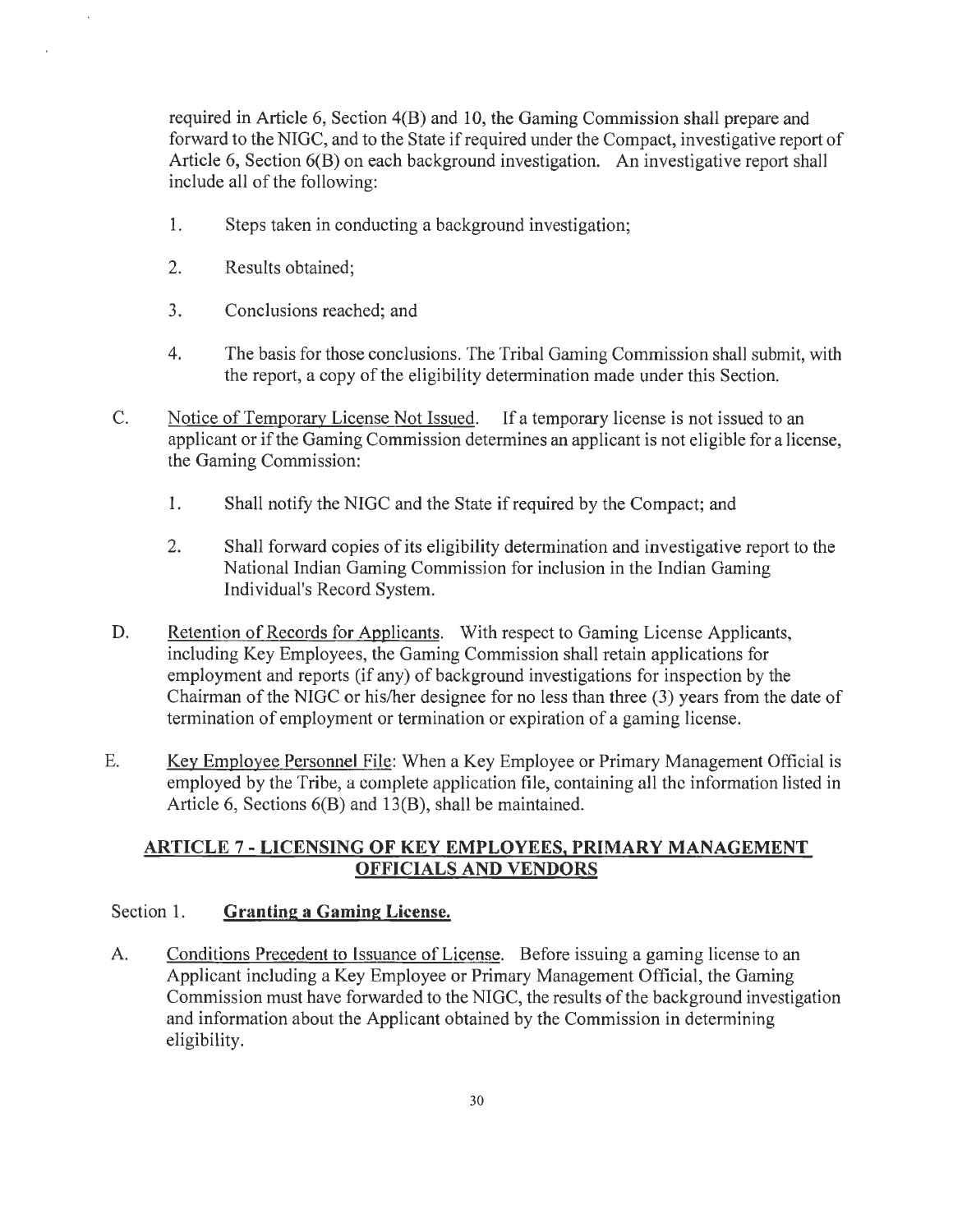required in Article 6, Section 4(B) and 10, the Gaming Commission shall prepare and forward to the NIGC, and to the State if required under the Compact, investigative report of Article 6, Section 6(B) on each background investigation. An investigative report shall include all of the following:

- 1. Steps taken in conducting a background investigation;
- 2. Results obtained;
- 3. Conclusions reached; and
- 4. The basis for those conclusions. The Tribal Gaming Commission shall submit, with the report, a copy of the eligibility determination made under this Section.
- C. Notice of Temporary License Not Issued. If a temporary license is not issued to an applicant or if the Gaming Commission determines an applicant is not eligible for a license, the Gaming Commission:
	- 1. Shall notify the NIGC and the State if required by the Compact; and
	- 2. Shall forward copies of its eligibility determination and investigative report to the National Indian Gaming Commission for inclusion in the Indian Gaming Individual's Record System.
- D. Retention of Records for Applicants. With respect to Gaming License Applicants, including Key Employees, the Gaming Commission shall retain applications for employment and reports (if any) of background investigations for inspection by the Chairman of the NIGC or his/her designee for no less than three (3) years from the date of termination of employment or termination or expiration of a gaming license.
- E. Key Employee Personnel File: When a Key Employee or Primary Management Official is employed by the Tribe, a complete application file, containing all the information listed in Article 6, Sections 6(B) and 13(B), shall be maintained.

#### **ARTICLE** 7 - **LICENSING OF KEY EMPLOYEES, PRIMARY MANAGEMENT OFFICIALS AND VENDORS**

#### Section 1. **Granting a Gaming License.**

A. Conditions Precedent to Issuance of License. Before issuing a gaming license to an Applicant including a Key Employee or Primary Management Official, the Gaming Commission must have forwarded to the NIGC, the results of the background investigation and information about the Applicant obtained by the Commission in determining eligibility.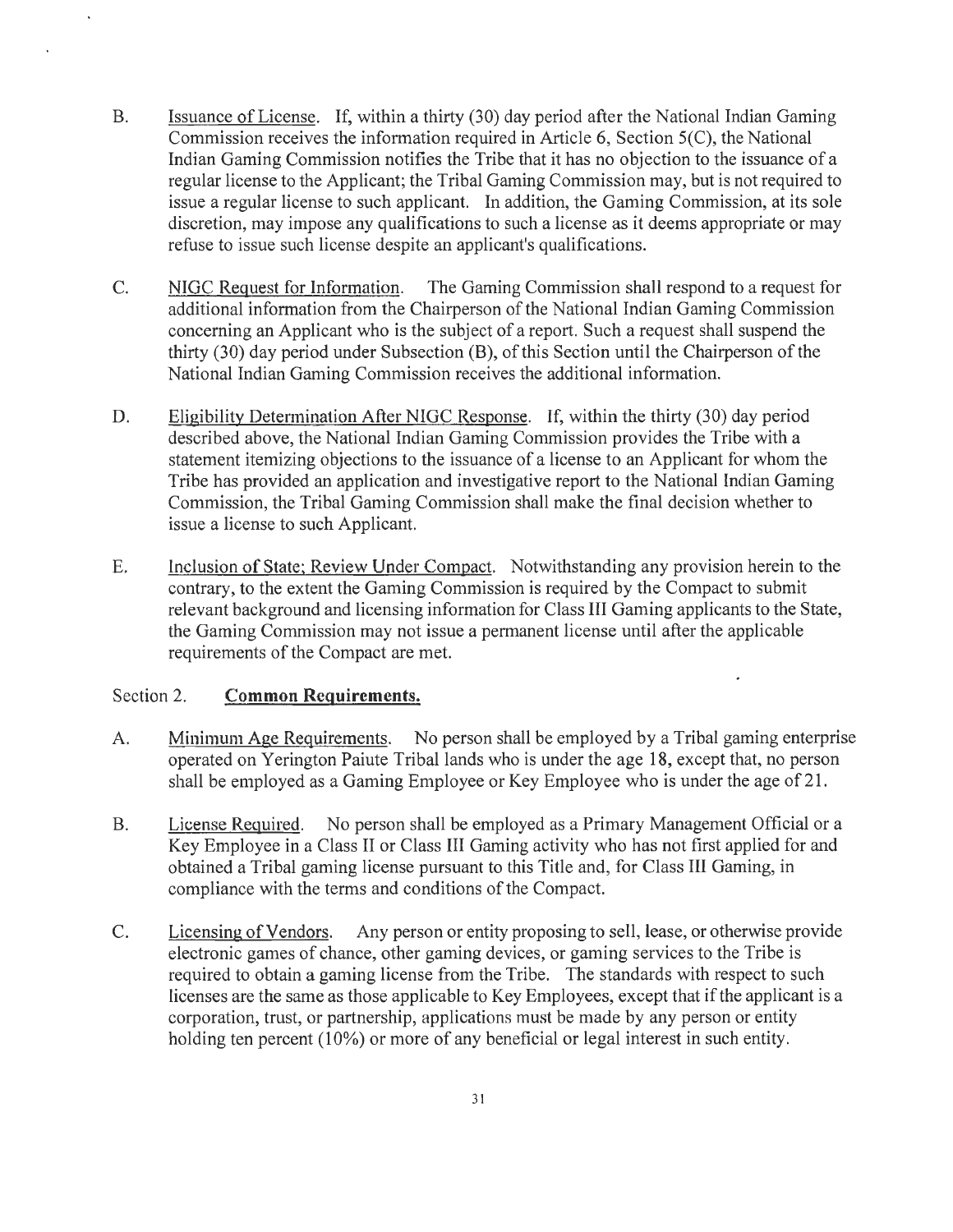- B. Issuance of License. If, within a thirty (30) day period after the National Indian Gaming Commission receives the information required in Article 6, Section 5(C), the National Indian Gaming Commission notifies the Tribe that it has no objection to the issuance of a regular license to the Applicant; the Tribal Gaming Commission may, but is not required to issue a regular license to such applicant. In addition, the Gaming Commission, at its sole discretion, may impose any qualifications to such a license as it deems appropriate or may refuse to issue such license despite an applicant's qualifications.
- C. NIGC Request for Information. The Gaming Commission shall respond to a request for additional information from the Chairperson of the National Indian Gaming Commission concerning an Applicant who is the subject of a report. Such a request shall suspend the thirty (30) day period under Subsection (B), of this Section until the Chairperson of the National Indian Gaming Commission receives the additional information.
- D. Eligibility Determination After NIGC Response. If, within the thirty (30) day period described above, the National Indian Gaming Commission provides the Tribe with a statement itemizing objections to the issuance of a license to an Applicant for whom the Tribe has provided an application and investigative report to the National Indian Gaming Commission, the Tribal Gaming Commission shall make the final decision whether to issue a license to such Applicant.
- E. Inclusion of State; Review Under Compact. Notwithstanding any provision herein to the contrary, to the extent the Gaming Commission is required by the Compact to submit relevant background and licensing information for Class III Gaming applicants to the State, the Gaming Commission may not issue a permanent license until after the applicable requirements of the Compact are met.

#### Section 2. **Common Requirements.**

- A. Minimum Age Requirements. No person shall be employed by a Tribal gaming enterprise operated on Yerington Paiute Tribal lands who is under the age 18, except that, no person shall be employed as a Gaming Employee or Key Employee who is under the age of 21.
- B. License Required. No person shall be employed as a Primary Management Official or a Key Employee in a Class II or Class III Gaming activity who has not first applied for and obtained a Tribal gaming license pursuant to this Title and, for Class III Gaming, in compliance with the terms and conditions of the Compact.
- C. Licensing of Vendors. Any person or entity proposing to sell, lease, or otherwise provide electronic games of chance, other gaming devices, or gaming services to the Tribe is required to obtain a gaming license from the Tribe. The standards with respect to such licenses are the same as those applicable to Key Employees, except that if the applicant is a corporation, trust, or partnership, applications must be made by any person or entity holding ten percent (10%) or more of any beneficial or legal interest in such entity.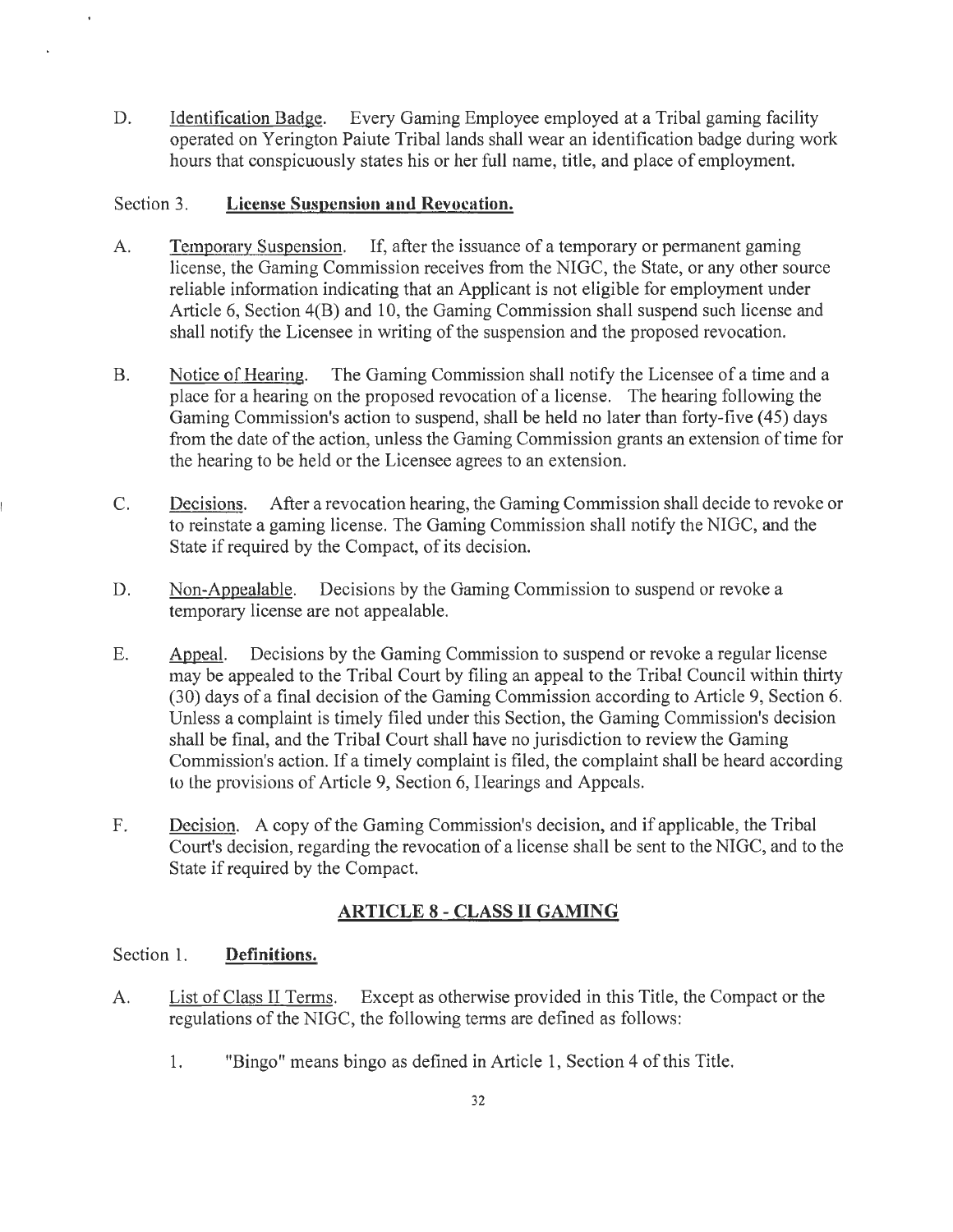D. Identification Badge. Every Gaming Employee employed at a Tribal gaming facility operated on Yerington Paiute Tribal lands shall wear an identification badge during work hours that conspicuously states his or her full name, title, and place of employment.

#### Section 3. **License Suspension and Revocation.**

- A. Temporary Suspension. If, after the issuance of a temporary or permanent gaming license, the Gaming Commission receives from the NIGC, the State, or any other source reliable information indicating that an Applicant is not eligible for employment under Article 6, Section 4(B) and 10, the Gaming Commission shall suspend such license and shall notify the Licensee in writing of the suspension and the proposed revocation.
- B. Notice of Hearing. The Gaming Commission shall notify the Licensee of a time and a place for a hearing on the proposed revocation of a license. The hearing following the Gaming Commission's action to suspend, shall be held no later than forty-five (45) days from the date of the action, unless the Gaming Commission grants an extension of time for the hearing to be held or the Licensee agrees to an extension.
- C. Decisions. After a revocation hearing, the Gaming Commission shall decide to revoke or to reinstate a gaming license. The Gaming Commission shall notify the NIGC, and the State if required by the Compact, of its decision.
- D. Non-Appealable. Decisions by the Gaming Commission to suspend or revoke a temporary license are not appealable.
- E. Aooeal. Decisions by the Gaming Commission to suspend or revoke a regular license may be appealed to the Tribal Court by filing an appeal to the Tribal Council within thirty (30) days of a final decision of the Gaming Commission according to Article 9, Section 6. Unless a complaint is timely filed under this Section, the Gaming Commission's decision shall be final, and the Tribal Court shall have no jurisdiction to review the Gaming Commission's action. If a timely complaint is filed, the complaint shall be heard according to the provisions of Article 9, Section 6, Hearings and Appeals.
- F. Decision. A copy of the Gaming Commission's decision, and if applicable, the Tribal Court's decision, regarding the revocation of a license shall be sent to the NIGC, and to the State if required by the Compact.

#### **ARTICLE 8-CLASS II GAMING**

#### Section 1. **Definitions.**

- A. List of Class II Terms. Except as otherwise provided in this Title, the Compact or the regulations of the NIGC, the following terms are defined as follows:
	- 1. "Bingo" means bingo as defined in Article 1, Section 4 of this Title.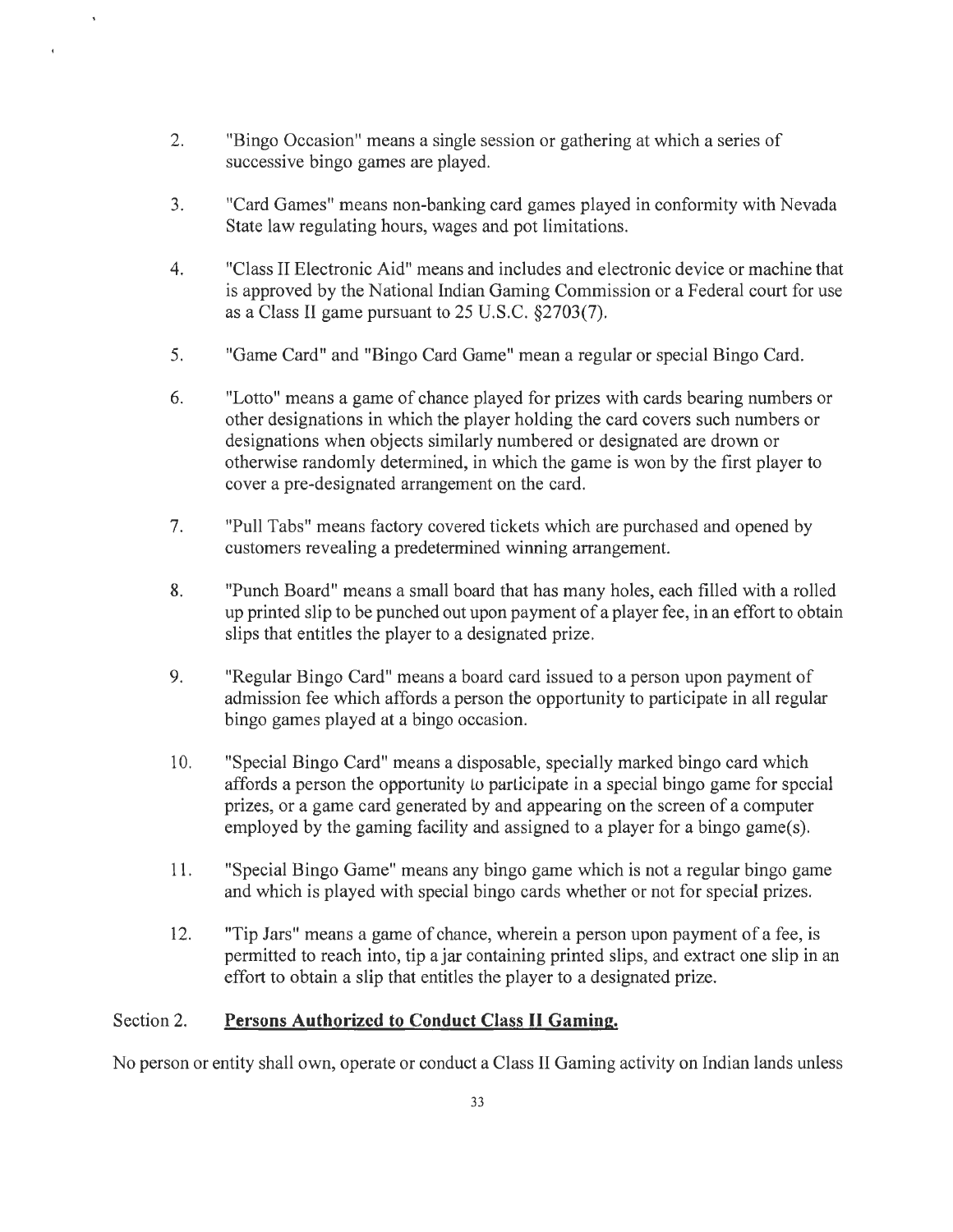2. "Bingo Occasion" means a single session or gathering at which a series of successive bingo games are played.

 $\overline{4}$ 

- 3. "Card Games" means non-banking card games played in conformity with Nevada State law regulating hours, wages and pot limitations.
- 4. "Class II Electronic Aid" means and includes and electronic device or machine that is approved by the National Indian Gaming Commission or a Federal court for use as a Class II game pursuant to 25 U.S.C. §2703(7).
- 5. "Game Card" and "Bingo Card Game" mean a regular or special Bingo Card.
- 6. "Lotto" means a game of chance played for prizes with cards bearing numbers or other designations in which the player holding the card covers such numbers or designations when objects similarly numbered or designated are drown or otherwise randomly determined, in which the game is won by the first player to cover a pre-designated arrangement on the card.
- 7. "Pull Tabs" means factory covered tickets which are purchased and opened by customers revealing a predetermined winning arrangement.
- 8. "Punch Board" means a small board that has many holes, each filled with a rolled up printed slip to be punched out upon payment of a player fee, in an effort to obtain slips that entitles the player to a designated prize.
- 9. "Regular Bingo Card" means a board card issued to a person upon payment of admission fee which affords a person the opportunity to participate in all regular bingo games played at a bingo occasion.
- 10. "Special Bingo Card" means a disposable, specially marked bingo card which affords a person the opportunity Lo parlicipate in a special bingo game for special prizes, or a game card generated by and appearing on the screen of a computer employed by the gaming facility and assigned to a player for a bingo game(s).
- 11. "Special Bingo Game" means any bingo game which is not a regular bingo game and which is played with special bingo cards whether or not for special prizes.
- 12. "Tip Jars" means a game of chance, wherein a person upon payment of a fee, is permitted to reach into, tip a jar containing printed slips, and extract one slip in an effort to obtain a slip that entitles the player to a designated prize.

#### Section 2. **Persons Authorized to Conduct Class II Gaming.**

No person or entity shall own, operate or conduct a Class II Gaming activity on Indian lands unless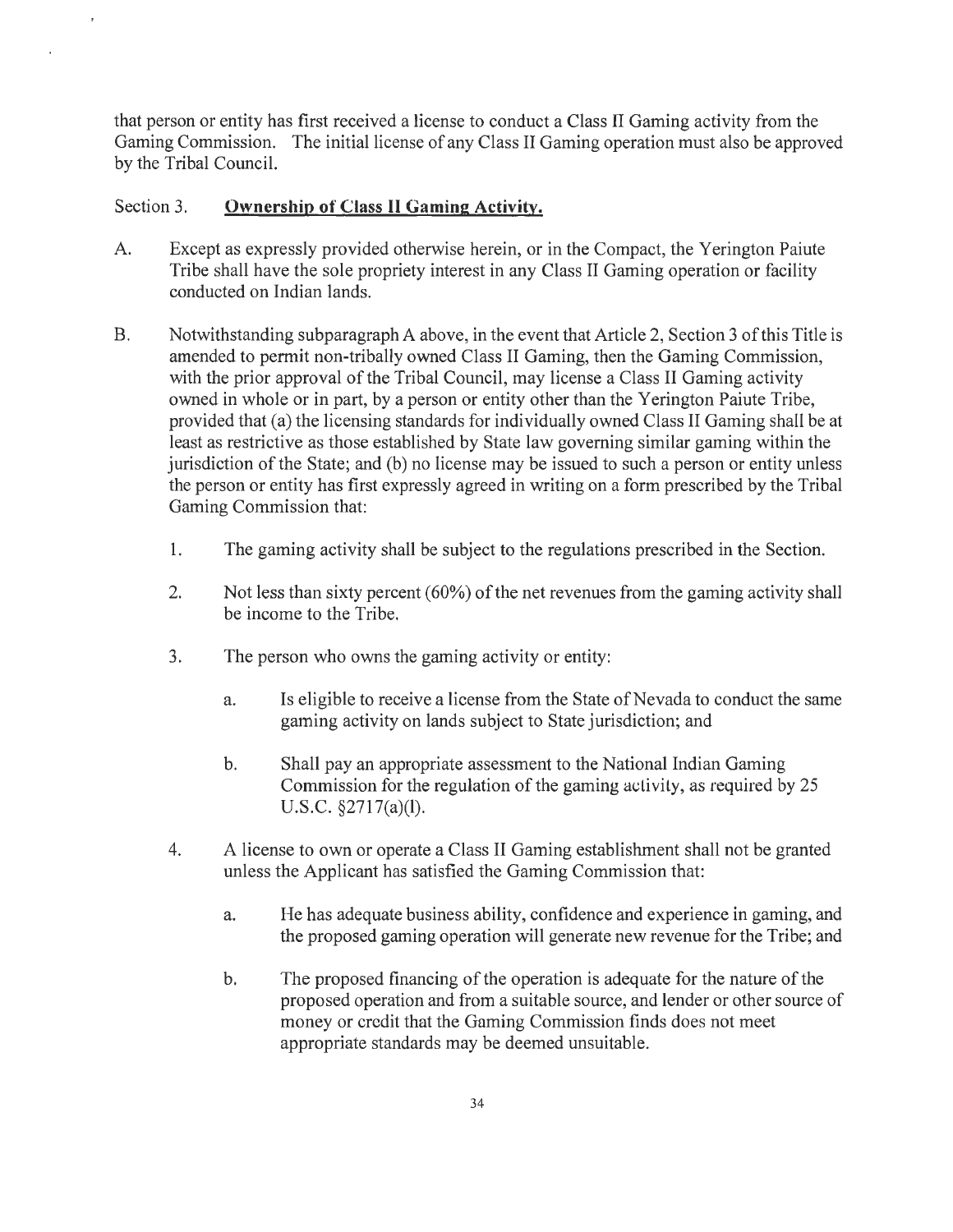that person or entity has first received a license to conduct a Class II Gaming activity from the Gaming Commission. The initial license of any Class II Gaming operation must also be approved by the Tribal Council.

#### Section 3. **Ownership of Class II Gaming Activity.**

- A. Except as expressly provided otherwise herein, or in the Compact, the Yerington Paiute Tribe shall have the sole propriety interest in any Class II Gaming operation or facility conducted on Indian lands.
- B. Notwithstanding subparagraph A above, in the event that Article 2, Section 3 of this Title is amended to permit non-tribally owned Class II Gaming, then the Gaming Commission, with the prior approval of the Tribal Council, may license a Class II Gaming activity owned in whole or in part, by a person or entity other than the Yerington Paiute Tribe, provided that (a) the licensing standards for individually owned Class II Gaming shall be at least as restrictive as those established by State law governing similar gaming within the jurisdiction of the State; and (b) no license may be issued to such a person or entity unless the person or entity has first expressly agreed in writing on a form prescribed by the Tribal Gaming Commission that:
	- 1. The gaming activity shall be subject to the regulations prescribed in the Section.
	- 2. Not less than sixty percent (60%) of the net revenues from the gaming activity shall be income to the Tribe.
	- 3. The person who owns the gaming activity or entity:
		- a. Is eligible to receive a license from the State of Nevada to conduct the same gaming activity on lands subject to State jurisdiction; and
		- b. Shall pay an appropriate assessment to the National Indian Gaming Commission for the regulation of the gaming activily, as required by 25 U.S.C. §2717(a)(l).
	- 4. A license to own or operate a Class II Gaming establishment shall not be granted unless the Applicant has satisfied the Gaming Commission that:
		- a. He has adequate business ability, confidence and experience in gaming, and the proposed gaming operation will generate new revenue for the Tribe; and
		- b. The proposed financing of the operation is adequate for the nature of the proposed operation and from a suitable source, and lender or other source of money or credit that the Gaming Commission finds does not meet appropriate standards may be deemed unsuitable.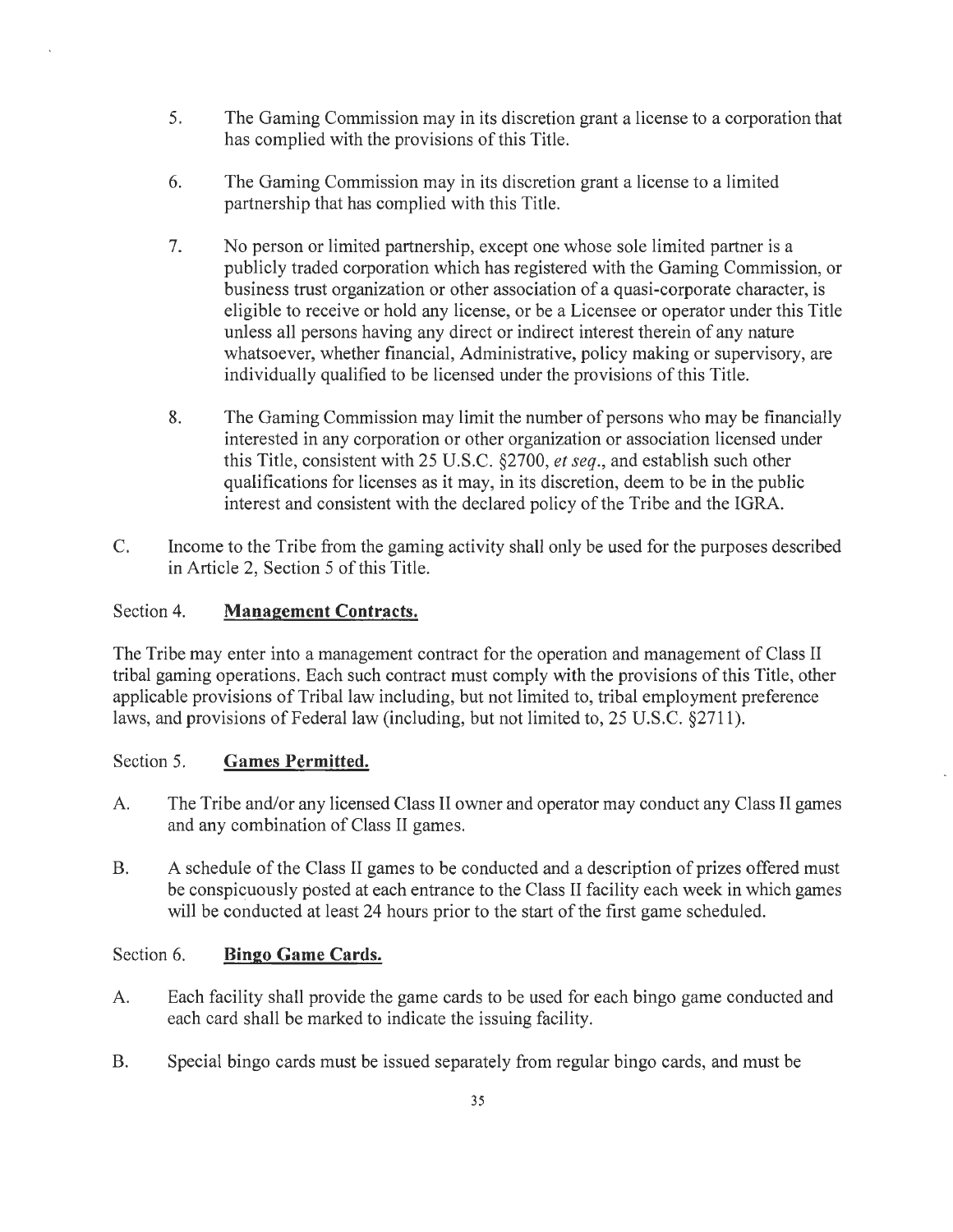- 5. The Gaming Commission may in its discretion grant a license to a corporation that has complied with the provisions of this Title.
- 6. The Gaming Commission may in its discretion grant a license to a limited partnership that has complied with this Title.
- 7. No person or limited partnership, except one whose sole limited partner is a publicly traded corporation which has registered with the Gaming Commission, or business trust organization or other association of a quasi-corporate character, is eligible to receive or hold any license, or be a Licensee or operator under this Title unless all persons having any direct or indirect interest therein of any nature whatsoever, whether financial, Administrative, policy making or supervisory, are individually qualified to be licensed under the provisions of this Title.
- 8. The Gaming Commission may limit the number of persons who may be financially interested in any corporation or other organization or association licensed under this Title, consistent with 25 U.S.C. §2700, *et seq.,* and establish such other qualifications for licenses as it may, in its discretion, deem to be in the public interest and consistent with the declared policy of the Tribe and the IGRA.
- C. Income to the Tribe from the gaming activity shall only be used for the purposes described in Article 2, Section 5 of this Title.

#### Section 4. **Management Contracts.**

The Tribe may enter into a management contract for the operation and management of Class II tribal gaming operations. Each such contract must comply with the provisions of this Title, other applicable provisions of Tribal law including, but not limited to, tribal employment preference laws, and provisions of Federal law (including, but not limited to, 25 U.S.C. §2711).

#### Section 5. **Games Permitted.**

- A. The Tribe and/or any licensed Class II owner and operator may conduct any Class II games and any combination of Class II games.
- B. A schedule of the Class II games to be conducted and a description of prizes offered must be conspicuously posted at each entrance to the Class II facility each week in which games will be conducted at least 24 hours prior to the start of the first game scheduled.

#### Section 6. **Bingo Game Cards.**

- A. Each facility shall provide the game cards to be used for each bingo game conducted and each card shall be marked to indicate the issuing facility.
- B. Special bingo cards must be issued separately from regular bingo cards, and must be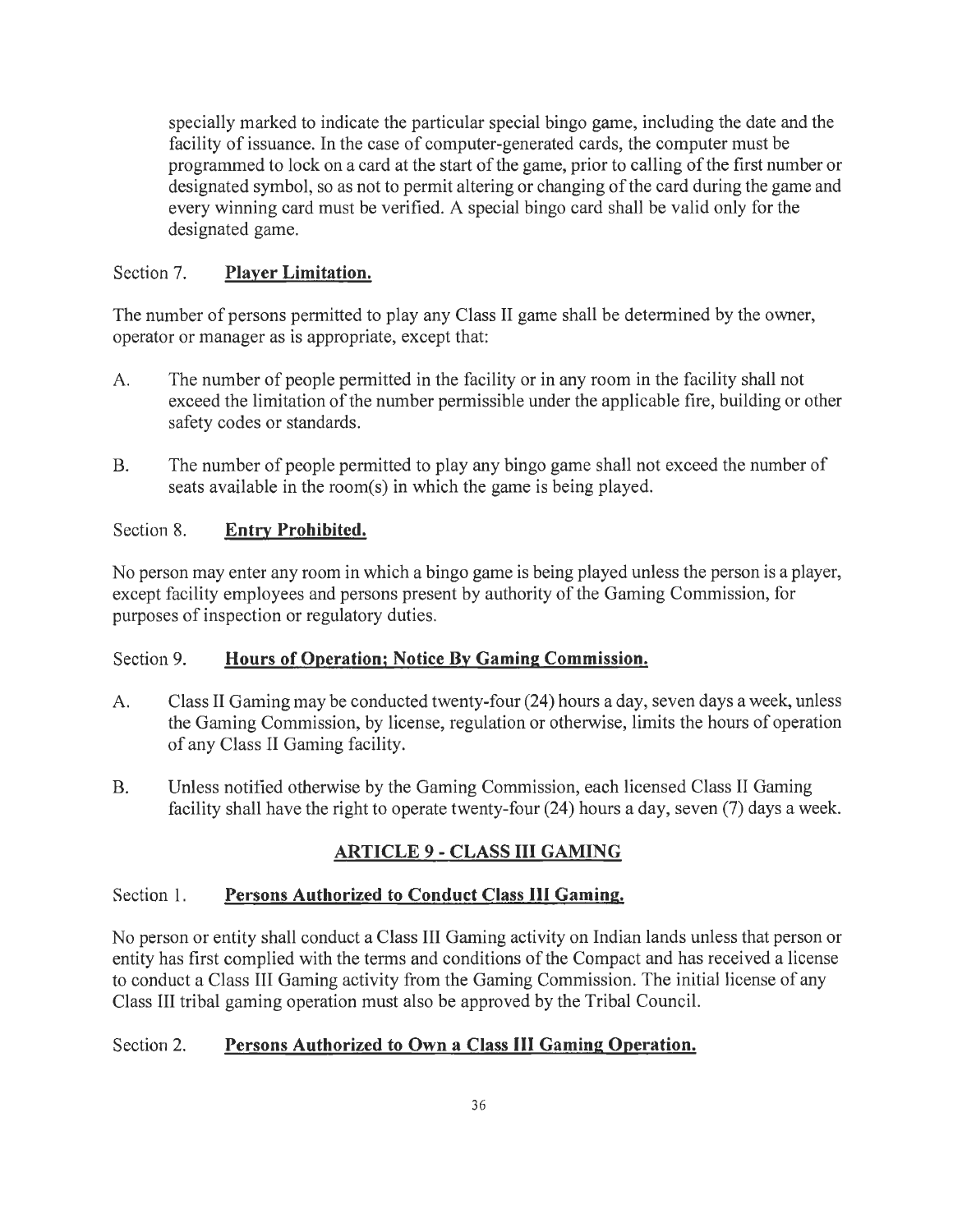specially marked to indicate the particular special bingo game, including the date and the facility of issuance. In the case of computer-generated cards, the computer must be programmed to lock on a card at the start of the game, prior to calling of the first number or designated symbol, so as not to permit altering or changing of the card during the game and every winning card must be verified. A special bingo card shall be valid only for the designated game.

## Section 7. **Player Limitation.**

The number of persons permitted to play any Class II game shall be determined by the owner, operator or manager as is appropriate, except that:

- A. The number of people permitted in the facility or in any room in the facility shall not exceed the limitation of the number permissible under the applicable fire, building or other safety codes or standards.
- B. The number of people permitted to play any bingo game shall not exceed the number of seats available in the room(s) in which the game is being played.

## Section 8. **Entry Prohibited.**

No person may enter any room in which a bingo game is being played unless the person is a player, except facility employees and persons present by authority of the Gaming Commission, for purposes of inspection or regulatory duties.

#### Section 9. **Hours of Operation; Notice By Gaming Commission.**

- A. Class II Gaming may be conducted twenty-four (24) hours a day, seven days a week, unless the Gaming Commission, by license, regulation or otherwise, limits the hours of operation of any Class II Gaming facility.
- B. Unless notified otherwise by the Gaming Commission, each licensed Class II Gaming facility shall have the right to operate twenty-four (24) hours a day, seven (7) days a week.

## **ARTICLE 9 - CLASS ill GAMING**

#### Section 1. **Persons Authorized to Conduct Class Ill Gaming.**

No person or entity shall conduct a Class III Gaming activity on Indian lands unless that person or entity has first complied with the terms and conditions of the Compact and has received a license to conduct a Class III Gaming activity from the Gaming Commission. The initial license of any Class III tribal gaming operation must also be approved by the Tribal Council.

## Section 2. **Persons Authorized to Own a Class III Gaming Operation.**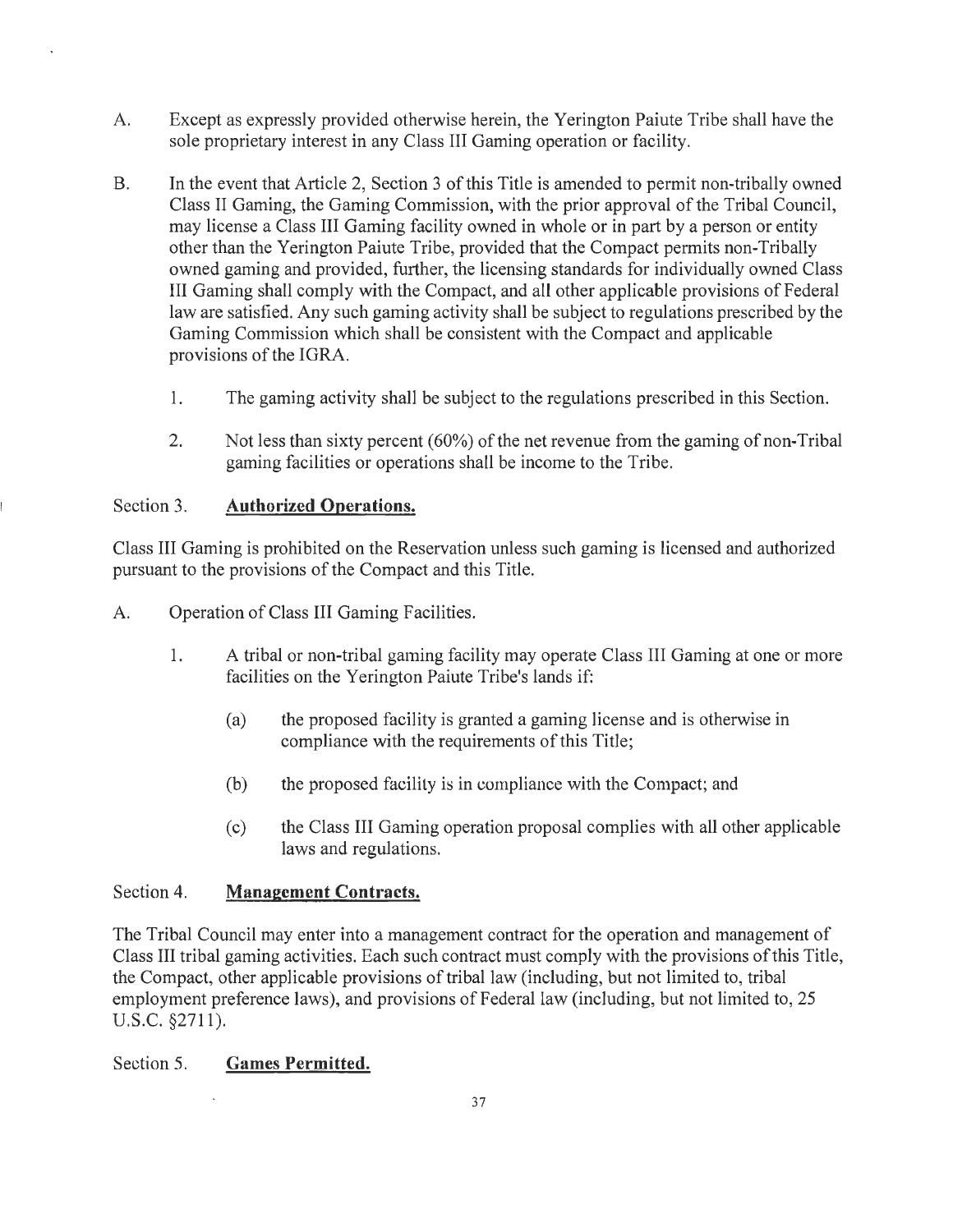- A. Except as expressly provided otherwise herein, the Yerington Paiute Tribe shall have the sole proprietary interest in any Class III Gaming operation or facility.
- B. In the event that Article 2, Section 3 of this Title is amended to permit non-tribally owned Class II Gaming, the Gaming Commission, with the prior approval of the Tribal Council, may license a Class III Gaming facility owned in whole or in part by a person or entity other than the Yerington Paiute Tribe, provided that the Compact permits non-Tribally owned gaming and provided, further, the licensing standards for individually owned Class III Gaming shall comply with the Compact, and all other applicable provisions of Federal law are satisfied. Any such gaming activity shall be subject to regulations prescribed by the Gaming Commission which shall be consistent with the Compact and applicable provisions of the IGRA.
	- 1. The gaming activity shall be subject to the regulations prescribed in this Section.
	- 2. Not less than sixty percent (60%) of the net revenue from the gaming of non-Tribal gaming facilities or operations shall be income to the Tribe.

#### Section 3. **Authorized Operations.**

Class III Gaming is prohibited on the Reservation unless such gaming is licensed and authorized pursuant to the provisions of the Compact and this Title.

- A. Operation of Class III Gaming Facilities.
	- 1. A tribal or non-tribal gaming facility may operate Class III Gaming at one or more facilities on the Yerington Paiute Tribe's lands if:
		- (a) the proposed facility is granted a gaming license and is otherwise in compliance with the requirements of this Title;
		- (b) the proposed facility is in compliance with the Compact; and
		- ( c) the Class III Gaming operation proposal complies with all other applicable laws and regulations.

#### Section 4. **Management Contracts.**

The Tribal Council may enter into a management contract for the operation and management of Class III tribal gaming activities. Each such contract must comply with the provisions of this Title, the Compact, other applicable provisions of tribal law (including, but not limited to, tribal employment preference laws), and provisions of Federal law (including, but not limited to, 25 u.s.c. §2711).

#### Section 5. **Games Permitted.**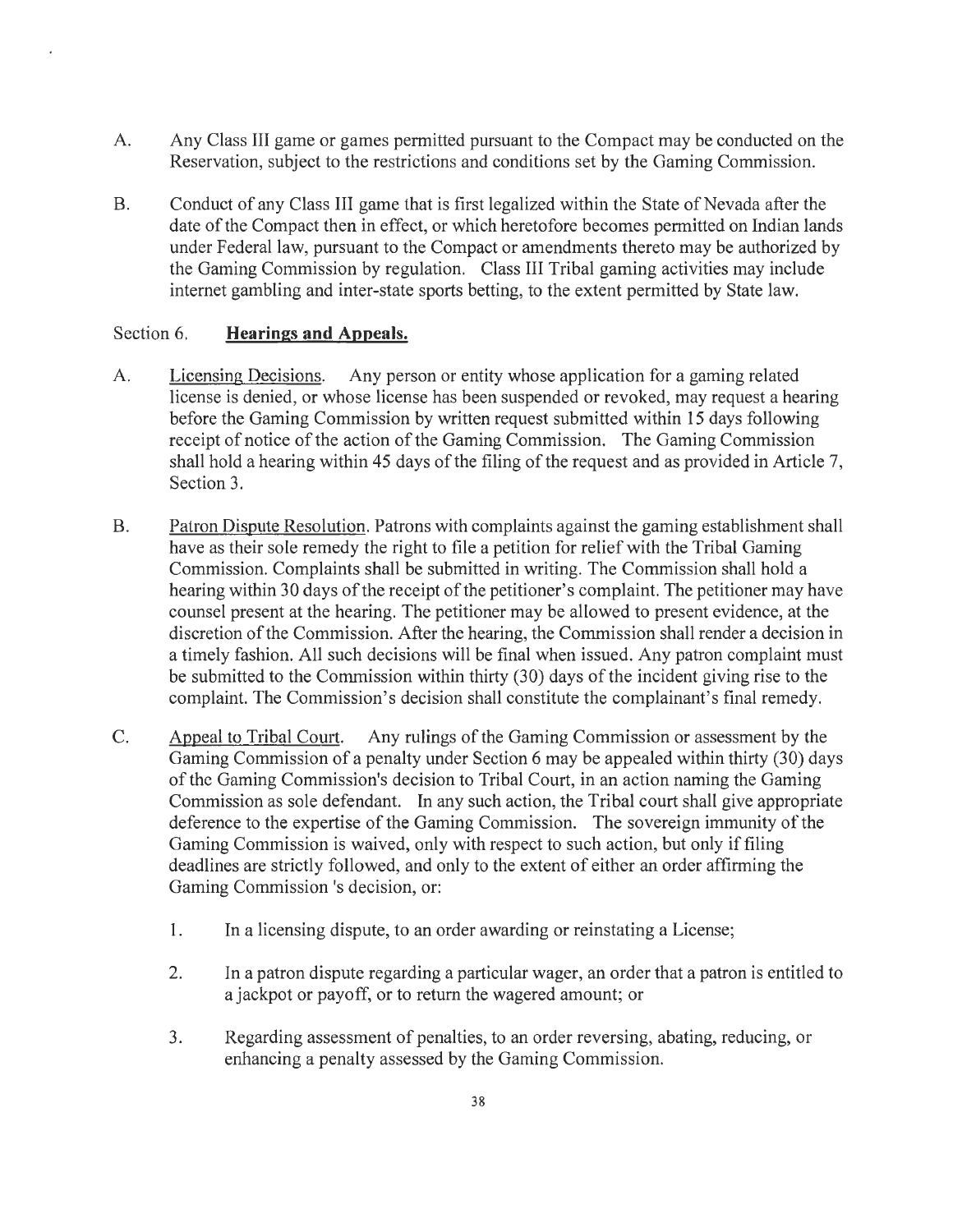- A. Any Class III game or games permitted pursuant to the Compact may be conducted on the Reservation, subject to the restrictions and conditions set by the Gaming Commission.
- B. Conduct of any Class III game that is first legalized within the State of Nevada after the date of the Compact then in effect, or which heretofore becomes permitted on Indian lands under Federal law, pursuant to the Compact or amendments thereto may be authorized by the Gaming Commission by regulation. Class III Tribal gaming activities may include internet gambling and inter-state sports betting, to the extent permitted by State law.

#### Section 6. **Hearings and Appeals.**

- A. Licensing Decisions. Any person or entity whose application for a gaming related license is denied, or whose license has been suspended or revoked, may request a hearing before the Gaming Commission by written request submitted within 15 days following receipt of notice of the action of the Gaming Commission. The Gaming Commission shall hold a hearing within 45 days of the filing of the request and as provided in Article 7, Section 3.
- B. Patron Dispute Resolution. Patrons with complaints against the gaming establishment shall have as their sole remedy the right to file a petition for relief with the Tribal Gaming Commission. Complaints shall be submitted in writing. The Commission shall hold a hearing within 30 days of the receipt of the petitioner's complaint. The petitioner may have counsel present at the hearing. The petitioner may be allowed to present evidence, at the discretion of the Commission. After the hearing, the Commission shall render a decision in a timely fashion. All such decisions will be final when issued. Any patron complaint must be submitted to the Commission within thirty (30) days of the incident giving rise to the complaint. The Commission's decision shall constitute the complainant's final remedy.
- C. Appeal to Tribal Court. Any rulings of the Gaming Commission or assessment by the Gaming Commission of a penalty under Section 6 may be appealed within thirty (30) days of the Gaming Commission's decision to Tribal Court, in an action naming the Gaming Commission as sole defendant. In any such action, the Tribal court shall give appropriate deference to the expertise of the Gaming Commission. The sovereign immunity of the Gaming Commission is waived, only with respect to such action, but only if filing deadlines are strictly followed, and only to the extent of either an order affirming the Gaming Commission 's decision, or:
	- I. In a licensing dispute, to an order awarding or reinstating a License;
	- 2. In a patron dispute regarding a particular wager, an order that a patron is entitled to a jackpot or payoff, or to return the wagered amount; or
	- 3. Regarding assessment of penalties, to an order reversing, abating, reducing, or enhancing a penalty assessed by the Gaming Commission.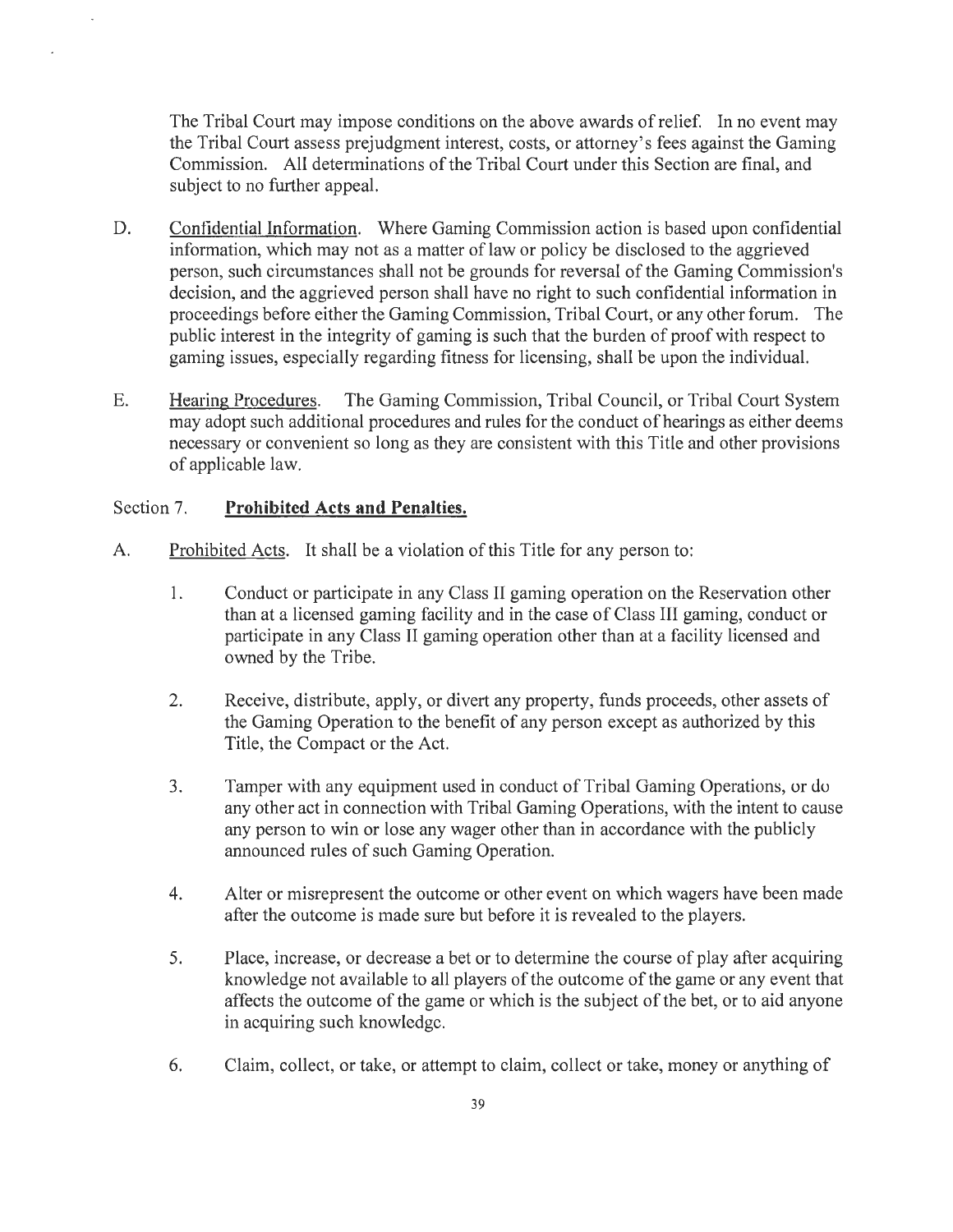The Tribal Court may impose conditions on the above awards of relief. In no event may the Tribal Court assess prejudgment interest, costs, or attorney's fees against the Gaming Commission. All determinations of the Tribal Court under this Section are final, and subject to no further appeal.

- D. Confidential Information. Where Gaming Commission action is based upon confidential information, which may not as a matter of law or policy be disclosed to the aggrieved person, such circumstances shall not be grounds for reversal of the Gaming Commission's decision, and the aggrieved person shall have no right to such confidential information in proceedings before either the Gaming Commission, Tribal Court, or any other forum. The public interest in the integrity of gaming is such that the burden of proof with respect to gaming issues, especially regarding fitness for licensing, shall be upon the individual.
- E. Hearing Procedures. The Gaming Commission, Tribal Council, or Tribal Court System may adopt such additional procedures and rules for the conduct of hearings as either deems necessary or convenient so long as they are consistent with this Title and other provisions of applicable law.

#### Section 7. **Prohibited Acts and Penalties.**

- A. Prohibited Acts. It shall be a violation of this Title for any person to:
	- 1. Conduct or participate in any Class II gaming operation on the Reservation other than at a licensed gaming facility and in the case of Class III gaming, conduct or participate in any Class II gaming operation other than at a facility licensed and owned by the Tribe.
	- 2. Receive, distribute, apply, or divert any property, funds proceeds, other assets of the Gaming Operation to the benefit of any person except as authorized by this Title, the Compact or the Act.
	- 3. Tamper with any equipment used in conduct of Tribal Gaming Operations, or <lo any other act in connection with Tribal Gaming Operations, with the intent to cause any person to win or lose any wager other than in accordance with the publicly announced rules of such Gaming Operation.
	- 4. Alter or misrepresent the outcome or other event on which wagers have been made after the outcome is made sure but before it is revealed to the players.
	- 5. Place, increase, or decrease a bet or to determine the course of play after acquiring knowledge not available to all players of the outcome of the game or any event that affects the outcome of the game or which is the subject of the bet, or to aid anyone in acquiring such knowledge.
	- 6. Claim, collect, or take, or attempt to claim, collect or take, money or anything of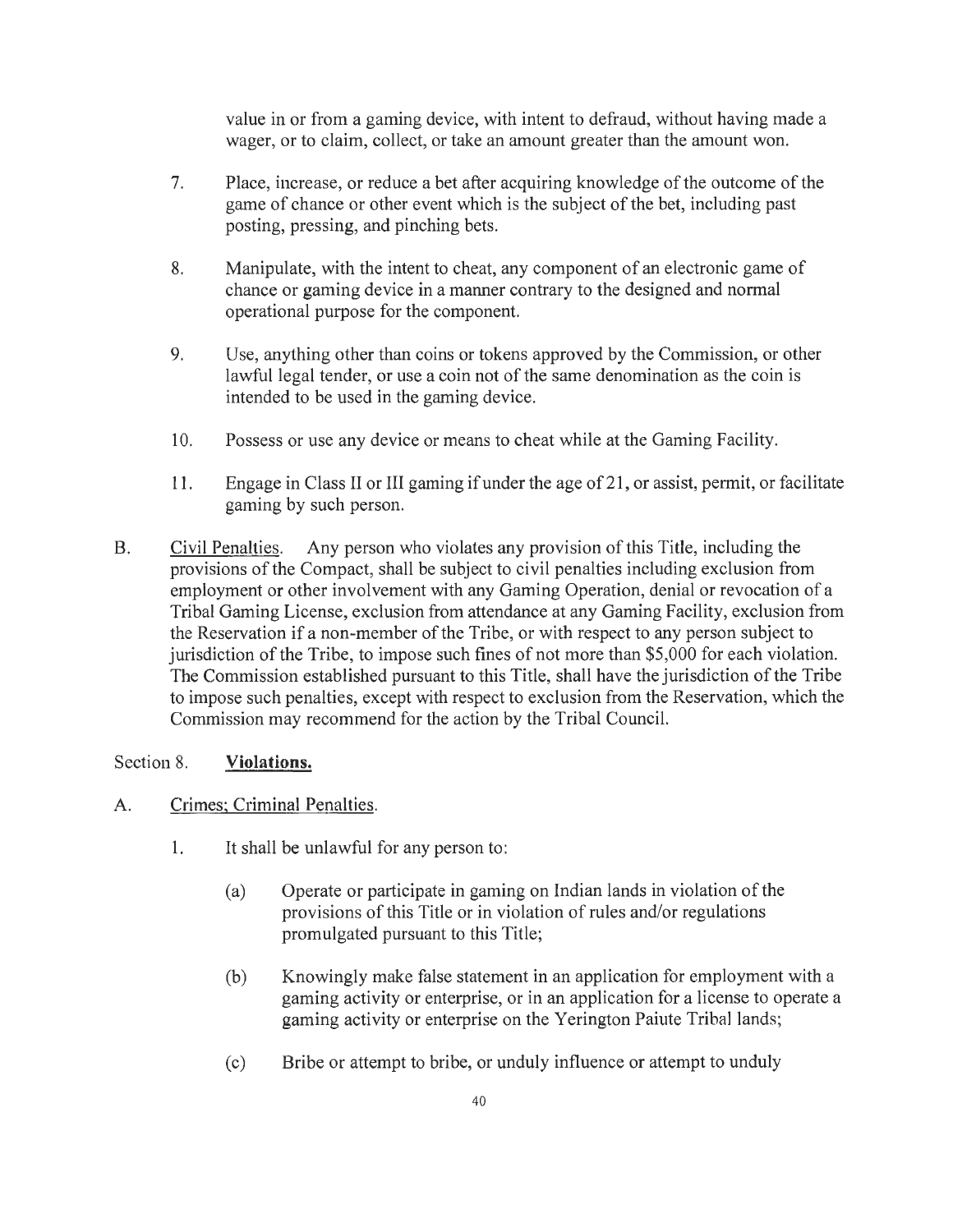value in or from a gaming device, with intent to defraud, without having made a wager, or to claim, collect, or take an amount greater than the amount won.

- 7. Place, increase, or reduce a bet after acquiring knowledge of the outcome of the game of chance or other event which is the subject of the bet, including past posting, pressing, and pinching bets.
- 8. Manipulate, with the intent to cheat, any component of an electronic game of chance or gaming device in a manner contrary to the designed and normal operational purpose for the component.
- 9. Use, anything other than coins or tokens approved by the Commission, or other lawful legal tender, or use a coin not of the same denomination as the coin is intended to be used in the gaming device.
- 10. Possess or use any device or means to cheat while at the Gaming Facility.
- 11. Engage in Class II or III gaming if under the age of 21, or assist, permit, or facilitate gaming by such person.
- B. Civil Penalties. Any person who violates any provision of this Title, including the provisions of the Compact, shall be subject to civil penalties including exclusion from employment or other involvement with any Gaming Operation, denial or revocation of a Tribal Gaming License, exclusion from attendance at any Gaming Facility, exclusion from the Reservation if a non-member of the Tribe, or with respect to any person subject to jurisdiction of the Tribe, to impose such fines of not more than \$5,000 for each violation. The Commission established pursuant to this Title, shall have the jurisdiction of the Tribe to impose such penalties, except with respect to exclusion from the Reservation, which the Commission may recommend for the action by the Tribal Council.

#### Section 8. **Violations.**

#### A. Crimes; Criminal Penalties.

- 1. It shall be unlawful for any person to:
	- (a) Operate or participate in gaming on Indian lands in violation of the provisions of this Title or in violation of rules and/or regulations promulgated pursuant to this Title;
	- (b) Knowingly make false statement in an application for employment with a gaming activity or enterprise, or in an application for a license to operate a gaming activity or enterprise on the Yerington Paiute Tribal lands;
	- (c) Bribe or attempt to bribe, or unduly influence or attempt to unduly